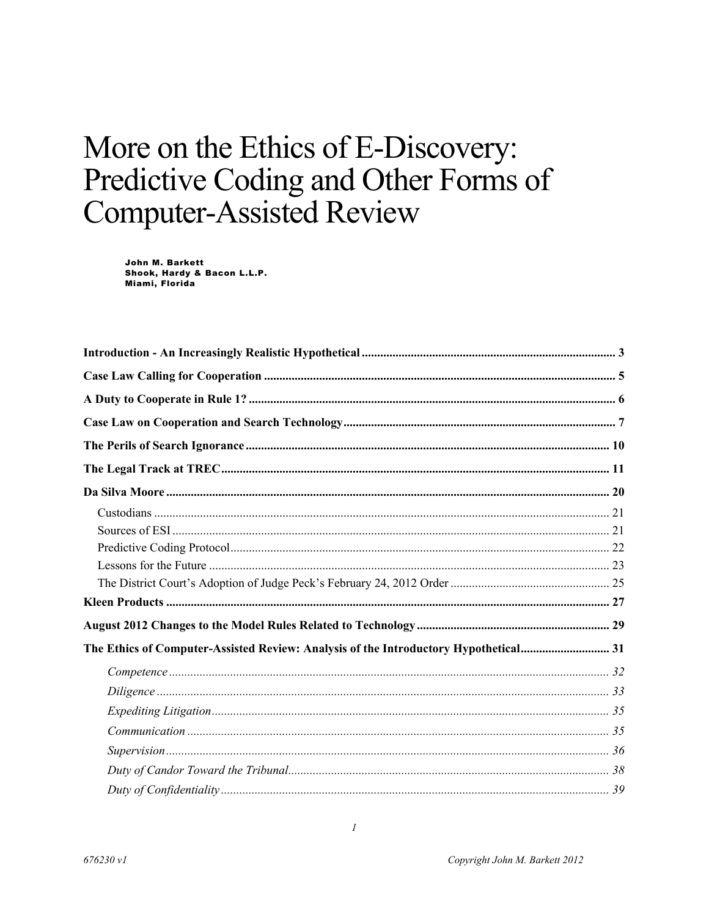# More on the Ethics of E-Discovery: Predictive Coding and Other Forms of **Computer-Assisted Review**

John M. Barkett Shook, Hardy & Bacon L.L.P. Miami, Florida

| The Ethics of Computer-Assisted Review: Analysis of the Introductory Hypothetical 31 |  |  |
|--------------------------------------------------------------------------------------|--|--|
|                                                                                      |  |  |
|                                                                                      |  |  |
|                                                                                      |  |  |
|                                                                                      |  |  |
|                                                                                      |  |  |
|                                                                                      |  |  |
|                                                                                      |  |  |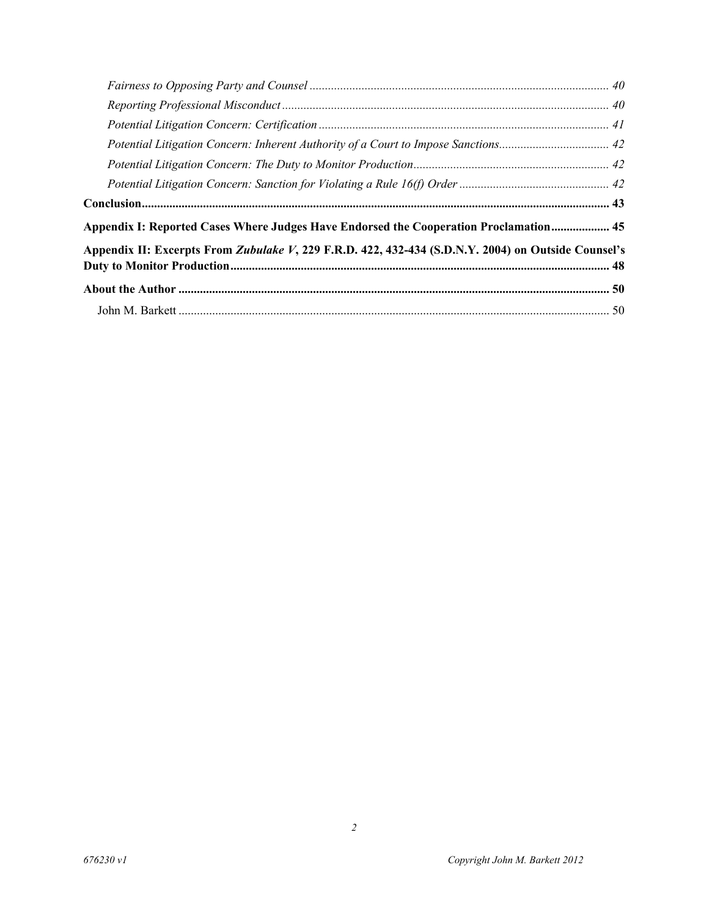| Appendix I: Reported Cases Where Judges Have Endorsed the Cooperation Proclamation 45               |  |
|-----------------------------------------------------------------------------------------------------|--|
| Appendix II: Excerpts From Zubulake V, 229 F.R.D. 422, 432-434 (S.D.N.Y. 2004) on Outside Counsel's |  |
|                                                                                                     |  |
|                                                                                                     |  |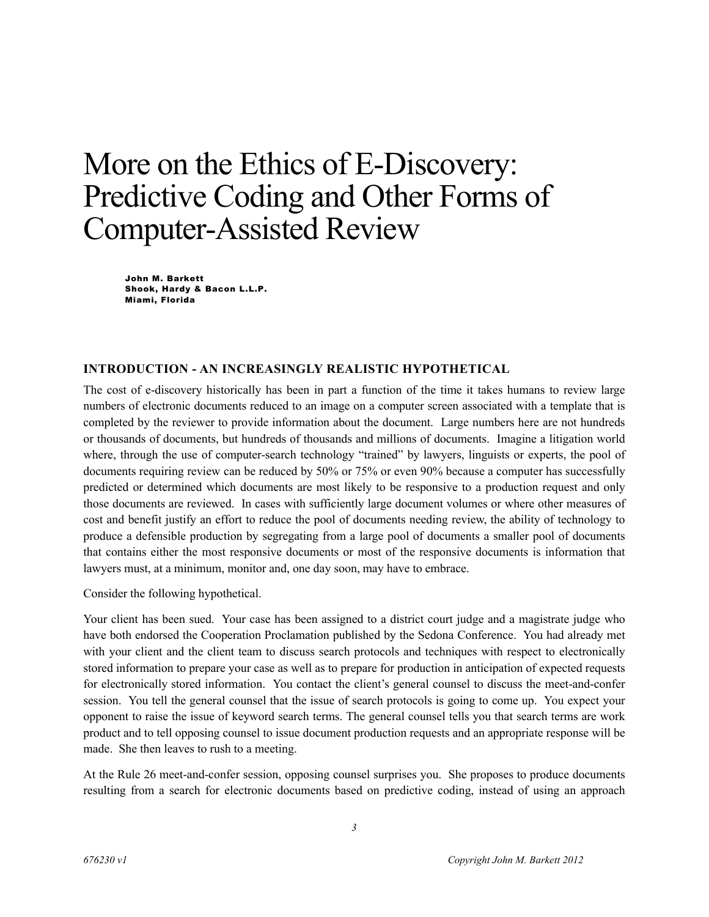# More on the Ethics of E-Discovery: Predictive Coding and Other Forms of Computer-Assisted Review

**John M. Barkett Shook, Hardy & Bacon L.L.P. Miami, Florida**

## **INTRODUCTION - AN INCREASINGLY REALISTIC HYPOTHETICAL**

The cost of e-discovery historically has been in part a function of the time it takes humans to review large numbers of electronic documents reduced to an image on a computer screen associated with a template that is completed by the reviewer to provide information about the document. Large numbers here are not hundreds or thousands of documents, but hundreds of thousands and millions of documents. Imagine a litigation world where, through the use of computer-search technology "trained" by lawyers, linguists or experts, the pool of documents requiring review can be reduced by 50% or 75% or even 90% because a computer has successfully predicted or determined which documents are most likely to be responsive to a production request and only those documents are reviewed. In cases with sufficiently large document volumes or where other measures of cost and benefit justify an effort to reduce the pool of documents needing review, the ability of technology to produce a defensible production by segregating from a large pool of documents a smaller pool of documents that contains either the most responsive documents or most of the responsive documents is information that lawyers must, at a minimum, monitor and, one day soon, may have to embrace.

Consider the following hypothetical.

Your client has been sued. Your case has been assigned to a district court judge and a magistrate judge who have both endorsed the Cooperation Proclamation published by the Sedona Conference. You had already met with your client and the client team to discuss search protocols and techniques with respect to electronically stored information to prepare your case as well as to prepare for production in anticipation of expected requests for electronically stored information. You contact the client's general counsel to discuss the meet-and-confer session. You tell the general counsel that the issue of search protocols is going to come up. You expect your opponent to raise the issue of keyword search terms. The general counsel tells you that search terms are work product and to tell opposing counsel to issue document production requests and an appropriate response will be made. She then leaves to rush to a meeting.

At the Rule 26 meet-and-confer session, opposing counsel surprises you. She proposes to produce documents resulting from a search for electronic documents based on predictive coding, instead of using an approach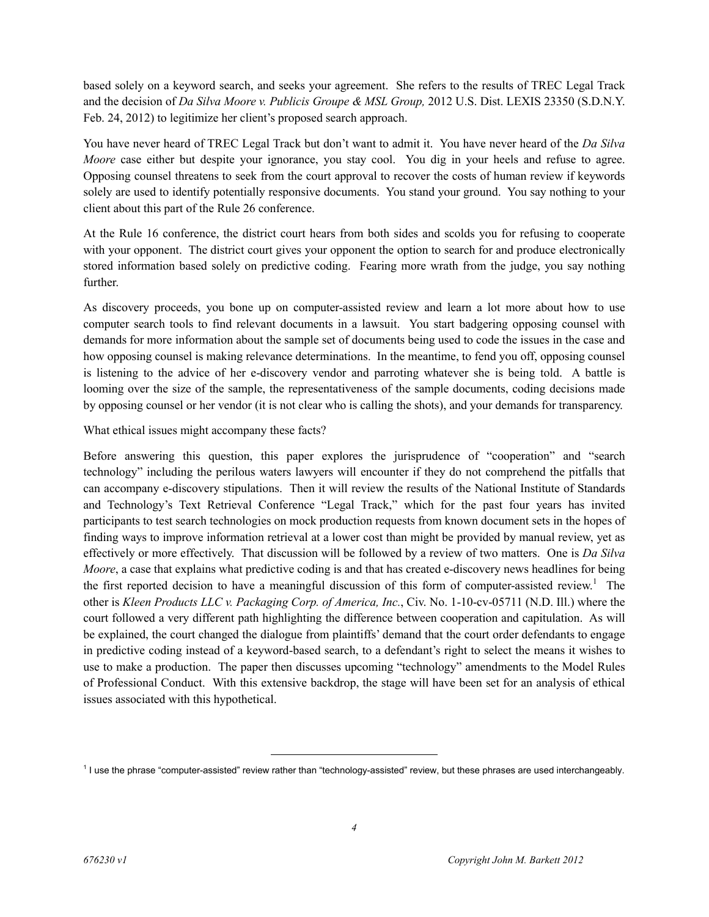based solely on a keyword search, and seeks your agreement. She refers to the results of TREC Legal Track and the decision of *Da Silva Moore v. Publicis Groupe & MSL Group,* 2012 U.S. Dist. LEXIS 23350 (S.D.N.Y. Feb. 24, 2012) to legitimize her client's proposed search approach.

You have never heard of TREC Legal Track but don't want to admit it. You have never heard of the *Da Silva Moore* case either but despite your ignorance, you stay cool. You dig in your heels and refuse to agree. Opposing counsel threatens to seek from the court approval to recover the costs of human review if keywords solely are used to identify potentially responsive documents. You stand your ground. You say nothing to your client about this part of the Rule 26 conference.

At the Rule 16 conference, the district court hears from both sides and scolds you for refusing to cooperate with your opponent. The district court gives your opponent the option to search for and produce electronically stored information based solely on predictive coding. Fearing more wrath from the judge, you say nothing further.

As discovery proceeds, you bone up on computer-assisted review and learn a lot more about how to use computer search tools to find relevant documents in a lawsuit. You start badgering opposing counsel with demands for more information about the sample set of documents being used to code the issues in the case and how opposing counsel is making relevance determinations. In the meantime, to fend you off, opposing counsel is listening to the advice of her e-discovery vendor and parroting whatever she is being told. A battle is looming over the size of the sample, the representativeness of the sample documents, coding decisions made by opposing counsel or her vendor (it is not clear who is calling the shots), and your demands for transparency.

What ethical issues might accompany these facts?

Before answering this question, this paper explores the jurisprudence of "cooperation" and "search technology" including the perilous waters lawyers will encounter if they do not comprehend the pitfalls that can accompany e-discovery stipulations. Then it will review the results of the National Institute of Standards and Technology's Text Retrieval Conference "Legal Track," which for the past four years has invited participants to test search technologies on mock production requests from known document sets in the hopes of finding ways to improve information retrieval at a lower cost than might be provided by manual review, yet as effectively or more effectively. That discussion will be followed by a review of two matters. One is *Da Silva Moore*, a case that explains what predictive coding is and that has created e-discovery news headlines for being the first reported decision to have a meaningful discussion of this form of computer-assisted review.<sup>1</sup> The other is *Kleen Products LLC v. Packaging Corp. of America, Inc.*, Civ. No. 1-10-cv-05711 (N.D. Ill.) where the court followed a very different path highlighting the difference between cooperation and capitulation. As will be explained, the court changed the dialogue from plaintiffs' demand that the court order defendants to engage in predictive coding instead of a keyword-based search, to a defendant's right to select the means it wishes to use to make a production. The paper then discusses upcoming "technology" amendments to the Model Rules of Professional Conduct. With this extensive backdrop, the stage will have been set for an analysis of ethical issues associated with this hypothetical.

<sup>&</sup>lt;sup>1</sup> I use the phrase "computer-assisted" review rather than "technology-assisted" review, but these phrases are used interchangeably.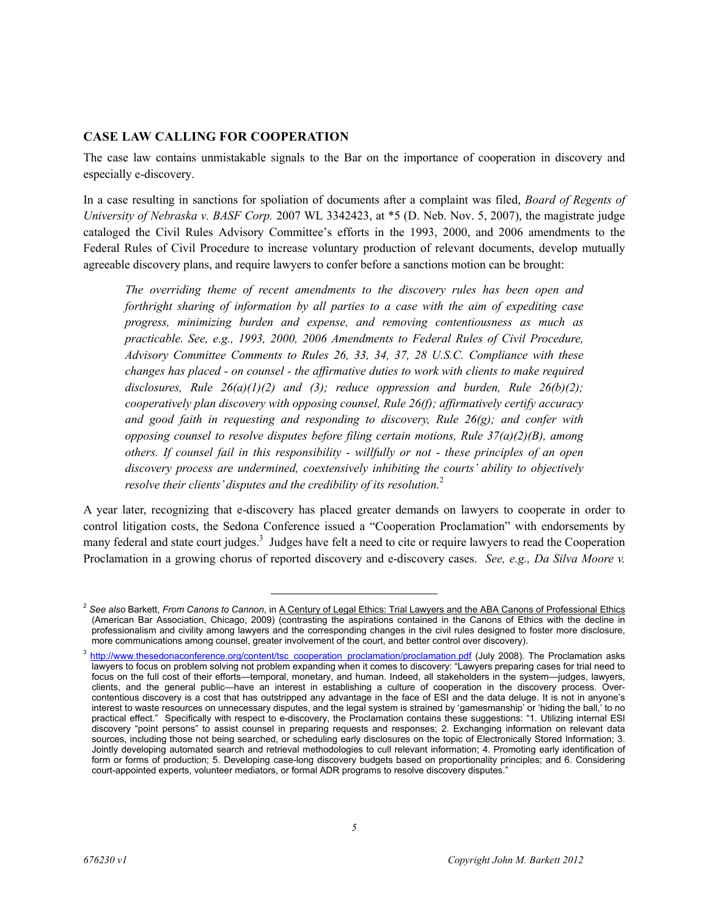## <span id="page-4-0"></span>**CASE LAW CALLING FOR COOPERATION**

The case law contains unmistakable signals to the Bar on the importance of cooperation in discovery and especially e-discovery.

In a case resulting in sanctions for spoliation of documents after a complaint was filed, *Board of Regents of University of Nebraska v. BASF Corp.* 2007 WL 3342423, at \*5 (D. Neb. Nov. 5, 2007), the magistrate judge cataloged the Civil Rules Advisory Committee's efforts in the 1993, 2000, and 2006 amendments to the Federal Rules of Civil Procedure to increase voluntary production of relevant documents, develop mutually agreeable discovery plans, and require lawyers to confer before a sanctions motion can be brought:

*The overriding theme of recent amendments to the discovery rules has been open and forthright sharing of information by all parties to a case with the aim of expediting case progress, minimizing burden and expense, and removing contentiousness as much as practicable. See, e.g., 1993, 2000, 2006 Amendments to Federal Rules of Civil Procedure, Advisory Committee Comments to Rules 26, 33, 34, 37, 28 U.S.C. Compliance with these changes has placed - on counsel - the affirmative duties to work with clients to make required disclosures, Rule 26(a)(1)(2) and (3); reduce [oppression and burde](http://www.westlaw.com/Find/Default.wl?rs=FIPI1.0&vr=2.0&DB=1006362&DocName=NERDISR26&FindType=L)n, Rule 26(b)(2); cooperatively plan discovery with opposing counsel, Rule 26(f); affirmatively certify accuracy and good faith in requesting and responding to discovery, Rule 26(g); and confer with opposing counsel to resolve disputes before filing certain motions, Rule 37(a)(2)(B), among others. If counsel fail in this responsibility - willfully or not - these principles of an open discovery process are undermined, coextensively inhibiting the courts' ability to objectively resolve their clients' disputes and the credibility of its resolution.*<sup>2</sup>

A year later, recognizing that e-discovery has placed greater demands on lawyers to cooperate in order to control litigation costs, the Sedona Conference issued a "Cooperation Proclamation" with endorsements by many federal and state court judges.<sup>3</sup> Judges have felt a need to cite or require lawyers to read the Cooperation Proclamation in a growing chorus of reported discovery and e-discovery cases. *See, e.g., Da Silva Moore v.*

<sup>2</sup> *See also* Barkett, *From Canons to Cannon*, in A Century of Legal Ethics: Trial Lawyers and the ABA Canons of Professional Ethics (American Bar Association, Chicago, 2009) (contrasting the aspirations contained in the Canons of Ethics with the decline in professionalism and civility among lawyers and the corresponding changes in the civil rules designed to foster more disclosure, more communications among counsel, greater involvement of the court, and better control over discovery).

<sup>&</sup>lt;sup>3</sup> http://www.thesedonaconference.org/content/tsc\_cooperation\_proclamation/proclamation.pdf (July 2008). The Proclamation asks lawyers to focus on problem solving not problem expanding when it comes to discovery: "Lawyers preparing cases for trial need to focus on the full cost of their efforts—temporal, monetary, and human. Indeed, all stakeholders in the system—judges, lawyers, clients, and the general public—have an interest in establishing a culture of cooperation in the discovery process. Overcontentious discovery is a cost that has outstripped any advantage in the face of ESI and the data deluge. It is not in anyone's interest to waste resources on unnecessary disputes, and the legal system is strained by 'gamesmanship' or 'hiding the ball,' to no practical effect." Specifically with respect to e-discovery, the Proclamation contains these suggestions: "1. Utilizing internal ESI discovery "point persons" to assist counsel in preparing requests and responses; 2. Exchanging information on relevant data sources, including those not being searched, or scheduling early disclosures on the topic of Electronically Stored Information; 3. Jointly developing automated search and retrieval methodologies to cull relevant information; 4. Promoting early identification of form or forms of production; 5. Developing case-long discovery budgets based on proportionality principles; and 6. Considering court-appointed experts, volunteer mediators, or formal ADR programs to resolve discovery disputes."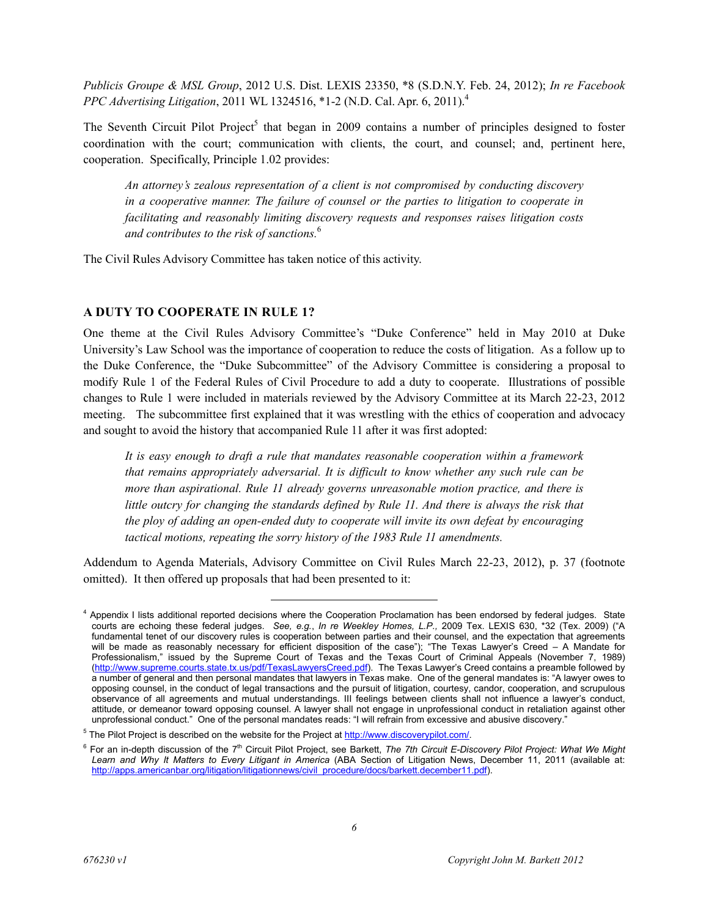*Publicis Groupe & MSL Group*, 2012 U.S. Dist. LEXIS 23350, \*8 (S.D.N.Y. Feb. 24, 2012); *In re Facebook PPC Advertising Litigation*, 2011 WL 1324516, \*1-2 (N.D. Cal. Apr. 6, 2011).<sup>4</sup>

The Seventh Circuit Pilot Project<sup>5</sup> that began in 2009 contains a number of principles designed to foster coordination with the court; communication with clients, the court, and counsel; and, pertinent here, cooperation. Specifically, Principle 1.02 provides:

*An attorney's zealous representation of a client is not compromised by conducting discovery in a cooperative manner. The failure of counsel or the parties to litigation to cooperate in facilitating and reasonably limiting discovery requests and responses raises litigation costs and contributes to the risk of sanctions.*<sup>6</sup>

<span id="page-5-0"></span>The Civil Rules Advisory Committee has taken notice of this activity.

# **A DUTY TO COOPERATE IN RULE 1?**

One theme at the Civil Rules Advisory Committee's "Duke Conference" held in May 2010 at Duke University's Law School was the importance of cooperation to reduce the costs of litigation. As a follow up to the Duke Conference, the "Duke Subcommittee" of the Advisory Committee is considering a proposal to modify Rule 1 of the Federal Rules of Civil Procedure to add a duty to cooperate. Illustrations of possible changes to Rule 1 were included in materials reviewed by the Advisory Committee at its March 22-23, 2012 meeting. The subcommittee first explained that it was wrestling with the ethics of cooperation and advocacy and sought to avoid the history that accompanied Rule 11 after it was first adopted:

*It is easy enough to draft a rule that mandates reasonable cooperation within a framework that remains appropriately adversarial. It is difficult to know whether any such rule can be more than aspirational. Rule 11 already governs unreasonable motion practice, and there is little outcry for changing the standards defined by Rule 11. And there is always the risk that the ploy of adding an open-ended duty to cooperate will invite its own defeat by encouraging tactical motions, repeating the sorry history of the 1983 Rule 11 amendments.*

Addendum to Agenda Materials, Advisory Committee on Civil Rules March 22-23, 2012), p. 37 (footnote omitted). It then offered up proposals that had been presented to it:

<sup>&</sup>lt;sup>4</sup> Appendix I lists additional reported decisions where the Cooperation Proclamation has been endorsed by federal judges. State courts are echoing these federal judges. *See, e.g.*, *In re Weekley Homes, L.P.,* 2009 Tex. LEXIS 630, \*32 (Tex. 2009) ("A fundamental tenet of our discovery rules is cooperation between parties and their counsel, and the expectation that agreements will be made as reasonably necessary for efficient disposition of the case"); "The Texas Lawyer's Creed - A Mandate for Professionalism," issued by the Supreme Court of Texas and the Texas Court of Criminal Appeals (November 7, 1989) (http://www.supreme.courts.state.tx.us/pdf/TexasLawyersCreed.pdf). The Texas Lawyer's Creed contains a preamble followed by a number of general and then personal mandates that lawyers in Texas make. One of the general mandates is: "A lawyer owes to opposing counsel, in the conduct of legal transactions and the pursuit of litigation, courtesy, candor, cooperation, and scrupulous observance of all agreements and mutual understandings. III feelings between clients shall not influence a lawyer's conduct, attitude, or demeanor toward opposing counsel. A lawyer shall not engage in unprofessional conduct in retaliation against other unprofessional conduct." One of the personal mandates reads: "I will refrain from excessive and abusive discovery."

<sup>&</sup>lt;sup>5</sup> The Pilot Project is described on the website for the Project at http://www.discoverypilot.com/.

<sup>&</sup>lt;sup>6</sup> For an in-depth discussion of the 7<sup>th</sup> Circuit Pilot Project, see Barkett, The 7th Circuit E-Discovery Pilot Project: What We Might *Learn and Why It Matters to Every Litigant in America* (ABA Section of Litigation News, December 11, 2011 (available at: http://apps.americanbar.org/litigation/litigationnews/civil\_procedure/docs/barkett.december11.pdf).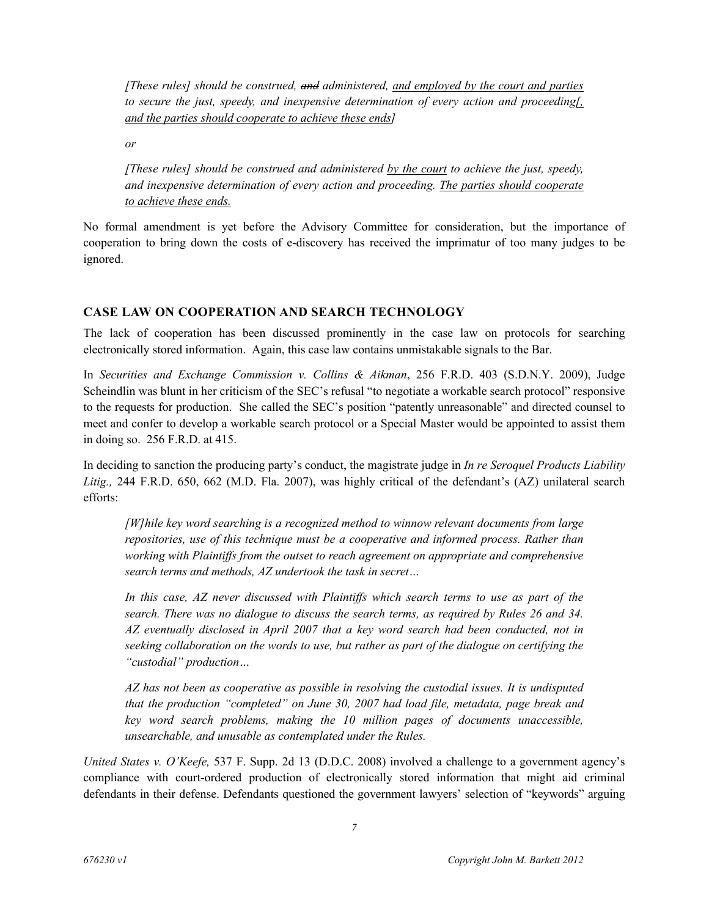*[These rules] should be construed, and administered, and employed by the court and parties to secure the just, speedy, and inexpensive determination of every action and proceeding[, and the parties should cooperate to achieve these ends]*

*or*

*[These rules] should be construed and administered by the court to achieve the just, speedy, and inexpensive determination of every action and proceeding. The parties should cooperate to achieve these ends.*

No formal amendment is yet before the Advisory Committee for consideration, but the importance of cooperation to bring down the costs of e-discovery has received the imprimatur of too many judges to be ignored.

# <span id="page-6-0"></span>**CASE LAW ON COOPERATION AND SEARCH TECHNOLOGY**

The lack of cooperation has been discussed prominently in the case law on protocols for searching electronically stored information. Again, this case law contains unmistakable signals to the Bar.

In *Securities and Exchange Commission v. Collins & Aikman*, 256 F.R.D. 403 (S.D.N.Y. 2009), Judge Scheindlin was blunt in her criticism of the SEC's refusal "to negotiate a workable search protocol" responsive to the requests for production. She called the SEC's position "patently unreasonable" and directed counsel to meet and confer to develop a workable search protocol or a Special Master would be appointed to assist them in doing so. 256 F.R.D. at 415.

In deciding to sanction the producing party's conduct, the magistrate judge in *In re Seroquel Products Liability Litig.,* 244 F.R.D. 650, 662 (M.D. Fla. 2007), was highly critical of the defendant's (AZ) unilateral search efforts:

*[W]hile key word searching is a recognized method to winnow relevant documents from large repositories, use of this technique must be a cooperative and informed process. Rather than working with Plaintiffs from the outset to reach agreement on appropriate and comprehensive search terms and methods, AZ undertook the task in secret…*

*In this case, AZ never discussed with Plaintiffs which search terms to use as part of the search. There was no dialogue to discuss the search terms, as required by Rules 26 and 34. AZ eventually disclosed in April 2007 that a key word search had been conducted, not in seeking collaboration on the words to use, but rather as part of the dialogue on certifying the "custodial" production…*

*AZ has not been as cooperative as possible in resolving the custodial issues. It is undisputed that the production "completed" on June 30, 2007 had load file, metadata, page break and key word search problems, making the 10 million pages of documents unaccessible, unsearchable, and unusable as contemplated under the Rules.*

*United States v. O'Keefe,* 537 F. Supp. 2d 13 (D.D.C. 2008) involved a challenge to a government agency's compliance with court-ordered production of electronically stored information that might aid criminal defendants in their defense. Defendants questioned the government lawyers' selection of "keywords" arguing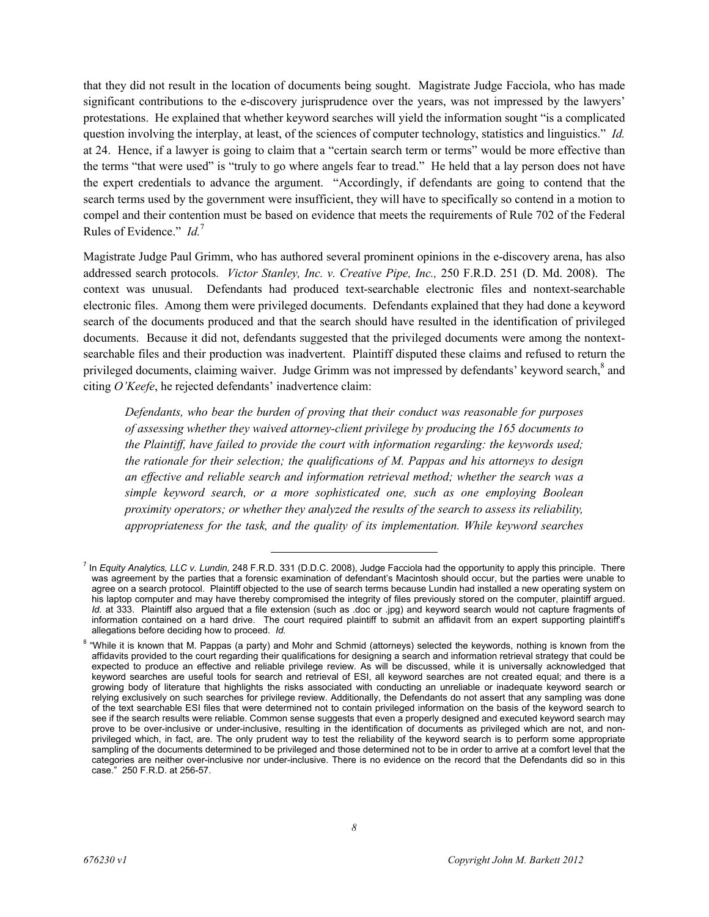that they did not result in the location of documents being sought. Magistrate Judge Facciola, who has made significant contributions to the e-discovery jurisprudence over the years, was not impressed by the lawyers' protestations. He explained that whether keyword searches will yield the information sought "is a complicated question involving the interplay, at least, of the sciences of computer technology, statistics and linguistics." *Id.* [at 24. Hence, if a lawyer is going to claim that a "certain search term or terms" would be more effective than](http://www.westlaw.com/Find/Default.wl?rs=FIPI1.0&vr=2.0&DB=1004365&DocName=USFRER702&FindType=L) the terms "that were used" is "truly to go where angels fear to tread." He held that a lay person does not have the expert credentials to advance the argument. "Accordingly, if defendants are going to contend that the search terms used by the government were insufficient, they will have to specifically so contend in a motion to compel and their contention must be based on evidence that meets the requirements of Rule 702 of the Federal Rules of Evidence." *Id.*<sup>7</sup>

Magistrate Judge Paul Grimm, who has authored several prominent opinions in the e-discovery arena, has also addressed search protocols. *Victor Stanley, Inc. v. Creative Pipe, Inc.,* 250 F.R.D. 251 (D. Md. 2008). The context was unusual. Defendants had produced text-searchable electronic files and nontext-searchable electronic files. Among them were privileged documents. Defendants explained that they had done a keyword search of the documents produced and that the search should have resulted in the identification of privileged documents. Because it did not, defendants suggested that the privileged documents were among the nontextsearchable files and their production was inadvertent. Plaintiff disputed these claims and refused to return the privileged documents, claiming waiver. Judge Grimm was not impressed by defendants' keyword search, <sup>8</sup> and citing *O'Keefe*, he rejected defendants' inadvertence claim:

*Defendants, who bear the burden of proving that their conduct was reasonable for purposes of assessing whether they waived attorney-client privilege by producing the 165 documents to the Plaintiff, have failed to provide the court with information regarding: the keywords used; the rationale for their selection; the qualifications of M. Pappas and his attorneys to design an effective and reliable search and information retrieval method; whether the search was a simple keyword search, or a more sophisticated one, such as one employing Boolean proximity operators; or whether they analyzed the results of the search to assess its reliability, appropriateness for the task, and the quality of its implementation. While keyword searches* 

<sup>7</sup> In *Equity Analytics, LLC v. Lundin,* 248 F.R.D. 331 (D.D.C. 2008), Judge Facciola had the opportunity to apply this principle. There was agreement by the parties that a forensic examination of defendant's Macintosh should occur, but the parties were unable to agree on a search protocol. Plaintiff objected to the use of search terms because Lundin had installed a new operating system on his laptop computer and may have thereby compromised the integrity of files previously stored on the computer, plaintiff argued. *Id.* at 333. Plaintiff also argued that a file extension (such as .doc or .jpg) and keyword search would not capture fragments of information contained on a hard drive. The court required plaintiff to submit an affidavit from an expert supporting plaintiff's allegations before deciding how to proceed. *Id.*

<sup>&</sup>lt;sup>8</sup> "While it is known that M. Pappas (a party) and Mohr and Schmid (attorneys) selected the keywords, nothing is known from the affidavits provided to the court regarding their qualifications for designing a search and information retrieval strategy that could be expected to produce an effective and reliable privilege review. As will be discussed, while it is universally acknowledged that keyword searches are useful tools for search and retrieval of ESI, all keyword searches are not created equal; and there is a growing body of literature that highlights the risks associated with conducting an unreliable or inadequate keyword search or relying exclusively on such searches for privilege review. Additionally, the Defendants do not assert that any sampling was done of the text searchable ESI files that were determined not to contain privileged information on the basis of the keyword search to see if the search results were reliable. Common sense suggests that even a properly designed and executed keyword search may prove to be over-inclusive or under-inclusive, resulting in the identification of documents as privileged which are not, and nonprivileged which, in fact, are. The only prudent way to test the reliability of the keyword search is to perform some appropriate sampling of the documents determined to be privileged and those determined not to be in order to arrive at a comfort level that the categories are neither over-inclusive nor under-inclusive. There is no evidence on the record that the Defendants did so in this case." 250 F.R.D. at 256-57.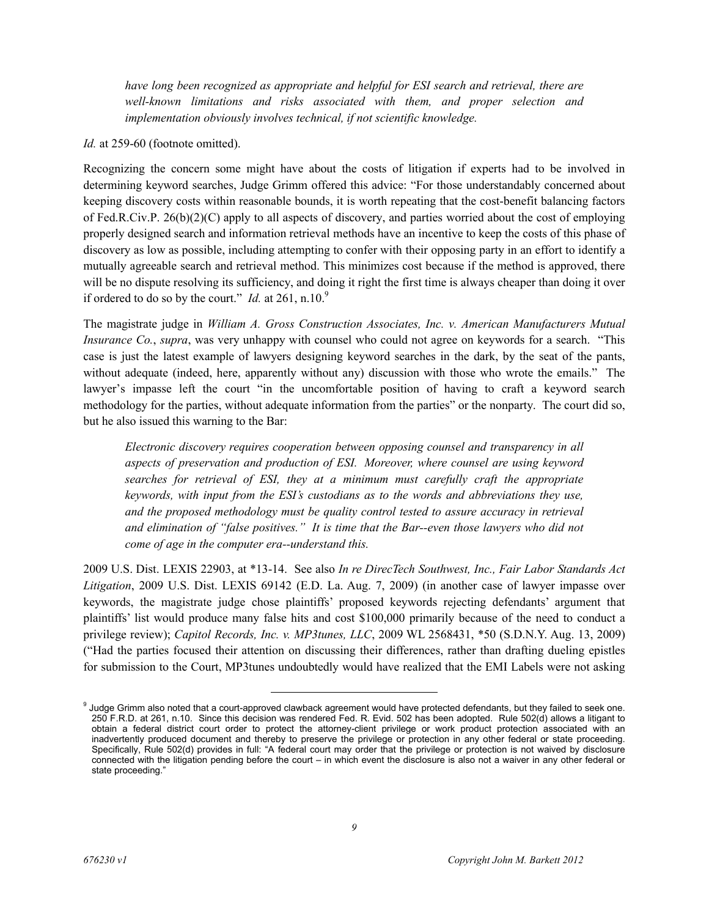*have long been recognized as appropriate and helpful for ESI search and retrieval, there are [well-known limitat](http://www.westlaw.com/Find/Default.wl?rs=FIPI1.0&vr=2.0&DB=1004365&DocName=USFRCPR26&FindType=L)ions and risks associated with them, and proper selection and implementation obviously involves technical, if not scientific knowledge.*

#### *Id.* at 259-60 (footnote omitted).

Recognizing the concern some might have about the costs of litigation if experts had to be involved in determining keyword searches, Judge Grimm offered this advice: "For those understandably concerned about keeping discovery costs within reasonable bounds, it is worth repeating that the cost-benefit balancing factors of Fed.R.Civ.P. 26(b)(2)(C) apply to all aspects of discovery, and parties worried about the cost of employing properly designed search and information retrieval methods have an incentive to keep the costs of this phase of discovery as low as possible, including attempting to confer with their opposing party in an effort to identify a mutually agreeable search and retrieval method. This minimizes cost because if the method is approved, there will be no dispute resolving its sufficiency, and doing it right the first time is always cheaper than doing it over if ordered to do so by the court." *Id.* at 261, n.10.<sup>9</sup>

The magistrate judge in *William A. Gross Construction Associates, Inc. v. American Manufacturers Mutual Insurance Co., <i>supra*, was very unhappy with counsel who could not agree on keywords for a search. "This case is just the latest example of lawyers designing keyword searches in the dark, by the seat of the pants, without adequate (indeed, here, apparently without any) discussion with those who wrote the emails." The lawyer's impasse left the court "in the uncomfortable position of having to craft a keyword search methodology for the parties, without adequate information from the parties" or the nonparty. The court did so, but he also issued this warning to the Bar:

*Electronic discovery requires cooperation between opposing counsel and transparency in all aspects of preservation and production of ESI. Moreover, where counsel are using keyword searches for retrieval of ESI, they at a minimum must carefully craft the appropriate keywords, with input from the ESI's custodians as to the words and abbreviations they use, and the proposed methodology must be quality control tested to assure accuracy in retrieval and elimination of "false positives." It is time that the Bar--even those lawyers who did not come of age in the computer era--understand this.*

2009 U.S. Dist. LEXIS 22903, at \*13-14. See also *In re DirecTech Southwest, Inc., Fair Labor Standards Act Litigation*, 2009 U.S. Dist. LEXIS 69142 (E.D. La. Aug. 7, 2009) (in another case of lawyer impasse over keywords, the magistrate judge chose plaintiffs' proposed keywords rejecting defendants' argument that plaintiffs' list would produce many false hits and cost \$100,000 primarily because of the need to conduct a privilege review); *Capitol Records, Inc. v. MP3tunes, LLC*, 2009 WL 2568431, \*50 (S.D.N.Y. Aug. 13, 2009) ("Had the parties focused their attention on discussing their differences, rather than drafting dueling epistles for submission to the Court, MP3tunes undoubtedly would have realized that the EMI Labels were not asking

<span id="page-8-0"></span><sup>&</sup>lt;sup>9</sup> Judge Grimm also noted that a court-approved clawback agreement would have protected defendants, but they failed to seek one. 250 F.R.D. at 261, n.10. Since this decision was rendered Fed. R. Evid. 502 has been adopted. Rule 502(d) allows a litigant to obtain a federal district court order to protect the attorney-client privilege or work product protection associated with an inadvertently produced document and thereby to preserve the privilege or protection in any other federal or state proceeding. Specifically, Rule 502(d) provides in full: "A federal court may order that the privilege or protection is not waived by disclosure connected with the litigation pending before the court – in which event the disclosure is also not a waiver in any other federal or state proceeding."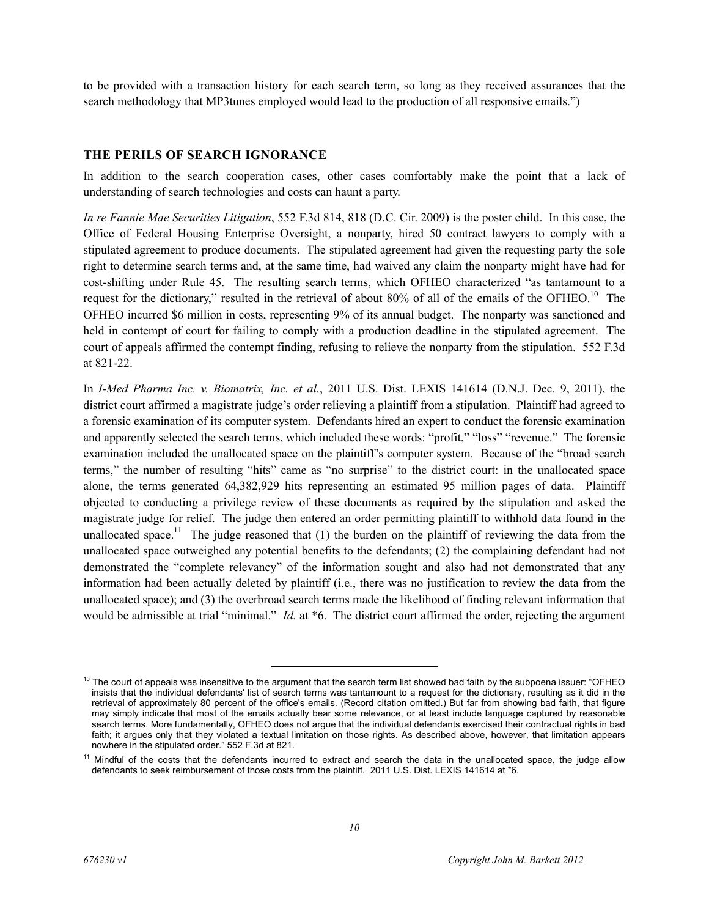to be provided with a transaction history for each search term, so long as they received assurances that the search methodology that MP3tunes employed would lead to the production of all responsive emails.")

## **THE PERILS OF SEARCH IGNORANCE**

In addition to the search cooperation cases, other cases comfortably make the point that a lack of understanding of search technologies and costs can haunt a party.

*In re Fannie Mae Securities Litigation*, 552 F.3d 814, 818 (D.C. Cir. 2009) is the poster child. In this case, the Office of Federal Housing Enterprise Oversight, a nonparty, hired 50 contract lawyers to comply with a stipulated agreement to produce documents. The stipulated agreement had given the requesting party the sole right to determine search terms and, at the same time, had waived any claim the nonparty might have had for cost-shifting under Rule 45. The resulting search terms, which OFHEO characterized "as tantamount to a request for the dictionary," resulted in the retrieval of about 80% of all of the emails of the OFHEO.<sup>10</sup> The OFHEO incurred \$6 million in costs, representing 9% of its annual budget. The nonparty was sanctioned and held in contempt of court for failing to comply with a production deadline in the stipulated agreement. The court of appeals affirmed the contempt finding, refusing to relieve the nonparty from the stipulation. 552 F.3d at 821-22.

In *I-Med Pharma Inc. v. Biomatrix, Inc. et al.*, 2011 U.S. Dist. LEXIS 141614 (D.N.J. Dec. 9, 2011), the district court affirmed a magistrate judge's order relieving a plaintiff from a stipulation. Plaintiff had agreed to a forensic examination of its computer system. Defendants hired an expert to conduct the forensic examination and apparently selected the search terms, which included these words: "profit," "loss" "revenue." The forensic examination included the unallocated space on the plaintiff's computer system. Because of the "broad search terms," the number of resulting "hits" came as "no surprise" to the district court: in the unallocated space alone, the terms generated 64,382,929 hits representing an estimated 95 million pages of data. Plaintiff objected to conducting a privilege review of these documents as required by the stipulation and asked the magistrate judge for relief. The judge then entered an order permitting plaintiff to withhold data found in the unallocated space.<sup>11</sup> The judge reasoned that (1) the burden on the plaintiff of reviewing the data from the unallocated space outweighed any potential benefits to the defendants; (2) the complaining defendant had not demonstrated the "complete relevancy" of the information sought and also had not demonstrated that any information had been actually deleted by plaintiff (i.e., there was no justification to review the data from the unallocated space); and (3) the overbroad search terms made the likelihood of finding relevant information that would be admissible at trial "minimal." *Id.* at \*6. The district court affirmed the order, rejecting the argument

 $10$  The court of appeals was insensitive to the argument that the search term list showed bad faith by the subpoena issuer: "OFHEO insists that the individual defendants' list of search terms was tantamount to a request for the dictionary, resulting as it did in the retrieval of approximately 80 percent of the office's emails. (Record citation omitted.) But far from showing bad faith, that figure may simply indicate that most of the emails actually bear some relevance, or at least include language captured by reasonable search terms. More fundamentally, OFHEO does not argue that the individual defendants exercised their contractual rights in bad faith; it argues only that they violated a textual limitation on those rights. As described above, however, that limitation appears nowhere in the stipulated order." 552 F.3d at 821.

<sup>&</sup>lt;sup>11</sup> Mindful of the costs that the defendants incurred to extract and search the data in the unallocated space, the judge allow defendants to seek reimbursement of those costs from the plaintiff. 2011 U.S. Dist. LEXIS 141614 at \*6.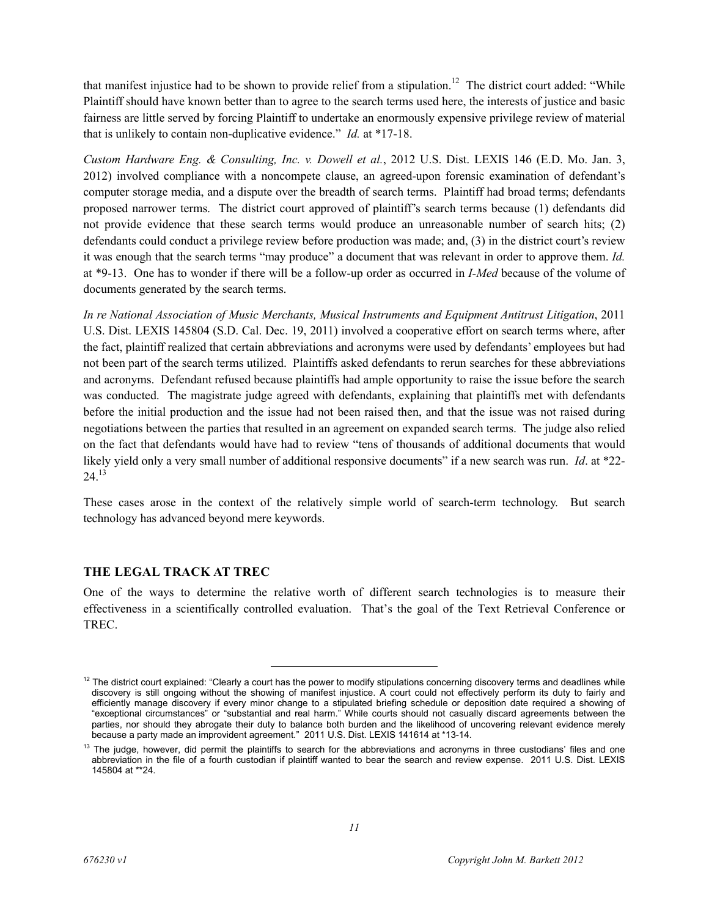that manifest injustice had to be shown to provide relief from a stipulation.<sup>12</sup> The district court added: "While Plaintiff should have known better than to agree to the search terms used here, the interests of justice and basic fairness are little served by forcing Plaintiff to undertake an enormously expensive privilege review of material that is unlikely to contain non-duplicative evidence." *Id.* at \*17-18.

*Custom Hardware Eng. & Consulting, Inc. v. Dowell et al.*, 2012 U.S. Dist. LEXIS 146 (E.D. Mo. Jan. 3, 2012) involved compliance with a noncompete clause, an agreed-upon forensic examination of defendant's computer storage media, and a dispute over the breadth of search terms. Plaintiff had broad terms; defendants proposed narrower terms. The district court approved of plaintiff's search terms because (1) defendants did not provide evidence that these search terms would produce an unreasonable number of search hits; (2) defendants could conduct a privilege review before production was made; and, (3) in the district court's review it was enough that the search terms "may produce" a document that was relevant in order to approve them. *Id.* at \*9-13. One has to wonder if there will be a follow-up order as occurred in *I-Med* because of the volume of documents generated by the search terms.

*In re National Association of Music Merchants, Musical Instruments and Equipment Antitrust Litigation*, 2011 U.S. Dist. LEXIS 145804 (S.D. Cal. Dec. 19, 2011) involved a cooperative effort on search terms where, after the fact, plaintiff realized that certain abbreviations and acronyms were used by defendants' employees but had not been part of the search terms utilized. Plaintiffs asked defendants to rerun searches for these abbreviations and acronyms. Defendant refused because plaintiffs had ample opportunity to raise the issue before the search was conducted. The magistrate judge agreed with defendants, explaining that plaintiffs met with defendants before the initial production and the issue had not been raised then, and that the issue was not raised during negotiations between the parties that resulted in an agreement on expanded search terms. The judge also relied on the fact that defendants would have had to review "tens of thousands of additional documents that would likely yield only a very small number of additional responsive documents" if a new search was run. *Id*. at \*22-  $24^{13}$ 

<span id="page-10-0"></span>These cases arose in the context of the relatively simple world of search-term technology. But search technology has advanced beyond mere keywords.

## **THE LEGAL TRACK AT TREC**

One of the ways to determine the relative worth of different search technologies is to measure their effectiveness in a scientifically controlled evaluation. That's the goal of the Text Retrieval Conference or TREC.

 $12$  The district court explained: "Clearly a court has the power to modify stipulations concerning discovery terms and deadlines while discovery is still ongoing without the showing of manifest injustice. A court could not effectively perform its duty to fairly and efficiently manage discovery if every minor change to a stipulated briefing schedule or deposition date required a showing of "exceptional circumstances" or "substantial and real harm." While courts should not casually discard agreements between the parties, nor should they abrogate their duty to balance both burden and the likelihood of uncovering relevant evidence merely because a party made an improvident agreement." 2011 U.S. Dist. LEXIS 141614 at \*13-14.

 $13$  The judge, however, did permit the plaintiffs to search for the abbreviations and acronyms in three custodians' files and one abbreviation in the file of a fourth custodian if plaintiff wanted to bear the search and review expense. 2011 U.S. Dist. LEXIS 145804 at \*\*24.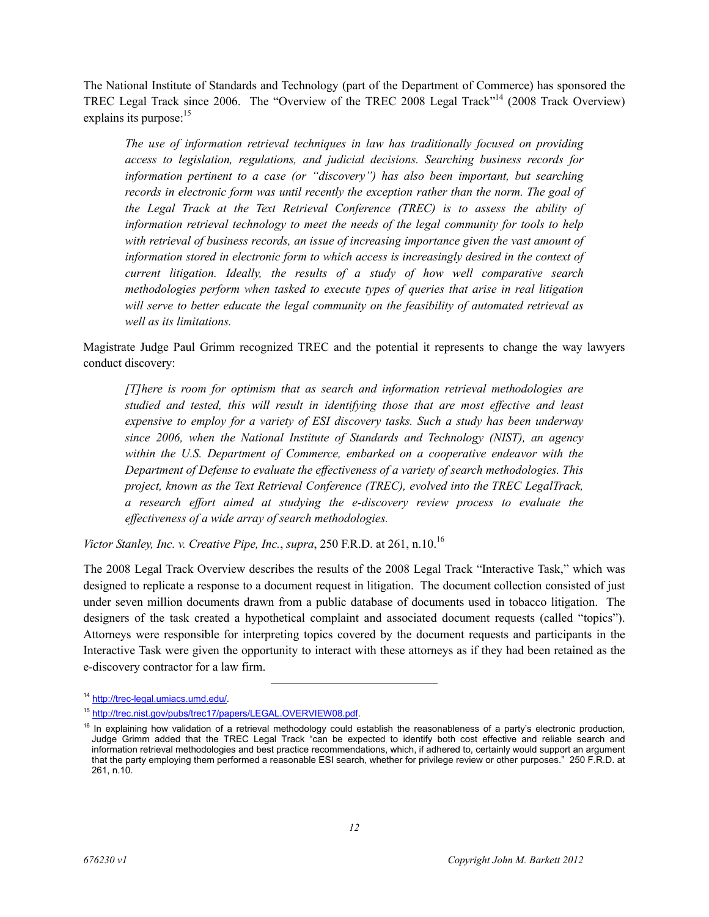The National Institute of Standards and Technology (part of the Department of Commerce) has sponsored the TREC Legal Track since 2006. The "Overview of the TREC 2008 Legal Track"<sup>14</sup> (2008 Track Overview) explains its purpose: $15$ 

*The use of information retrieval techniques in law has traditionally focused on providing access to legislation, regulations, and judicial decisions. Searching business records for information pertinent to a case (or "discovery") has also been important, but searching records in electronic form was until recently the exception rather than the norm. The goal of the Legal Track at the Text Retrieval Conference (TREC) is to assess the ability of information retrieval technology to meet the needs of the legal community for tools to help with retrieval of business records, an issue of increasing importance given the vast amount of information stored in electronic form to which access is increasingly desired in the context of current litigation. Ideally, the results of a study of how well comparative search methodologies perform when tasked to execute types of queries that arise in real litigation will serve to better educate the legal community on the feasibility of automated retrieval as well as its limitations.*

Magistrate Judge Paul Grimm recognized TREC and the potential it represents to change the way lawyers conduct discovery:

*[T]here is room for optimism that as search and information retrieval methodologies are studied and tested, this will result in identifying those that are most effective and least expensive to employ for a variety of ESI discovery tasks. Such a study has been underway since 2006, when the National Institute of Standards and Technology (NIST), an agency within the U.S. Department of Commerce, embarked on a cooperative endeavor with the Department of Defense to evaluate the effectiveness of a variety of search methodologies. This project, known as the Text Retrieval Conference (TREC), evolved into the TREC LegalTrack, a research effort aimed at studying the e-discovery review process to evaluate the effectiveness of a wide array of search methodologies.*

*Victor Stanley, Inc. v. Creative Pipe, Inc., <i>supra*, 250 F.R.D. at 261, n.10.<sup>16</sup>

 $\overline{a}$ 

The 2008 Legal Track Overview describes the results of the 2008 Legal Track "Interactive Task," which was designed to replicate a response to a document request in litigation. The document collection consisted of just under seven million documents drawn from a public database of documents used in tobacco litigation. The designers of the task created a hypothetical complaint and associated document requests (called "topics"). Attorneys were responsible for interpreting topics covered by the document requests and participants in the Interactive Task were given the opportunity to interact with these attorneys as if they had been retained as the e-discovery contractor for a law firm.

<sup>14</sup> http://trec-legal.umiacs.umd.edu/.

<sup>15</sup> http://trec.nist.gov/pubs/trec17/papers/LEGAL.OVERVIEW08.pdf.

 $16$  In explaining how validation of a retrieval methodology could establish the reasonableness of a party's electronic production, Judge Grimm added that the TREC Legal Track "can be expected to identify both cost effective and reliable search and information retrieval methodologies and best practice recommendations, which, if adhered to, certainly would support an argument that the party employing them performed a reasonable ESI search, whether for privilege review or other purposes." 250 F.R.D. at 261, n.10.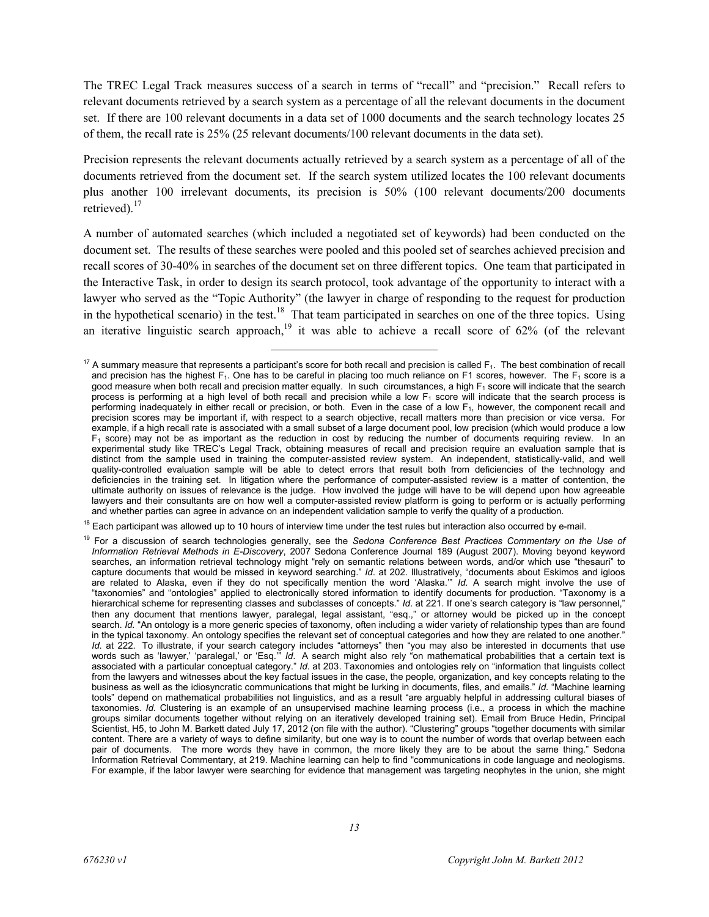The TREC Legal Track measures success of a search in terms of "recall" and "precision." Recall refers to relevant documents retrieved by a search system as a percentage of all the relevant documents in the document set. If there are 100 relevant documents in a data set of 1000 documents and the search technology locates 25 of them, the recall rate is 25% (25 relevant documents/100 relevant documents in the data set).

Precision represents the relevant documents actually retrieved by a search system as a percentage of all of the documents retrieved from the document set. If the search system utilized locates the 100 relevant documents plus another 100 irrelevant documents, its precision is 50% (100 relevant documents/200 documents retrieved).<sup>17</sup>

A number of automated searches (which included a negotiated set of keywords) had been conducted on the document set. The results of these searches were pooled and this pooled set of searches achieved precision and recall scores of 30-40% in searches of the document set on three different topics. One team that participated in the Interactive Task, in order to design its search protocol, took advantage of the opportunity to interact with a lawyer who served as the "Topic Authority" (the lawyer in charge of responding to the request for production in the hypothetical scenario) in the test.<sup>18</sup> That team participated in searches on one of the three topics. Using an iterative linguistic search approach,<sup>19</sup> it was able to achieve a recall score of  $62\%$  (of the relevant

 $\overline{a}$ 

<sup>18</sup> Each participant was allowed up to 10 hours of interview time under the test rules but interaction also occurred by e-mail.

 $17$  A summary measure that represents a participant's score for both recall and precision is called  $F_1$ . The best combination of recall and precision has the highest  $F_1$ . One has to be careful in placing too much reliance on F1 scores, however. The  $F_1$  score is a good measure when both recall and precision matter equally. In such circumstances, a high F<sub>1</sub> score will indicate that the search process is performing at a high level of both recall and precision while a low  $F_1$  score will indicate that the search process is performing inadequately in either recall or precision, or both. Even in the case of a low  $F_1$ , however, the component recall and precision scores may be important if, with respect to a search objective, recall matters more than precision or vice versa. For example, if a high recall rate is associated with a small subset of a large document pool, low precision (which would produce a low  $F_1$  score) may not be as important as the reduction in cost by reducing the number of documents requiring review. In an experimental study like TREC's Legal Track, obtaining measures of recall and precision require an evaluation sample that is distinct from the sample used in training the computer-assisted review system. An independent, statistically-valid, and well quality-controlled evaluation sample will be able to detect errors that result both from deficiencies of the technology and deficiencies in the training set. In litigation where the performance of computer-assisted review is a matter of contention, the ultimate authority on issues of relevance is the judge. How involved the judge will have to be will depend upon how agreeable lawyers and their consultants are on how well a computer-assisted review platform is going to perform or is actually performing and whether parties can agree in advance on an independent validation sample to verify the quality of a production.

<sup>19</sup> For a discussion of search technologies generally, see the *Sedona Conference Best Practices Commentary on the Use of Information Retrieval Methods in E-Discovery*, 2007 Sedona Conference Journal 189 (August 2007). Moving beyond keyword searches, an information retrieval technology might "rely on semantic relations between words, and/or which use "thesauri" to capture documents that would be missed in keyword searching." *Id*. at 202. Illustratively, "documents about Eskimos and igloos are related to Alaska, even if they do not specifically mention the word 'Alaska.'" *Id.* A search might involve the use of "taxonomies" and "ontologies" applied to electronically stored information to identify documents for production. "Taxonomy is a hierarchical scheme for representing classes and subclasses of concepts." *Id*. at 221. If one's search category is "law personnel," then any document that mentions lawyer, paralegal, legal assistant, "esq.," or attorney would be picked up in the concept search. *Id.* "An ontology is a more generic species of taxonomy, often including a wider variety of relationship types than are found in the typical taxonomy. An ontology specifies the relevant set of conceptual categories and how they are related to one another." *Id.* at 222. To illustrate, if your search category includes "attorneys" then "you may also be interested in documents that use words such as 'lawyer,' 'paralegal,' or 'Esq.'" *Id*. A search might also rely "on mathematical probabilities that a certain text is associated with a particular conceptual category." *Id*. at 203. Taxonomies and ontologies rely on "information that linguists collect from the lawyers and witnesses about the key factual issues in the case, the people, organization, and key concepts relating to the business as well as the idiosyncratic communications that might be lurking in documents, files, and emails." *Id*. "Machine learning tools" depend on mathematical probabilities not linguistics, and as a result "are arguably helpful in addressing cultural biases of taxonomies. *Id*. Clustering is an example of an unsupervised machine learning process (i.e., a process in which the machine groups similar documents together without relying on an iteratively developed training set). Email from Bruce Hedin, Principal Scientist, H5, to John M. Barkett dated July 17, 2012 (on file with the author). "Clustering" groups "together documents with similar content. There are a variety of ways to define similarity, but one way is to count the number of words that overlap between each pair of documents. The more words they have in common, the more likely they are to be about the same thing." Sedona Information Retrieval Commentary, at 219. Machine learning can help to find "communications in code language and neologisms. For example, if the labor lawyer were searching for evidence that management was targeting neophytes in the union, she might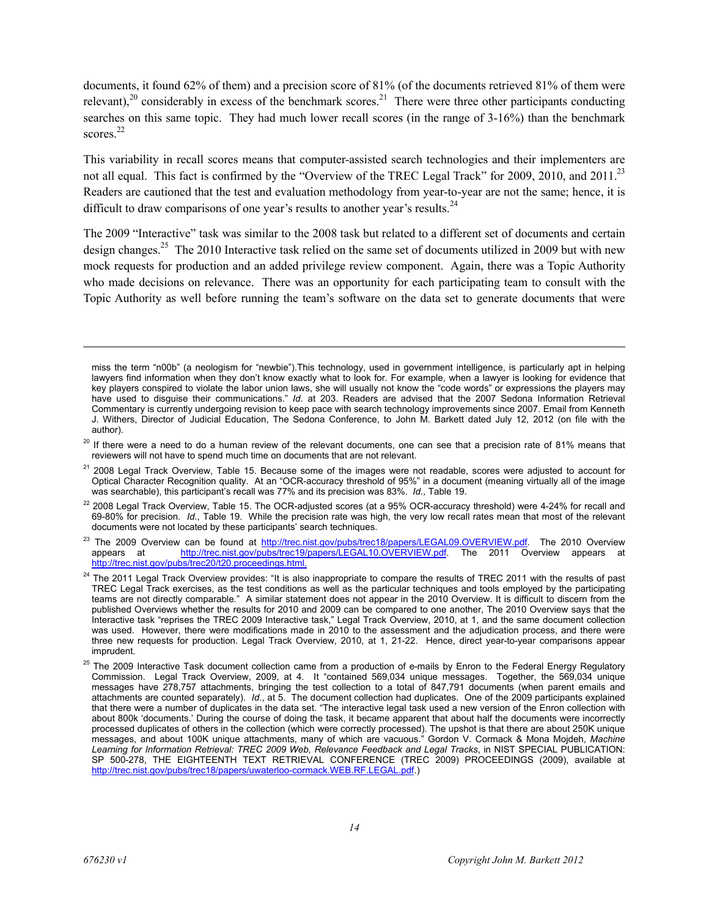documents, it found 62% of them) and a precision score of 81% (of the documents retrieved 81% of them were relevant),<sup>20</sup> considerably in excess of the benchmark scores.<sup>21</sup> There were three other participants conducting searches on this same topic. They had much lower recall scores (in the range of 3-16%) than the benchmark scores. 22

This variability in recall scores means that computer-assisted search technologies and their implementers are not all equal. This fact is confirmed by the "Overview of the TREC Legal Track" for 2009, 2010, and 2011.<sup>23</sup> Readers are cautioned that the test and evaluation methodology from year-to-year are not the same; hence, it is difficult to draw comparisons of one year's results to another year's results.<sup>24</sup>

The 2009 "Interactive" task was similar to the 2008 task but related to a different set of documents and certain design changes.<sup>25</sup> The 2010 Interactive task relied on the same set of documents utilized in 2009 but with new mock requests for production and an added privilege review component. Again, there was a Topic Authority who made decisions on relevance. There was an opportunity for each participating team to consult with the Topic Authority as well before running the team's software on the data set to generate documents that were

miss the term "n00b" (a neologism for "newbie").This technology, used in government intelligence, is particularly apt in helping lawyers find information when they don't know exactly what to look for. For example, when a lawyer is looking for evidence that key players conspired to violate the labor union laws, she will usually not know the "code words" or expressions the players may have used to disguise their communications." *Id*. at 203. Readers are advised that the 2007 Sedona Information Retrieval Commentary is currently undergoing revision to keep pace with search technology improvements since 2007. Email from Kenneth J. Withers, Director of Judicial Education, The Sedona Conference, to John M. Barkett dated July 12, 2012 (on file with the author).

<sup>&</sup>lt;sup>20</sup> If there were a need to do a human review of the relevant documents, one can see that a precision rate of 81% means that reviewers will not have to spend much time on documents that are not relevant.

<sup>&</sup>lt;sup>21</sup> 2008 Legal Track Overview, Table 15. Because some of the images were not readable, scores were adjusted to account for Optical Character Recognition quality. At an "OCR-accuracy threshold of 95%" in a document (meaning virtually all of the image was searchable), this participant's recall was 77% and its precision was 83%. *Id.,* Table 19.

 $^{22}$  2008 Legal Track Overview, Table 15. The OCR-adjusted scores (at a 95% OCR-accuracy threshold) were 4-24% for recall and 69-80% for precision. *Id.*, Table 19. While the precision rate was high, the very low recall rates mean that most of the relevant documents were not located by these participants' search techniques.

<sup>&</sup>lt;sup>23</sup> The 2009 Overview can be found at http://trec.nist.gov/pubs/trec18/papers/LEGAL09.OVERVIEW.pdf. The 2010 Overview appears at http://trec.nist.gov/pubs/trec19/papers/LEGAL10.OVERVIEW.pdf. The 2011 Overview appears at http://trec.nist.gov/pubs/trec20/t20.proceedings.html.

<sup>&</sup>lt;sup>24</sup> The 2011 Legal Track Overview provides: "It is also inappropriate to compare the results of TREC 2011 with the results of past TREC Legal Track exercises, as the test conditions as well as the particular techniques and tools employed by the participating teams are not directly comparable." A similar statement does not appear in the 2010 Overview. It is difficult to discern from the published Overviews whether the results for 2010 and 2009 can be compared to one another, The 2010 Overview says that the Interactive task "reprises the TREC 2009 Interactive task," Legal Track Overview, 2010, at 1, and the same document collection was used. However, there were modifications made in 2010 to the assessment and the adjudication process, and there were three new requests for production. Legal Track Overview, 2010, at 1, 21-22. Hence, direct year-to-year comparisons appear imprudent.

<sup>&</sup>lt;sup>25</sup> The 2009 Interactive Task document collection came from a production of e-mails by Enron to the Federal Energy Regulatory Commission. Legal Track Overview, 2009, at 4. It "contained 569,034 unique messages. Together, the 569,034 unique messages have 278,757 attachments, bringing the test collection to a total of 847,791 documents (when parent emails and attachments are counted separately). *Id.*, at 5. The document collection had duplicates. One of the 2009 participants explained that there were a number of duplicates in the data set. "The interactive legal task used a new version of the Enron collection with about 800k 'documents.' During the course of doing the task, it became apparent that about half the documents were incorrectly processed duplicates of others in the collection (which were correctly processed). The upshot is that there are about 250K unique messages, and about 100K unique attachments, many of which are vacuous." Gordon V. Cormack & Mona Mojdeh, *Machine Learning for Information Retrieval: TREC 2009 Web, Relevance Feedback and Legal Tracks*, in NIST SPECIAL PUBLICATION: SP 500-278, THE EIGHTEENTH TEXT RETRIEVAL CONFERENCE (TREC 2009) PROCEEDINGS (2009), available at http://trec.nist.gov/pubs/trec18/papers/uwaterloo-cormack.WEB.RF.LEGAL.pdf.)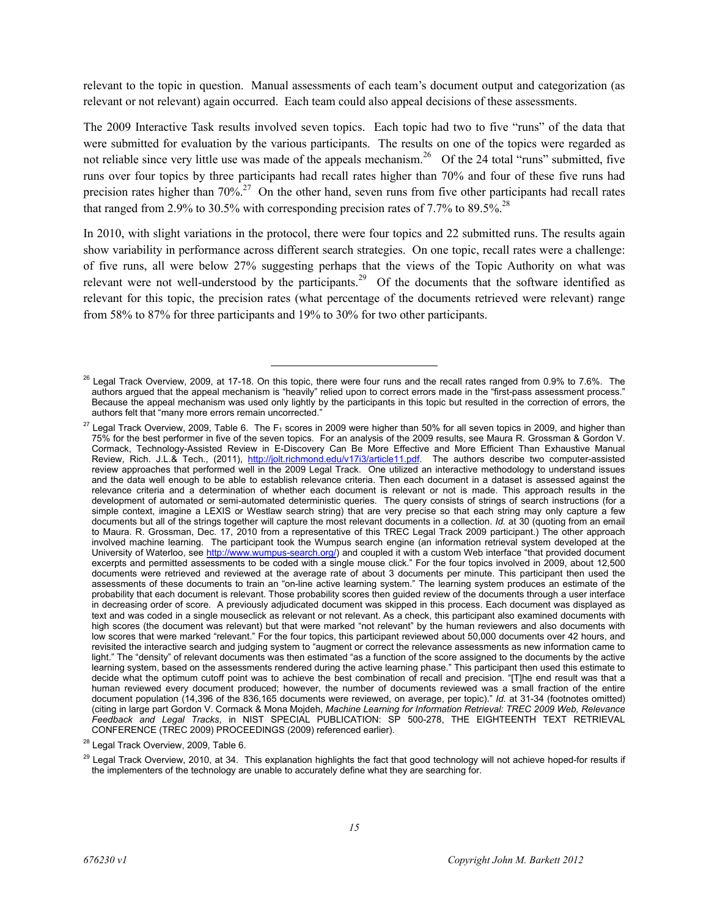relevant to the topic in question. Manual assessments of each team's document output and categorization (as relevant or not relevant) again occurred. Each team could also appeal decisions of these assessments.

The 2009 Interactive Task results involved seven topics. Each topic had two to five "runs" of the data that were submitted for evaluation by the various participants. The results on one of the topics were regarded as not reliable since very little use was made of the appeals mechanism.<sup>26</sup> Of the 24 total "runs" submitted, five runs over four topics by three participants had recall rates higher than 70% and four of these five runs had precision rates higher than  $70\%$ <sup>27</sup> On the other hand, seven runs from five other participants had recall rates that ranged from 2.9% to 30.5% with corresponding precision rates of 7.7% to 89.5%.<sup>28</sup>

In 2010, with slight variations in the protocol, there were four topics and 22 submitted runs. The results again show variability in performance across different search strategies. On one topic, recall rates were a challenge: of five runs, all were below 27% suggesting perhaps that the views of the Topic Authority on what was relevant were not well-understood by the participants.<sup>29</sup> Of the documents that the software identified as relevant for this topic, the precision rates (what percentage of the documents retrieved were relevant) range from 58% to 87% for three participants and 19% to 30% for two other participants.

 $\overline{a}$ 

<sup>28</sup> Legal Track Overview, 2009, Table 6.

 $^{29}$  Legal Track Overview, 2010, at 34. This explanation highlights the fact that good technology will not achieve hoped-for results if the implementers of the technology are unable to accurately define what they are searching for.

<sup>&</sup>lt;sup>26</sup> Legal Track Overview, 2009, at 17-18. On this topic, there were four runs and the recall rates ranged from 0.9% to 7.6%. The authors argued that the appeal mechanism is "heavily" relied upon to correct errors made in the "first-pass assessment process." Because the appeal mechanism was used only lightly by the participants in this topic but resulted in the correction of errors, the authors felt that "many more errors remain uncorrected."

 $^{27}$  Legal Track Overview, 2009, Table 6. The F<sub>1</sub> scores in 2009 were higher than 50% for all seven topics in 2009, and higher than 75% for the best performer in five of the seven topics. For an analysis of the 2009 results, see Maura R. Grossman & Gordon V. Cormack, Technology-Assisted Review in E-Discovery Can Be More Effective and More Efficient Than Exhaustive Manual Review, Rich. J.L.& Tech., (2011), http://jolt.richmond.edu/v17i3/article11.pdf. The authors describe two computer-assisted review approaches that performed well in the 2009 Legal Track. One utilized an interactive methodology to understand issues and the data well enough to be able to establish relevance criteria. Then each document in a dataset is assessed against the relevance criteria and a determination of whether each document is relevant or not is made. This approach results in the development of automated or semi-automated deterministic queries. The query consists of strings of search instructions (for a simple context, imagine a LEXIS or Westlaw search string) that are very precise so that each string may only capture a few documents but all of the strings together will capture the most relevant documents in a collection. *Id.* at 30 (quoting from an email to Maura. R. Grossman, Dec. 17, 2010 from a representative of this TREC Legal Track 2009 participant.) The other approach involved machine learning. The participant took the Wumpus search engine (an information retrieval system developed at the University of Waterloo, see http://www.wumpus-search.org/) and coupled it with a custom Web interface "that provided document excerpts and permitted assessments to be coded with a single mouse click." For the four topics involved in 2009, about 12,500 documents were retrieved and reviewed at the average rate of about 3 documents per minute. This participant then used the assessments of these documents to train an "on-line active learning system." The learning system produces an estimate of the probability that each document is relevant. Those probability scores then guided review of the documents through a user interface in decreasing order of score. A previously adjudicated document was skipped in this process. Each document was displayed as text and was coded in a single mouseclick as relevant or not relevant. As a check, this participant also examined documents with high scores (the document was relevant) but that were marked "not relevant" by the human reviewers and also documents with low scores that were marked "relevant." For the four topics, this participant reviewed about 50,000 documents over 42 hours, and revisited the interactive search and judging system to "augment or correct the relevance assessments as new information came to light." The "density" of relevant documents was then estimated "as a function of the score assigned to the documents by the active learning system, based on the assessments rendered during the active learning phase." This participant then used this estimate to decide what the optimum cutoff point was to achieve the best combination of recall and precision. "[T]he end result was that a human reviewed every document produced; however, the number of documents reviewed was a small fraction of the entire document population (14,396 of the 836,165 documents were reviewed, on average, per topic)." *Id.* at 31-34 (footnotes omitted) (citing in large part Gordon V. Cormack & Mona Mojdeh, *Machine Learning for Information Retrieval: TREC 2009 Web, Relevance Feedback and Legal Tracks*, in NIST SPECIAL PUBLICATION: SP 500-278, THE EIGHTEENTH TEXT RETRIEVAL CONFERENCE (TREC 2009) PROCEEDINGS (2009) referenced earlier).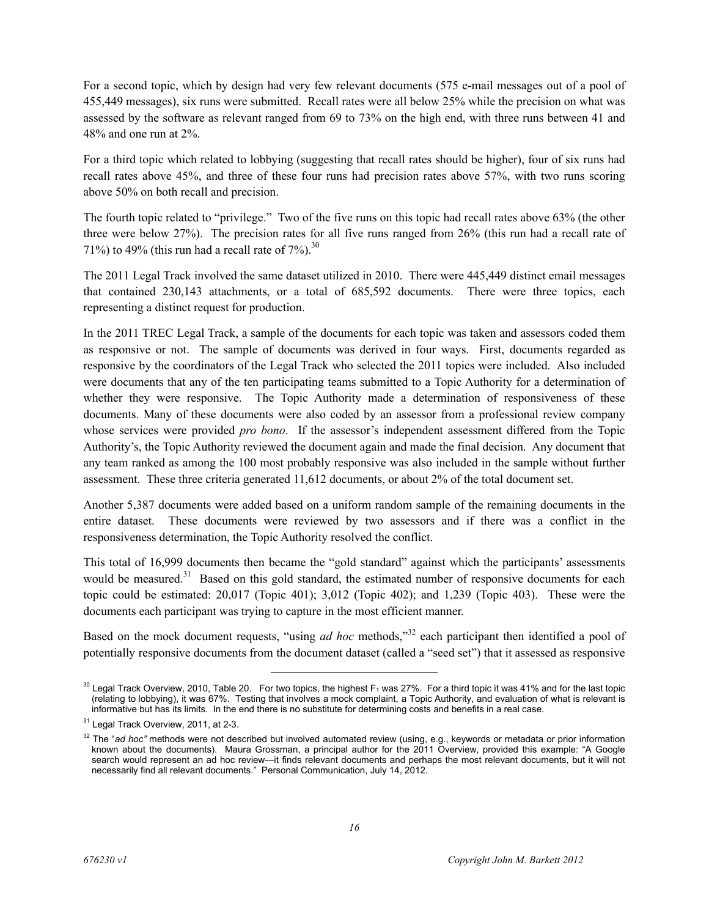For a second topic, which by design had very few relevant documents (575 e-mail messages out of a pool of 455,449 messages), six runs were submitted. Recall rates were all below 25% while the precision on what was assessed by the software as relevant ranged from 69 to 73% on the high end, with three runs between 41 and 48% and one run at 2%.

For a third topic which related to lobbying (suggesting that recall rates should be higher), four of six runs had recall rates above 45%, and three of these four runs had precision rates above 57%, with two runs scoring above 50% on both recall and precision.

The fourth topic related to "privilege." Two of the five runs on this topic had recall rates above 63% (the other three were below 27%). The precision rates for all five runs ranged from 26% (this run had a recall rate of 71%) to 49% (this run had a recall rate of  $7\%$ ).<sup>30</sup>

The 2011 Legal Track involved the same dataset utilized in 2010. There were 445,449 distinct email messages that contained 230,143 attachments, or a total of 685,592 documents. There were three topics, each representing a distinct request for production.

In the 2011 TREC Legal Track, a sample of the documents for each topic was taken and assessors coded them as responsive or not. The sample of documents was derived in four ways. First, documents regarded as responsive by the coordinators of the Legal Track who selected the 2011 topics were included. Also included were documents that any of the ten participating teams submitted to a Topic Authority for a determination of whether they were responsive. The Topic Authority made a determination of responsiveness of these documents. Many of these documents were also coded by an assessor from a professional review company whose services were provided *pro bono*. If the assessor's independent assessment differed from the Topic Authority's, the Topic Authority reviewed the document again and made the final decision. Any document that any team ranked as among the 100 most probably responsive was also included in the sample without further assessment. These three criteria generated 11,612 documents, or about 2% of the total document set.

Another 5,387 documents were added based on a uniform random sample of the remaining documents in the entire dataset. These documents were reviewed by two assessors and if there was a conflict in the responsiveness determination, the Topic Authority resolved the conflict.

This total of 16,999 documents then became the "gold standard" against which the participants' assessments would be measured.<sup>31</sup> Based on this gold standard, the estimated number of responsive documents for each topic could be estimated: 20,017 (Topic 401); 3,012 (Topic 402); and 1,239 (Topic 403). These were the documents each participant was trying to capture in the most efficient manner.

Based on the mock document requests, "using *ad hoc* methods,"<sup>32</sup> each participant then identified a pool of potentially responsive documents from the document dataset (called a "seed set") that it assessed as responsive

 $30$  Legal Track Overview, 2010, Table 20. For two topics, the highest F<sub>1</sub> was 27%. For a third topic it was 41% and for the last topic (relating to lobbying), it was 67%. Testing that involves a mock complaint, a Topic Authority, and evaluation of what is relevant is informative but has its limits. In the end there is no substitute for determining costs and benefits in a real case.

<sup>&</sup>lt;sup>31</sup> Legal Track Overview, 2011, at 2-3.

<sup>&</sup>lt;sup>32</sup> The "ad hoc" methods were not described but involved automated review (using, e.g., keywords or metadata or prior information known about the documents). Maura Grossman, a principal author for the 2011 Overview, provided this example: "A Google search would represent an ad hoc review—it finds relevant documents and perhaps the most relevant documents, but it will not necessarily find all relevant documents." Personal Communication, July 14, 2012.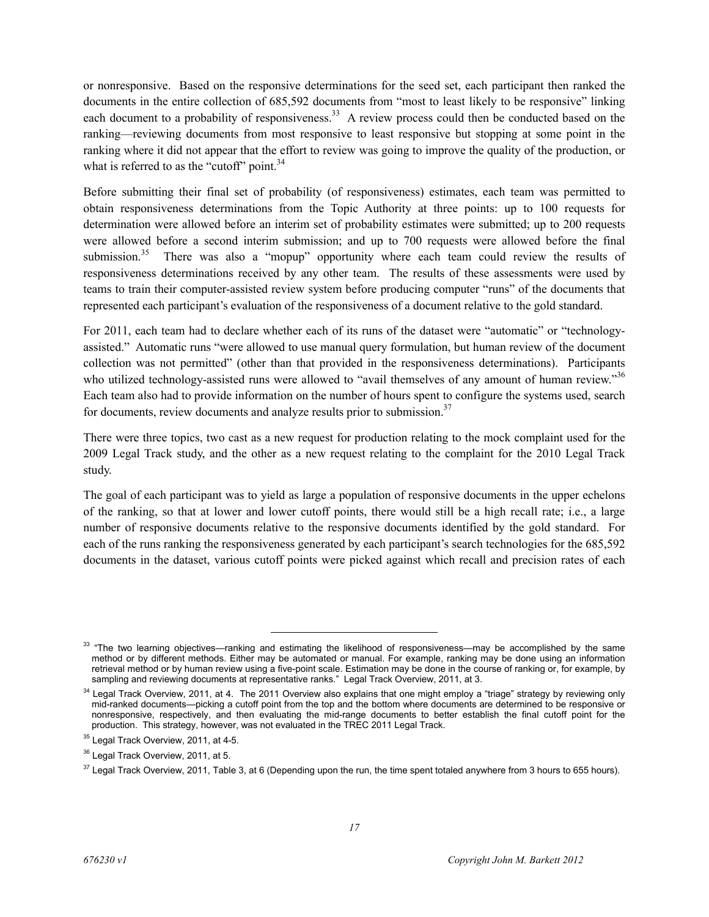or nonresponsive. Based on the responsive determinations for the seed set, each participant then ranked the documents in the entire collection of 685,592 documents from "most to least likely to be responsive" linking each document to a probability of responsiveness.<sup>33</sup> A review process could then be conducted based on the ranking—reviewing documents from most responsive to least responsive but stopping at some point in the ranking where it did not appear that the effort to review was going to improve the quality of the production, or what is referred to as the "cutoff" point. $34$ 

Before submitting their final set of probability (of responsiveness) estimates, each team was permitted to obtain responsiveness determinations from the Topic Authority at three points: up to 100 requests for determination were allowed before an interim set of probability estimates were submitted; up to 200 requests were allowed before a second interim submission; and up to 700 requests were allowed before the final submission.<sup>35</sup> There was also a "mopup" opportunity where each team could review the results of responsiveness determinations received by any other team. The results of these assessments were used by teams to train their computer-assisted review system before producing computer "runs" of the documents that represented each participant's evaluation of the responsiveness of a document relative to the gold standard.

For 2011, each team had to declare whether each of its runs of the dataset were "automatic" or "technologyassisted." Automatic runs "were allowed to use manual query formulation, but human review of the document collection was not permitted" (other than that provided in the responsiveness determinations). Participants who utilized technology-assisted runs were allowed to "avail themselves of any amount of human review."<sup>36</sup> Each team also had to provide information on the number of hours spent to configure the systems used, search for documents, review documents and analyze results prior to submission.<sup>37</sup>

There were three topics, two cast as a new request for production relating to the mock complaint used for the 2009 Legal Track study, and the other as a new request relating to the complaint for the 2010 Legal Track study.

The goal of each participant was to yield as large a population of responsive documents in the upper echelons of the ranking, so that at lower and lower cutoff points, there would still be a high recall rate; i.e., a large number of responsive documents relative to the responsive documents identified by the gold standard. For each of the runs ranking the responsiveness generated by each participant's search technologies for the 685,592 documents in the dataset, various cutoff points were picked against which recall and precision rates of each

 $33$  "The two learning objectives—ranking and estimating the likelihood of responsiveness—may be accomplished by the same method or by different methods. Either may be automated or manual. For example, ranking may be done using an information retrieval method or by human review using a five-point scale. Estimation may be done in the course of ranking or, for example, by sampling and reviewing documents at representative ranks." Legal Track Overview, 2011, at 3.

<sup>&</sup>lt;sup>34</sup> Legal Track Overview, 2011, at 4. The 2011 Overview also explains that one might employ a "triage" strategy by reviewing only mid-ranked documents—picking a cutoff point from the top and the bottom where documents are determined to be responsive or nonresponsive, respectively, and then evaluating the mid-range documents to better establish the final cutoff point for the production. This strategy, however, was not evaluated in the TREC 2011 Legal Track.

<sup>&</sup>lt;sup>35</sup> Legal Track Overview, 2011, at 4-5.

<sup>&</sup>lt;sup>36</sup> Legal Track Overview, 2011, at 5.

 $37$  Legal Track Overview, 2011, Table 3, at 6 (Depending upon the run, the time spent totaled anywhere from 3 hours to 655 hours).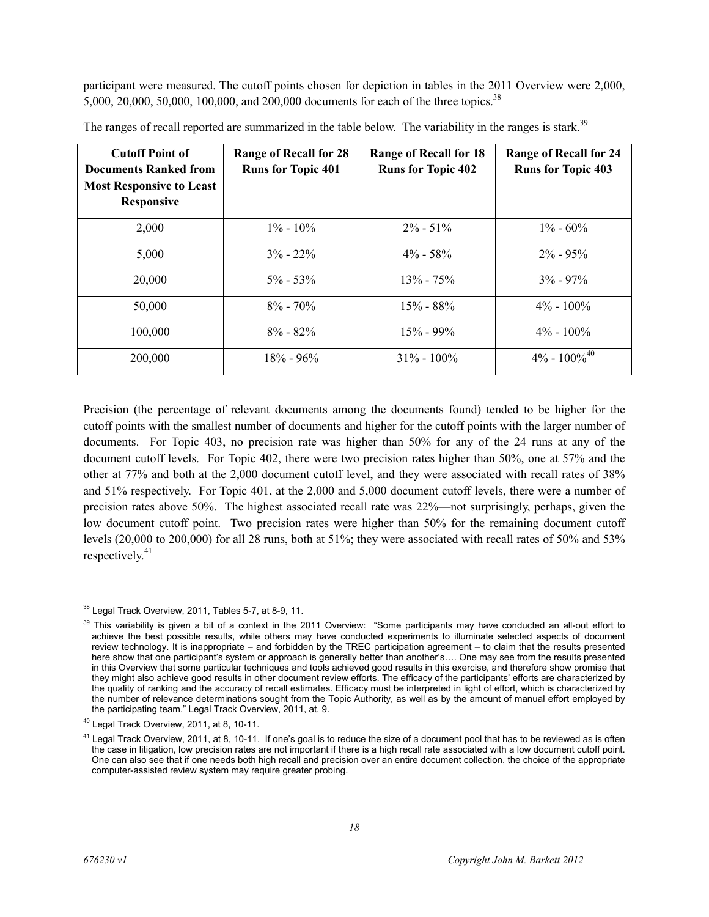participant were measured. The cutoff points chosen for depiction in tables in the 2011 Overview were 2,000, 5,000, 20,000, 50,000, 100,000, and 200,000 documents for each of the three topics.<sup>38</sup>

| <b>Cutoff Point of</b><br><b>Documents Ranked from</b><br><b>Most Responsive to Least</b><br><b>Responsive</b> | <b>Range of Recall for 28</b><br><b>Runs for Topic 401</b> | <b>Range of Recall for 18</b><br><b>Runs for Topic 402</b> | <b>Range of Recall for 24</b><br><b>Runs for Topic 403</b> |
|----------------------------------------------------------------------------------------------------------------|------------------------------------------------------------|------------------------------------------------------------|------------------------------------------------------------|
| 2,000                                                                                                          | $1\% - 10\%$                                               | $2\% - 51\%$                                               | $1\% - 60\%$                                               |
| 5,000                                                                                                          | $3\% - 22\%$                                               | $4\% - 58\%$                                               | $2\% - 95\%$                                               |
| 20,000                                                                                                         | $5\% - 53\%$                                               | $13\% - 75\%$                                              | $3\% - 97\%$                                               |
| 50,000                                                                                                         | $8\% - 70\%$                                               | $15\% - 88\%$                                              | $4\% - 100\%$                                              |
| 100,000                                                                                                        | $8\% - 82\%$                                               | $15\% - 99\%$                                              | $4\% - 100\%$                                              |
| 200,000                                                                                                        | $18\% - 96\%$                                              | $31\% - 100\%$                                             | $4\%$ - $100\%$ <sup>40</sup>                              |

The ranges of recall reported are summarized in the table below. The variability in the ranges is stark.<sup>39</sup>

Precision (the percentage of relevant documents among the documents found) tended to be higher for the cutoff points with the smallest number of documents and higher for the cutoff points with the larger number of documents. For Topic 403, no precision rate was higher than 50% for any of the 24 runs at any of the document cutoff levels. For Topic 402, there were two precision rates higher than 50%, one at 57% and the other at 77% and both at the 2,000 document cutoff level, and they were associated with recall rates of 38% and 51% respectively. For Topic 401, at the 2,000 and 5,000 document cutoff levels, there were a number of precision rates above 50%. The highest associated recall rate was 22%—not surprisingly, perhaps, given the low document cutoff point. Two precision rates were higher than 50% for the remaining document cutoff levels (20,000 to 200,000) for all 28 runs, both at 51%; they were associated with recall rates of 50% and 53% respectively. 41

<sup>&</sup>lt;sup>38</sup> Legal Track Overview, 2011, Tables 5-7, at 8-9, 11.

<sup>&</sup>lt;sup>39</sup> This variability is given a bit of a context in the 2011 Overview: "Some participants may have conducted an all-out effort to achieve the best possible results, while others may have conducted experiments to illuminate selected aspects of document review technology. It is inappropriate – and forbidden by the TREC participation agreement – to claim that the results presented here show that one participant's system or approach is generally better than another's…. One may see from the results presented in this Overview that some particular techniques and tools achieved good results in this exercise, and therefore show promise that they might also achieve good results in other document review efforts. The efficacy of the participants' efforts are characterized by the quality of ranking and the accuracy of recall estimates. Efficacy must be interpreted in light of effort, which is characterized by the number of relevance determinations sought from the Topic Authority, as well as by the amount of manual effort employed by the participating team." Legal Track Overview, 2011, at. 9.

<sup>40</sup> Legal Track Overview, 2011, at 8, 10-11.

<sup>&</sup>lt;sup>41</sup> Legal Track Overview, 2011, at 8, 10-11. If one's goal is to reduce the size of a document pool that has to be reviewed as is often the case in litigation, low precision rates are not important if there is a high recall rate associated with a low document cutoff point. One can also see that if one needs both high recall and precision over an entire document collection, the choice of the appropriate computer-assisted review system may require greater probing.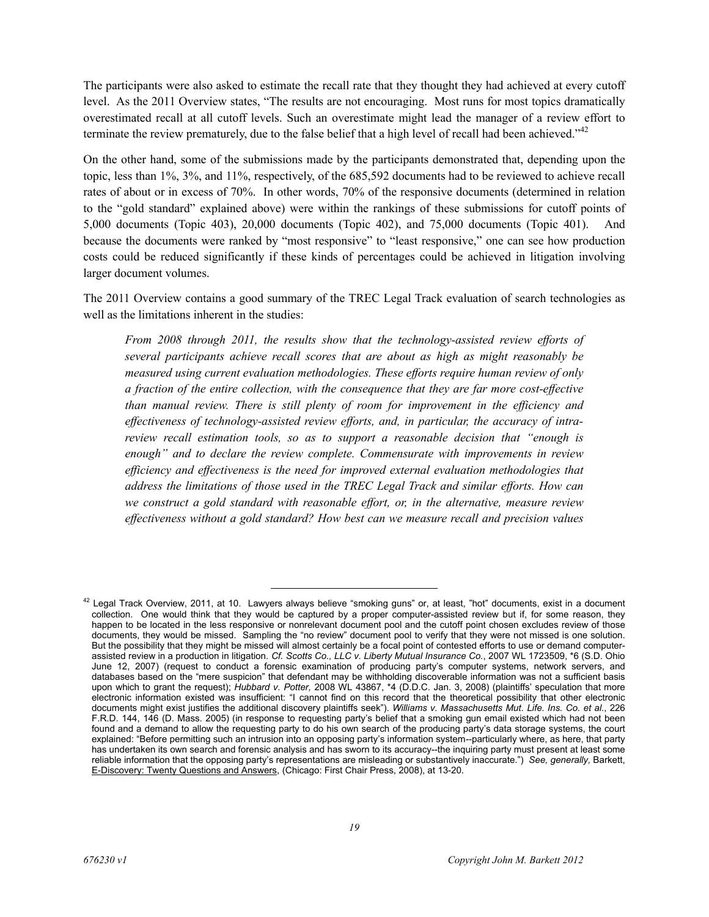The participants were also asked to estimate the recall rate that they thought they had achieved at every cutoff level. As the 2011 Overview states, "The results are not encouraging. Most runs for most topics dramatically overestimated recall at all cutoff levels. Such an overestimate might lead the manager of a review effort to terminate the review prematurely, due to the false belief that a high level of recall had been achieved."<sup>42</sup>

On the other hand, some of the submissions made by the participants demonstrated that, depending upon the topic, less than 1%, 3%, and 11%, respectively, of the 685,592 documents had to be reviewed to achieve recall rates of about or in excess of 70%. In other words, 70% of the responsive documents (determined in relation to the "gold standard" explained above) were within the rankings of these submissions for cutoff points of 5,000 documents (Topic 403), 20,000 documents (Topic 402), and 75,000 documents (Topic 401). And because the documents were ranked by "most responsive" to "least responsive," one can see how production costs could be reduced significantly if these kinds of percentages could be achieved in litigation involving larger document volumes.

The 2011 Overview contains a good summary of the TREC Legal Track evaluation of search technologies as well as the limitations inherent in the studies:

*From 2008 through 2011, the results show that the technology-assisted review efforts of several participants achieve recall scores that are about as high as might reasonably be measured using current evaluation methodologies. These efforts require human review of only a fraction of the entire collection, with the consequence that they are far more cost-effective than manual review. There is still plenty of room for improvement in the efficiency and effectiveness of technology-assisted review efforts, and, in particular, the accuracy of intrareview recall estimation tools, so as to support a reasonable decision that "enough is enough" and to declare the review complete. Commensurate with improvements in review efficiency and effectiveness is the need for improved external evaluation methodologies that address the limitations of those used in the TREC Legal Track and similar efforts. How can we construct a gold standard with reasonable effort, or, in the alternative, measure review effectiveness without a gold standard? How best can we measure recall and precision values* 

<span id="page-18-0"></span> $42$  Legal Track Overview, 2011, at 10. Lawyers always believe "smoking guns" or, at least, "hot" documents, exist in a document collection. One would think that they would be captured by a proper computer-assisted review but if, for some reason, they happen to be located in the less responsive or nonrelevant document pool and the cutoff point chosen excludes review of those documents, they would be missed. Sampling the "no review" document pool to verify that they were not missed is one solution. But the possibility that they might be missed will almost certainly be a focal point of contested efforts to use or demand computerassisted review in a production in litigation. *Cf. Scotts Co., LLC v. Liberty Mutual Insurance Co.*, 2007 WL 1723509, \*6 (S.D. Ohio June 12, 2007) (request to conduct a forensic examination of producing party's computer systems, network servers, and databases based on the "mere suspicion" that defendant may be withholding discoverable information was not a sufficient basis upon which to grant the request); *Hubbard v. Potter,* 2008 WL 43867, \*4 (D.D.C. Jan. 3, 2008) (plaintiffs' speculation that more electronic information existed was insufficient: "I cannot find on this record that the theoretical possibility that other electronic documents might exist justifies the additional discovery plaintiffs seek"). *Williams v. Massachusetts Mut. Life. Ins. Co. et al.*, 226 F.R.D. 144, 146 (D. Mass. 2005) (in response to requesting party's belief that a smoking gun email existed which had not been found and a demand to allow the requesting party to do his own search of the producing party's data storage systems, the court explained: "Before permitting such an intrusion into an opposing party's information system--particularly where, as here, that party has undertaken its own search and forensic analysis and has sworn to its accuracy--the inquiring party must present at least some reliable information that the opposing party's representations are misleading or substantively inaccurate.") *See, generally,* Barkett, E-Discovery: Twenty Questions and Answers, (Chicago: First Chair Press, 2008), at 13-20.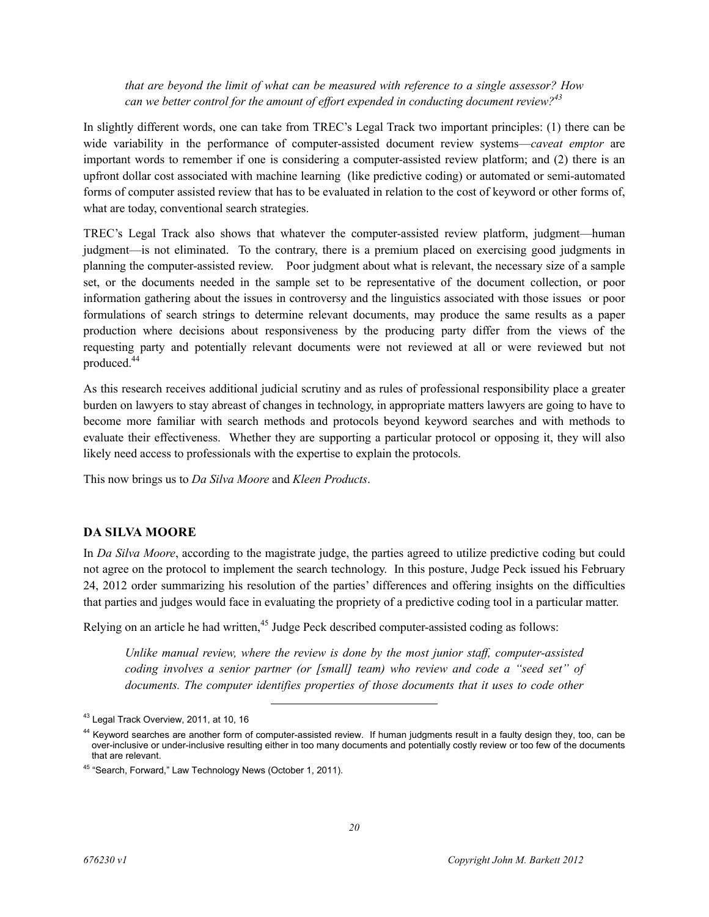*that are beyond the limit of what can be measured with reference to a single assessor? How can we better control for the amount of effort expended in conducting document review?<sup>43</sup>*

In slightly different words, one can take from TREC's Legal Track two important principles: (1) there can be wide variability in the performance of computer-assisted document review systems—*caveat emptor* are important words to remember if one is considering a computer-assisted review platform; and (2) there is an upfront dollar cost associated with machine learning (like predictive coding) or automated or semi-automated forms of computer assisted review that has to be evaluated in relation to the cost of keyword or other forms of, what are today, conventional search strategies.

TREC's Legal Track also shows that whatever the computer-assisted review platform, judgment—human judgment—is not eliminated. To the contrary, there is a premium placed on exercising good judgments in planning the computer-assisted review. Poor judgment about what is relevant, the necessary size of a sample set, or the documents needed in the sample set to be representative of the document collection, or poor information gathering about the issues in controversy and the linguistics associated with those issues or poor formulations of search strings to determine relevant documents, may produce the same results as a paper production where decisions about responsiveness by the producing party differ from the views of the requesting party and potentially relevant documents were not reviewed at all or were reviewed but not produced.<sup>44</sup>

As this research receives additional judicial scrutiny and as rules of professional responsibility place a greater burden on lawyers to stay abreast of changes in technology, in appropriate matters lawyers are going to have to become more familiar with search methods and protocols beyond keyword searches and with methods to evaluate their effectiveness. Whether they are supporting a particular protocol or opposing it, they will also likely need access to professionals with the expertise to explain the protocols.

This now brings us to *Da Silva Moore* and *Kleen Products*.

# <span id="page-19-0"></span>**DA SILVA MOORE**

In *Da Silva Moore*, according to the magistrate judge, the parties agreed to utilize predictive coding but could not agree on the protocol to implement the search technology. In this posture, Judge Peck issued his February 24, 2012 order summarizing his resolution of the parties' differences and offering insights on the difficulties that parties and judges would face in evaluating the propriety of a predictive coding tool in a particular matter.

Relying on an article he had written,<sup>45</sup> Judge Peck described computer-assisted coding as follows:

 $\overline{a}$ 

*Unlike manual review, where the review is done by the most junior staff, computer-assisted coding involves a senior partner (or [small] team) who review and code a "seed set" of documents. The computer identifies properties of those documents that it uses to code other* 

<sup>43</sup> Legal Track Overview, 2011, at 10, 16

<sup>44</sup> Keyword searches are another form of computer-assisted review. If human judgments result in a faulty design they, too, can be over-inclusive or under-inclusive resulting either in too many documents and potentially costly review or too few of the documents that are relevant.

<sup>&</sup>lt;sup>45</sup> "Search, Forward," Law Technology News (October 1, 2011).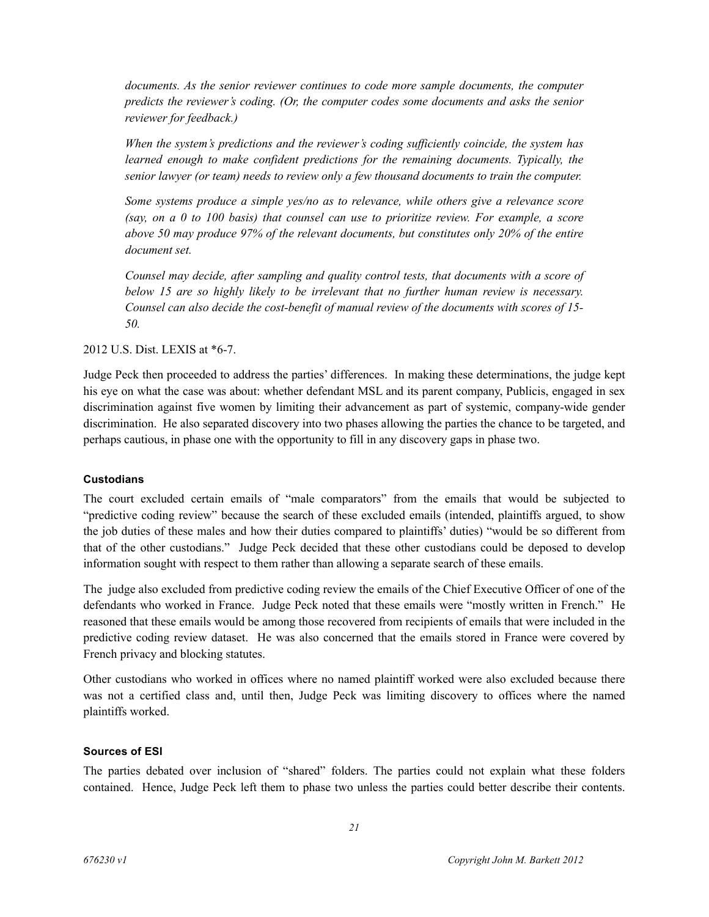*documents. As the senior reviewer continues to code more sample documents, the computer predicts the reviewer's coding. (Or, the computer codes some documents and asks the senior reviewer for feedback.)*

<span id="page-20-0"></span>*When the system's predictions and the reviewer's coding sufficiently coincide, the system has learned enough to make confident predictions for the remaining documents. Typically, the senior lawyer (or team) needs to review only a few thousand documents to train the computer.*

*Some systems produce a simple yes/no as to relevance, while others give a relevance score (say, on a 0 to 100 basis) that counsel can use to prioritize review. For example, a score above 50 may produce 97% of the relevant documents, but constitutes only 20% of the entire document set.*

<span id="page-20-1"></span>*Counsel may decide, after sampling and quality control tests, that documents with a score of below 15 are so highly likely to be irrelevant that no further human review is necessary. Counsel can also decide the cost-benefit of manual review of the documents with scores of 15- 50.*

#### 2012 U.S. Dist. LEXIS at \*6-7.

Judge Peck then proceeded to address the parties' differences. In making these determinations, the judge kept his eye on what the case was about: whether defendant MSL and its parent company, Publicis, engaged in sex discrimination against five women by limiting their advancement as part of systemic, company-wide gender discrimination. He also separated discovery into two phases allowing the parties the chance to be targeted, and perhaps cautious, in phase one with the opportunity to fill in any discovery gaps in phase two.

#### **Custodians**

The court excluded certain emails of "male comparators" from the emails that would be subjected to "predictive coding review" because the search of these excluded emails (intended, plaintiffs argued, to show the job duties of these males and how their duties compared to plaintiffs' duties) "would be so different from that of the other custodians." Judge Peck decided that these other custodians could be deposed to develop information sought with respect to them rather than allowing a separate search of these emails.

The judge also excluded from predictive coding review the emails of the Chief Executive Officer of one of the defendants who worked in France. Judge Peck noted that these emails were "mostly written in French." He reasoned that these emails would be among those recovered from recipients of emails that were included in the predictive coding review dataset. He was also concerned that the emails stored in France were covered by French privacy and blocking statutes.

Other custodians who worked in offices where no named plaintiff worked were also excluded because there was not a certified class and, until then, Judge Peck was limiting discovery to offices where the named plaintiffs worked.

#### **Sources of ESI**

The parties debated over inclusion of "shared" folders. The parties could not explain what these folders contained. Hence, Judge Peck left them to phase two unless the parties could better describe their contents.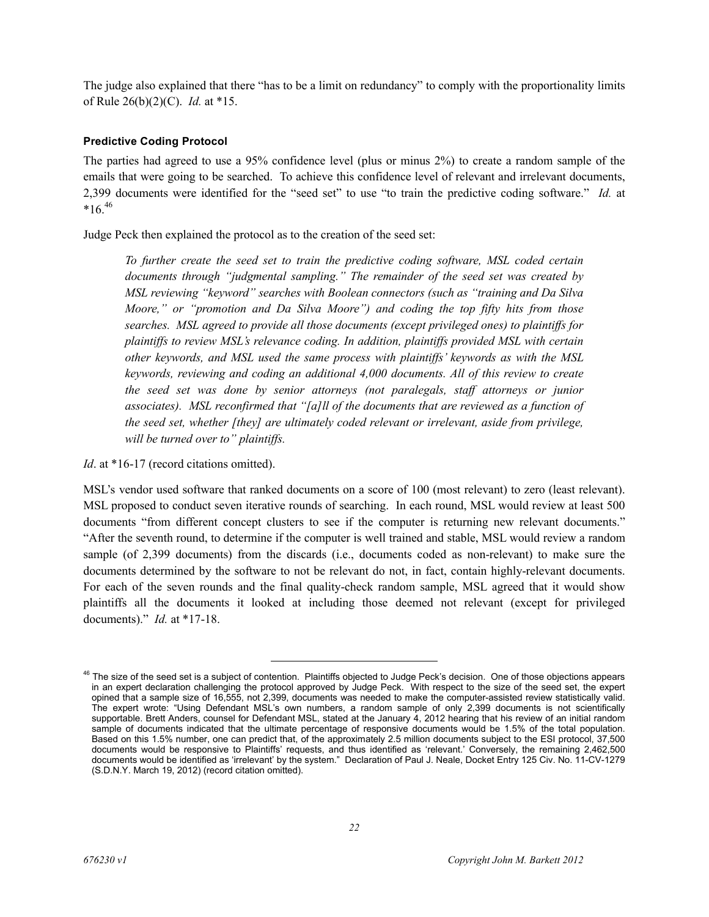The judge also explained that there "has to be a limit on redundancy" to comply with the proportionality limits of Rule 26(b)(2)(C). *Id.* at \*15.

## **Predictive Coding Protocol**

The parties had agreed to use a 95% confidence level (plus or minus 2%) to create a random sample of the emails that were going to be searched. To achieve this confidence level of relevant and irrelevant documents, 2,399 documents were identified for the "seed set" to use "to train the predictive coding software." *Id.* at  $*16^{46}$ 

Judge Peck then explained the protocol as to the creation of the seed set:

 $\overline{a}$ 

*To further create the seed set to train the predictive coding software, MSL coded certain documents through "judgmental sampling." The remainder of the seed set was created by MSL reviewing "keyword" searches with Boolean connectors (such as "training and Da Silva Moore," or "promotion and Da Silva Moore") and coding the top fifty hits from those searches. MSL agreed to provide all those documents (except privileged ones) to plaintiffs for plaintiffs to review MSL's relevance coding. In addition, plaintiffs provided MSL with certain other keywords, and MSL used the same process with plaintiffs' keywords as with the MSL keywords, reviewing and coding an additional 4,000 documents. All of this review to create the seed set was done by senior attorneys (not paralegals, staff attorneys or junior associates). MSL reconfirmed that "[a]ll of the documents that are reviewed as a function of the seed set, whether [they] are ultimately coded relevant or irrelevant, aside from privilege, will be turned over to" plaintiffs.*

*Id.* at \*16-17 (record citations omitted).

<span id="page-21-0"></span>MSL's vendor used software that ranked documents on a score of 100 (most relevant) to zero (least relevant). MSL proposed to conduct seven iterative rounds of searching. In each round, MSL would review at least 500 documents "from different concept clusters to see if the computer is returning new relevant documents." "After the seventh round, to determine if the computer is well trained and stable, MSL would review a random sample (of 2,399 documents) from the discards (i.e., documents coded as non-relevant) to make sure the documents determined by the software to not be relevant do not, in fact, contain highly-relevant documents. For each of the seven rounds and the final quality-check random sample, MSL agreed that it would show plaintiffs all the documents it looked at including those deemed not relevant (except for privileged documents)." *Id.* at \*17-18.

<sup>&</sup>lt;sup>46</sup> The size of the seed set is a subject of contention. Plaintiffs objected to Judge Peck's decision. One of those objections appears in an expert declaration challenging the protocol approved by Judge Peck. With respect to the size of the seed set, the expert opined that a sample size of 16,555, not 2,399, documents was needed to make the computer-assisted review statistically valid. The expert wrote: "Using Defendant MSL's own numbers, a random sample of only 2,399 documents is not scientifically supportable. Brett Anders, counsel for Defendant MSL, stated at the January 4, 2012 hearing that his review of an initial random sample of documents indicated that the ultimate percentage of responsive documents would be 1.5% of the total population. Based on this 1.5% number, one can predict that, of the approximately 2.5 million documents subject to the ESI protocol, 37,500 documents would be responsive to Plaintiffs' requests, and thus identified as 'relevant.' Conversely, the remaining 2,462,500 documents would be identified as 'irrelevant' by the system." Declaration of Paul J. Neale, Docket Entry 125 Civ. No. 11-CV-1279 (S.D.N.Y. March 19, 2012) (record citation omitted).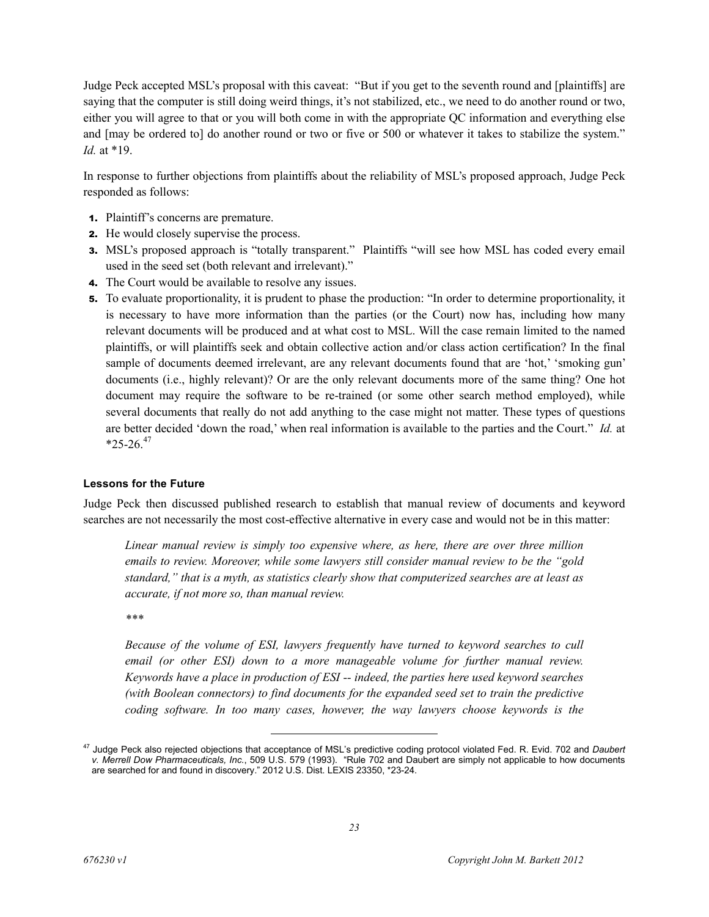Judge Peck accepted MSL's proposal with this caveat: "But if you get to the seventh round and [plaintiffs] are saying that the computer is still doing weird things, it's not stabilized, etc., we need to do another round or two, either you will agree to that or you will both come in with the appropriate QC information and everything else and [may be ordered to] do another round or two or five or 500 or whatever it takes to stabilize the system." *Id.* at \*19.

In response to further objections from plaintiffs about the reliability of MSL's proposed approach, Judge Peck responded as follows:

- **1.** Plaintiff's concerns are premature.
- **2.** He would closely supervise the process.
- **3.** MSL's proposed approach is "totally transparent." Plaintiffs "will see how MSL has coded every email used in the seed set (both relevant and irrelevant)."
- **4.** The Court would be available to resolve any issues.
- **5.** To evaluate proportionality, it is prudent to phase the production: "In order to determine proportionality, it is necessary to have more information than the parties (or the Court) now has, including how many relevant documents will be produced and at what cost to MSL. Will the case remain limited to the named plaintiffs, or will plaintiffs seek and obtain collective action and/or class action certification? In the final sample of documents deemed irrelevant, are any relevant documents found that are 'hot,' 'smoking gun' documents (i.e., highly relevant)? Or are the only relevant documents more of the same thing? One hot document may require the software to be re-trained (or some other search method employed), while several documents that really do not add anything to the case might not matter. These types of questions are better decided 'down the road,' when real information is available to the parties and the Court." *Id.* at  $*25-26$ <sup>47</sup>

## **Lessons for the Future**

Judge Peck then discussed published research to establish that manual review of documents and keyword searches are not necessarily the most cost-effective alternative in every case and would not be in this matter:

*Linear manual review is simply too expensive where, as here, there are over three million emails to review. Moreover, while some lawyers still consider manual review to be the "gold standard," that is a myth, as statistics clearly show that computerized searches are at least as accurate, if not more so, than manual review.* 

*\*\*\**

*Because of the volume of ESI, lawyers frequently have turned to keyword searches to cull email (or other ESI) down to a more manageable volume for further manual review. Keywords have a place in production of ESI -- indeed, the parties here used keyword searches (with Boolean connectors) to find documents for the expanded seed set to train the predictive coding software. In too many cases, however, the way lawyers choose keywords is the* 

 $\overline{a}$ 

*23*

<sup>47</sup> Judge Peck also rejected objections that acceptance of MSL's predictive coding protocol violated Fed. R. Evid. 702 and *Daubert v. Merrell Dow Pharmaceuticals, Inc.*, 509 U.S. 579 (1993). "Rule 702 and Daubert are simply not applicable to how documents are searched for and found in discovery." 2012 U.S. Dist. LEXIS 23350, \*23-24.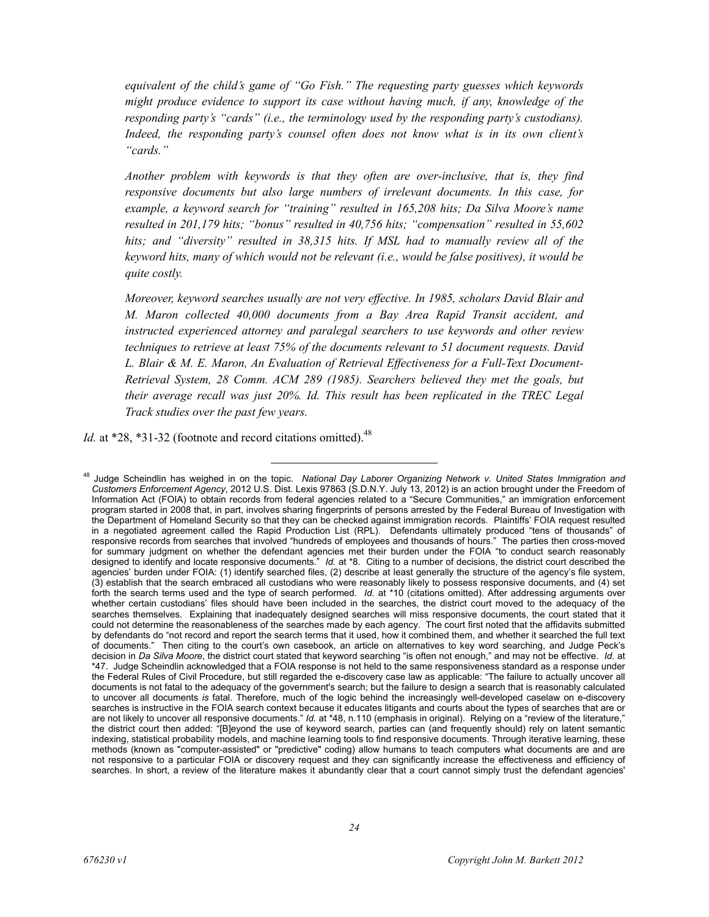*equivalent of the child's game of "Go Fish." The requesting party guesses which keywords might produce evidence to support its case without having much, if any, knowledge of the responding party's "cards" (i.e., the terminology used by the responding party's custodians).*  Indeed, the responding party's counsel often does not know what is in its own client's *"cards."*

*Another problem with keywords is that they often are over-inclusive, that is, they find responsive documents but also large numbers of irrelevant documents. In this case, for example, a keyword search for "training" resulted in 165,208 hits; Da Silva Moore's name resulted in 201,179 hits; "bonus" resulted in 40,756 hits; "compensation" resulted in 55,602 hits; and "diversity" resulted in 38,315 hits. If MSL had to manually review all of the keyword hits, many of which would not be relevant (i.e., would be false positives), it would be quite costly.*

*Moreover, keyword searches usually are not very effective. In 1985, scholars David Blair and M. Maron collected 40,000 documents from a Bay Area Rapid Transit accident, and instructed experienced attorney and paralegal searchers to use keywords and other review techniques to retrieve at least 75% of the documents relevant to 51 document requests. David L. Blair & M. E. Maron, An Evaluation of Retrieval Effectiveness for a Full-Text Document-Retrieval System, 28 Comm. ACM 289 (1985). Searchers believed they met the goals, but their average recall was just 20%. Id. This result has been replicated in the TREC Legal Track studies over the past few years.*

*Id.* at  $*28$ ,  $*31-32$  (footnote and record citations omitted).<sup>48</sup>

<span id="page-23-0"></span><sup>48</sup> Judge Scheindlin has weighed in on the topic. *National Day Laborer Organizing Network v. United States Immigration and Customers Enforcement Agency*, 2012 U.S. Dist. Lexis 97863 (S.D.N.Y. July 13, 2012) is an action brought under the Freedom of Information Act (FOIA) to obtain records from federal agencies related to a "Secure Communities," an immigration enforcement program started in 2008 that, in part, involves sharing fingerprints of persons arrested by the Federal Bureau of Investigation with the Department of Homeland Security so that they can be checked against immigration records. Plaintiffs' FOIA request resulted in a negotiated agreement called the Rapid Production List (RPL). Defendants ultimately produced "tens of thousands" of responsive records from searches that involved "hundreds of employees and thousands of hours." The parties then cross-moved for summary judgment on whether the defendant agencies met their burden under the FOIA "to conduct search reasonably designed to identify and locate responsive documents." *Id.* at \*8. Citing to a number of decisions, the district court described the agencies' burden under FOIA: (1) identify searched files, (2) describe at least generally the structure of the agency's file system, (3) establish that the search embraced all custodians who were reasonably likely to possess responsive documents, and (4) set forth the search terms used and the type of search performed. *Id.* at \*10 (citations omitted). After addressing arguments over whether certain custodians' files should have been included in the searches, the district court moved to the adequacy of the searches themselves. Explaining that inadequately designed searches will miss responsive documents, the court stated that it could not determine the reasonableness of the searches made by each agency. The court first noted that the affidavits submitted by defendants do "not record and report the search terms that it used, how it combined them, and whether it searched the full text of documents." Then citing to the court's own casebook, an article on alternatives to key word searching, and Judge Peck's decision in *Da Silva Moore*, the district court stated that keyword searching "is often not enough," and may not be effective. *Id.* at \*47. Judge Scheindlin acknowledged that a FOIA response is not held to the same responsiveness standard as a response under the Federal Rules of Civil Procedure, but still regarded the e-discovery case law as applicable: "The failure to actually uncover all documents is not fatal to the adequacy of the government's search; but the failure to design a search that is reasonably calculated to uncover all documents *is* fatal. Therefore, much of the logic behind the increasingly well-developed caselaw on e-discovery searches is instructive in the FOIA search context because it educates litigants and courts about the types of searches that are or are not likely to uncover all responsive documents." *Id.* at \*48, n.110 (emphasis in original). Relying on a "review of the literature," the district court then added: "[B]eyond the use of keyword search, parties can (and frequently should) rely on latent semantic indexing, statistical probability models, and machine learning tools to find responsive documents. Through iterative learning, these methods (known as "computer-assisted" or "predictive" coding) allow humans to teach computers what documents are and are not responsive to a particular FOIA or discovery request and they can significantly increase the effectiveness and efficiency of searches. In short, a review of the literature makes it abundantly clear that a court cannot simply trust the defendant agencies'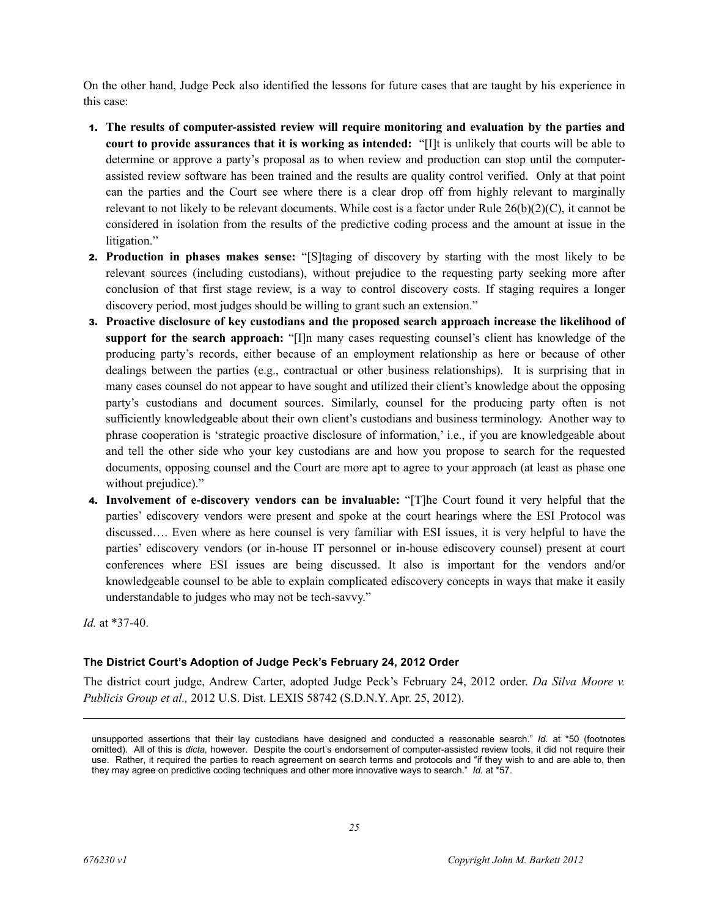On the other hand, Judge Peck also identified the lessons for future cases that are taught by his experience in this case:

- **1. The results of computer-assisted review will require monitoring and evaluation by the parties and court to provide assurances that it is working as intended:** "[I]t is unlikely that courts will be able to determine or approve a party's proposal as to when review and production can stop until the computerassisted review software has been trained and the results are quality control verified. Only at that point can the parties and the Court see where there is a clear drop off from highly relevant to marginally relevant to not likely to be relevant documents. While cost is a factor under Rule  $26(b)(2)(C)$ , it cannot be considered in isolation from the results of the predictive coding process and the amount at issue in the litigation."
- **2. Production in phases makes sense:** "[S]taging of discovery by starting with the most likely to be relevant sources (including custodians), without prejudice to the requesting party seeking more after conclusion of that first stage review, is a way to control discovery costs. If staging requires a longer discovery period, most judges should be willing to grant such an extension."
- **3. Proactive disclosure of key custodians and the proposed search approach increase the likelihood of support for the search approach:** "[I]n many cases requesting counsel's client has knowledge of the producing party's records, either because of an employment relationship as here or because of other dealings between the parties (e.g., contractual or other business relationships). It is surprising that in many cases counsel do not appear to have sought and utilized their client's knowledge about the opposing party's custodians and document sources. Similarly, counsel for the producing party often is not sufficiently knowledgeable about their own client's custodians and business terminology. Another way to phrase cooperation is 'strategic proactive disclosure of information,' i.e., if you are knowledgeable about and tell the other side who your key custodians are and how you propose to search for the requested documents, opposing counsel and the Court are more apt to agree to your approach (at least as phase one without prejudice)."
- **4. Involvement of e-discovery vendors can be invaluable:** "[T]he Court found it very helpful that the parties' ediscovery vendors were present and spoke at the court hearings where the ESI Protocol was discussed…. Even where as here counsel is very familiar with ESI issues, it is very helpful to have the parties' ediscovery vendors (or in-house IT personnel or in-house ediscovery counsel) present at court conferences where ESI issues are being discussed. It also is important for the vendors and/or knowledgeable counsel to be able to explain complicated ediscovery concepts in ways that make it easily understandable to judges who may not be tech-savvy."

*Id.* at \*37-40.

## **The District Court's Adoption of Judge Peck's February 24, 2012 Order**

The district court judge, Andrew Carter, adopted Judge Peck's February 24, 2012 order. *Da Silva Moore v. Publicis Group et al.,* 2012 U.S. Dist. LEXIS 58742 (S.D.N.Y. Apr. 25, 2012).

unsupported assertions that their lay custodians have designed and conducted a reasonable search." *Id.* at \*50 (footnotes omitted). All of this is *dicta,* however. Despite the court's endorsement of computer-assisted review tools, it did not require their use. Rather, it required the parties to reach agreement on search terms and protocols and "if they wish to and are able to, then they may agree on predictive coding techniques and other more innovative ways to search." *Id.* at \*57.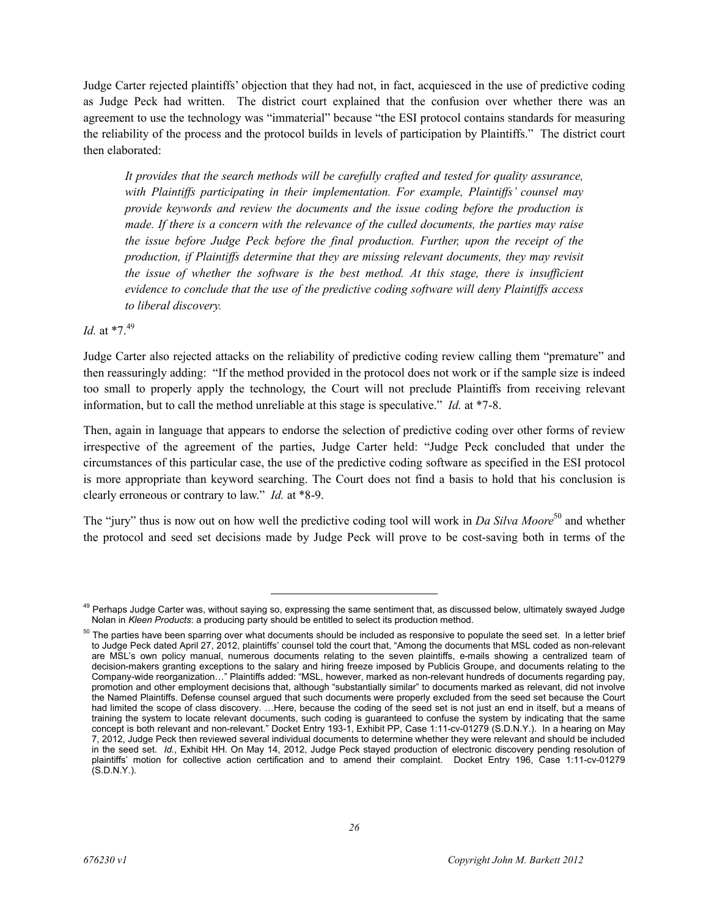<span id="page-25-0"></span>Judge Carter rejected plaintiffs' objection that they had not, in fact, acquiesced in the use of predictive coding as Judge Peck had written. The district court explained that the confusion over whether there was an agreement to use the technology was "immaterial" because "the ESI protocol contains standards for measuring the reliability of the process and the protocol builds in levels of participation by Plaintiffs." The district court then elaborated:

*It provides that the search methods will be carefully crafted and tested for quality assurance, with Plaintiffs participating in their implementation. For example, Plaintiffs' counsel may provide keywords and review the documents and the issue coding before the production is made. If there is a concern with the relevance of the culled documents, the parties may raise the issue before Judge Peck before the final production. Further, upon the receipt of the production, if Plaintiffs determine that they are missing relevant documents, they may revisit the issue of whether the software is the best method. At this stage, there is insufficient evidence to conclude that the use of the predictive coding software will deny Plaintiffs access to liberal discovery.*

# *Id.* at \*7<sup>49</sup>

Judge Carter also rejected attacks on the reliability of predictive coding review calling them "premature" and then reassuringly adding: "If the method provided in the protocol does not work or if the sample size is indeed too small to properly apply the technology, the Court will not preclude Plaintiffs from receiving relevant information, but to call the method unreliable at this stage is speculative." *Id.* at \*7-8.

Then, again in language that appears to endorse the selection of predictive coding over other forms of review irrespective of the agreement of the parties, Judge Carter held: "Judge Peck concluded that under the circumstances of this particular case, the use of the predictive coding software as specified in the ESI protocol is more appropriate than keyword searching. The Court does not find a basis to hold that his conclusion is clearly erroneous or contrary to law." *Id.* at \*8-9.

The "jury" thus is now out on how well the predictive coding tool will work in *Da Silva Moore* <sup>50</sup> and whether the protocol and seed set decisions made by Judge Peck will prove to be cost-saving both in terms of the

<sup>&</sup>lt;sup>49</sup> Perhaps Judge Carter was, without saying so, expressing the same sentiment that, as discussed below, ultimately swayed Judge Nolan in *Kleen Products*: a producing party should be entitled to select its production method.

 $50$  The parties have been sparring over what documents should be included as responsive to populate the seed set. In a letter brief to Judge Peck dated April 27, 2012, plaintiffs' counsel told the court that, "Among the documents that MSL coded as non-relevant are MSL's own policy manual, numerous documents relating to the seven plaintiffs, e-mails showing a centralized team of decision-makers granting exceptions to the salary and hiring freeze imposed by Publicis Groupe, and documents relating to the Company-wide reorganization…" Plaintiffs added: "MSL, however, marked as non-relevant hundreds of documents regarding pay, promotion and other employment decisions that, although "substantially similar" to documents marked as relevant, did not involve the Named Plaintiffs. Defense counsel argued that such documents were properly excluded from the seed set because the Court had limited the scope of class discovery. ... Here, because the coding of the seed set is not just an end in itself, but a means of training the system to locate relevant documents, such coding is guaranteed to confuse the system by indicating that the same concept is both relevant and non-relevant." Docket Entry 193-1, Exhibit PP, Case 1:11-cv-01279 (S.D.N.Y.). In a hearing on May 7, 2012, Judge Peck then reviewed several individual documents to determine whether they were relevant and should be included in the seed set. *Id.*, Exhibit HH. On May 14, 2012, Judge Peck stayed production of electronic discovery pending resolution of plaintiffs' motion for collective action certification and to amend their complaint. Docket Entry 196, Case 1:11-cv-01279 (S.D.N.Y.).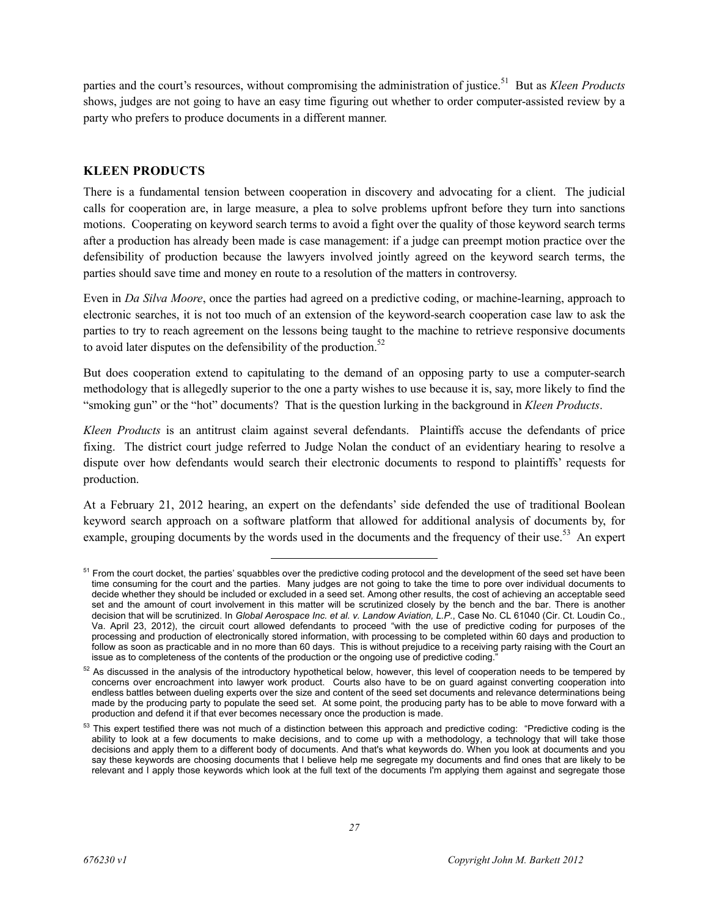parties and the court's resources, without compromising the administration of justice.<sup>51</sup> But as *Kleen Products* shows, judges are not going to have an easy time figuring out whether to order computer-assisted review by a party who prefers to produce documents in a different manner.

## **[KLEEN PRODUCTS](http://www.clearwellsystems.com/e-discovery-blog/wp-content/uploads/2012/06/Best-Practices_SEDONA_PRINCIPLES_2nd_ed_2007.pdf)**

There is a fundamental tension between cooperation in discovery and advocating for a client. The judicial calls for cooperation are, in large measure, a plea to solve problems upfront before they turn into sanctions motions. Cooperating on keyword search terms to avoid a fight over the quality of those keyword search terms after a production has already been made is case management: if a judge can preempt motion practice over the defensibility of production because the lawyers involved jointly agreed on the keyword search terms, the parties should save time and money en route to a resolution of the matters in controversy.

Even in *Da Silva Moore*, once the parties had agreed on a predictive coding, or machine-learning, approach to electronic searches, it is not too much of an extension of the keyword-search cooperation case law to ask the parties to try to reach agreement on the lessons being taught to the machine to retrieve responsive documents to avoid later disputes on the defensibility of the production.<sup>52</sup>

But does cooperation extend to capitulating to the demand of an opposing party to use a computer-search methodology that is allegedly superior to the one a party wishes to use because it is, say, more likely to find the "smoking gun" or the "hot" documents? That is the question lurking in the background in *Kleen Products*.

*Kleen Products* is an antitrust claim against several defendants. Plaintiffs accuse the defendants of price fixing. The district court judge referred to Judge Nolan the conduct of an evidentiary hearing to resolve a dispute over how defendants would search their electronic documents to respond to plaintiffs' requests for production.

At a February 21, 2012 hearing, an expert on the defendants' side defended the use of traditional Boolean keyword search approach on a software platform that allowed for additional analysis of documents by, for example, grouping documents by the words used in the documents and the frequency of their use.<sup>53</sup> An expert

<sup>&</sup>lt;sup>51</sup> From the court docket, the parties' squabbles over the predictive coding protocol and the development of the seed set have been time consuming for the court and the parties. Many judges are not going to take the time to pore over individual documents to decide whether they should be included or excluded in a seed set. Among other results, the cost of achieving an acceptable seed set and the amount of court involvement in this matter will be scrutinized closely by the bench and the bar. There is another decision that will be scrutinized. In *Global Aerospace Inc. et al. v. Landow Aviation, L.P.*, Case No. CL 61040 (Cir. Ct. Loudin Co., Va. April 23, 2012), the circuit court allowed defendants to proceed "with the use of predictive coding for purposes of the processing and production of electronically stored information, with processing to be completed within 60 days and production to follow as soon as practicable and in no more than 60 days. This is without prejudice to a receiving party raising with the Court an issue as to completeness of the contents of the production or the ongoing use of predictive coding."

<sup>&</sup>lt;sup>52</sup> As discussed in the analysis of the introductory hypothetical below, however, this level of cooperation needs to be tempered by concerns over encroachment into lawyer work product. Courts also have to be on guard against converting cooperation into endless battles between dueling experts over the size and content of the seed set documents and relevance determinations being made by the producing party to populate the seed set. At some point, the producing party has to be able to move forward with a production and defend it if that ever becomes necessary once the production is made.

<sup>53</sup> This expert testified there was not much of a distinction between this approach and predictive coding: "Predictive coding is the ability to look at a few documents to make decisions, and to come up with a methodology, a technology that will take those decisions and apply them to a different body of documents. And that's what keywords do. When you look at documents and you say these keywords are choosing documents that I believe help me segregate my documents and find ones that are likely to be relevant and I apply those keywords which look at the full text of the documents I'm applying them against and segregate those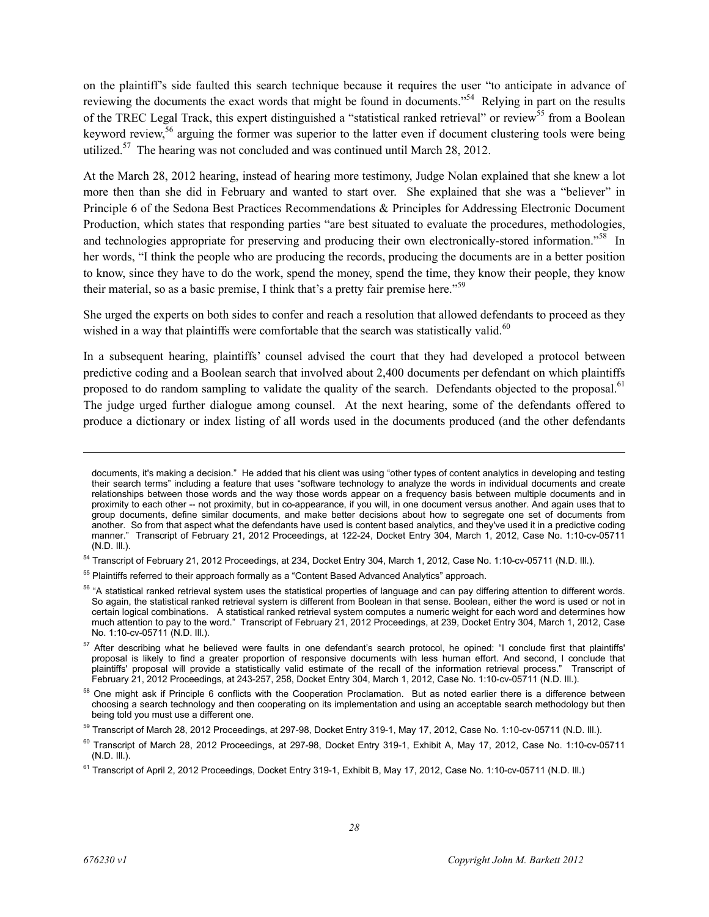on the plaintiff's side faulted this search technique because it requires the user "to anticipate in advance of reviewing the documents the exact words that might be found in documents."<sup>54</sup> Relying in part on the results of the TREC Legal Track, this expert distinguished a "statistical ranked retrieval" or review<sup>55</sup> from a Boolean keyword review,<sup>56</sup> arguing the former was superior to the latter even if document clustering tools were being utilized.<sup>57</sup> The hearing was not concluded and was continued until March 28, 2012.

At the March 28, 2012 hearing, instead of hearing more testimony, Judge Nolan explained that she knew a lot more then than she did in February and wanted to start over. She explained that she was a "believer" in Principle 6 of the Sedona Best Practices Recommendations & Principles for Addressing Electronic Document Production, which states that responding parties "are best situated to evaluate the procedures, methodologies, and technologies appropriate for preserving and producing their own electronically-stored information."<sup>58</sup> In her words, "I think the people who are producing the records, producing the documents are in a better position to know, since they have to do the work, spend the money, spend the time, they know their people, they know their material, so as a basic premise, I think that's a pretty fair premise here."<sup>59</sup>

<span id="page-27-0"></span>She urged the experts on both sides to confer and reach a resolution that allowed defendants to proceed as they wished in a way that plaintiffs were comfortable that the search was statistically valid.<sup>60</sup>

In a subsequent hearing, plaintiffs' counsel advised the court that they had developed a protocol between predictive coding and a Boolean search that involved about 2,400 documents per defendant on which plaintiffs proposed to do random sampling to validate the quality of the search. Defendants objected to the proposal.<sup>61</sup> The judge urged further dialogue among counsel. At the next hearing, some of the defendants offered to produce a dictionary or index listing of all words used in the documents produced (and the other defendants

*28*

l

documents, it's making a decision." He added that his client was using "other types of content analytics in developing and testing their search terms" including a feature that uses "software technology to analyze the words in individual documents and create relationships between those words and the way those words appear on a frequency basis between multiple documents and in proximity to each other -- not proximity, but in co-appearance, if you will, in one document versus another. And again uses that to group documents, define similar documents, and make better decisions about how to segregate one set of documents from another. So from that aspect what the defendants have used is content based analytics, and they've used it in a predictive coding manner." Transcript of February 21, 2012 Proceedings, at 122-24, Docket Entry 304, March 1, 2012, Case No. 1:10-cv-05711 (N.D. Ill.).

<sup>&</sup>lt;sup>54</sup> Transcript of February 21, 2012 Proceedings, at 234, Docket Entry 304, March 1, 2012, Case No. 1:10-cv-05711 (N.D. III.).

<sup>&</sup>lt;sup>55</sup> Plaintiffs referred to their approach formally as a "Content Based Advanced Analytics" approach.

<sup>&</sup>lt;sup>56</sup> "A statistical ranked retrieval system uses the statistical properties of language and can pay differing attention to different words. So again, the statistical ranked retrieval system is different from Boolean in that sense. Boolean, either the word is used or not in certain logical combinations. A statistical ranked retrieval system computes a numeric weight for each word and determines how much attention to pay to the word." Transcript of February 21, 2012 Proceedings, at 239, Docket Entry 304, March 1, 2012, Case No. 1:10-cv-05711 (N.D. Ill.).

<sup>&</sup>lt;sup>57</sup> After describing what he believed were faults in one defendant's search protocol, he opined: "I conclude first that plaintiffs' proposal is likely to find a greater proportion of responsive documents with less human effort. And second, I conclude that plaintiffs' proposal will provide a statistically valid estimate of the recall of the information retrieval process." Transcript of February 21, 2012 Proceedings, at 243-257, 258, Docket Entry 304, March 1, 2012, Case No. 1:10-cv-05711 (N.D. Ill.).

<sup>&</sup>lt;sup>58</sup> One might ask if Principle 6 conflicts with the Cooperation Proclamation. But as noted earlier there is a difference between choosing a search technology and then cooperating on its implementation and using an acceptable search methodology but then being told you must use a different one.

 $59$  Transcript of March 28, 2012 Proceedings, at 297-98, Docket Entry 319-1, May 17, 2012, Case No. 1:10-cv-05711 (N.D. III.).

 $60$  Transcript of March 28, 2012 Proceedings, at 297-98, Docket Entry 319-1, Exhibit A, May 17, 2012, Case No. 1:10-cv-05711  $(N.D. III.).$ 

<sup>&</sup>lt;sup>61</sup> Transcript of April 2, 2012 Proceedings, Docket Entry 319-1, Exhibit B, May 17, 2012, Case No. 1:10-cv-05711 (N.D. Ill.)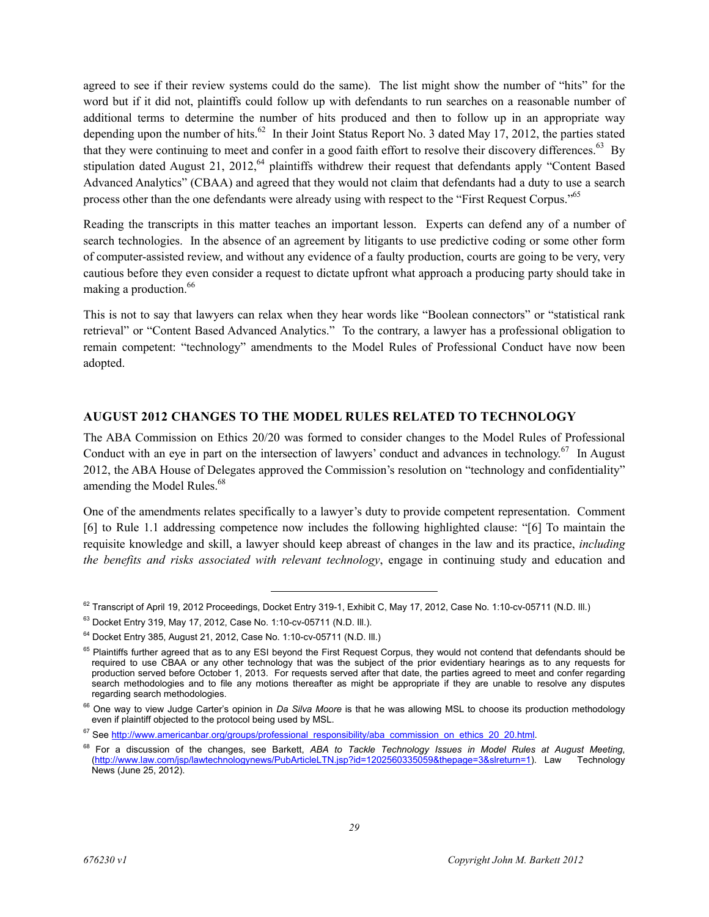agreed to see if their review systems could do the same). The list might show the number of "hits" for the word but if it did not, plaintiffs could follow up with defendants to run searches on a reasonable number of additional terms to determine the number of hits produced and then to follow up in an appropriate way depending upon the number of hits.<sup>62</sup> In their Joint Status Report No. 3 dated May 17, 2012, the parties stated that they were continuing to meet and confer in a good faith effort to resolve their discovery differences.<sup>63</sup> By stipulation dated August 21, 2012,  $^{64}$  plaintiffs withdrew their request that defendants apply "Content Based Advanced Analytics" (CBAA) and agreed that they would not claim that defendants had a duty to use a search process other than the one defendants were already using with respect to the "First Request Corpus."<sup>65</sup>

Reading the transcripts in this matter teaches an important lesson. Experts can defend any of a number of search technologies. In the absence of an agreement by litigants to use predictive coding or some other form of computer-assisted review, and without any evidence of a faulty production, courts are going to be very, very cautious before they even consider a request to dictate upfront what approach a producing party should take in making a production.<sup>66</sup>

This is not to say that lawyers can relax when they hear words like "Boolean connectors" or "statistical rank retrieval" or "Content Based Advanced Analytics." To the contrary, a lawyer has a professional obligation to remain competent: "technology" amendments to the Model Rules of Professional Conduct have now been adopted.

# **AUGUST 2012 CHANGES TO THE MODEL RULES RELATED TO TECHNOLOGY**

The ABA Commission on Ethics 20/20 was formed to consider changes to the Model Rules of Professional Conduct with an eye in part on the intersection of lawyers' conduct and advances in technology.<sup>67</sup> In August 2012, the ABA House of Delegates approved the Commission's resolution on "technology and confidentiality" amending the Model Rules.<sup>68</sup>

One of the amendments relates specifically to a lawyer's duty to provide competent representation. Comment [6] to Rule 1.1 addressing competence now includes the following highlighted clause: "[6] To maintain the requisite knowledge and skill, a lawyer should keep abreast of changes in the law and its practice, *including the benefits and risks associated with relevant technology*, engage in continuing study and education and

 $62$  Transcript of April 19, 2012 Proceedings, Docket Entry 319-1, Exhibit C, May 17, 2012, Case No. 1:10-cv-05711 (N.D. III.)

<sup>63</sup> Docket Entry 319, May 17, 2012, Case No. 1:10-cv-05711 (N.D. Ill.).

<sup>64</sup> Docket Entry 385, August 21, 2012, Case No. 1:10-cv-05711 (N.D. Ill.)

<sup>&</sup>lt;sup>65</sup> Plaintiffs further agreed that as to any ESI beyond the First Request Corpus, they would not contend that defendants should be required to use CBAA or any other technology that was the subject of the prior evidentiary hearings as to any requests for production served before October 1, 2013. For requests served after that date, the parties agreed to meet and confer regarding search methodologies and to file any motions thereafter as might be appropriate if they are unable to resolve any disputes regarding search methodologies.

<sup>&</sup>lt;sup>66</sup> One way to view Judge Carter's opinion in *Da Silva Moore* is that he was allowing MSL to choose its production methodology even if plaintiff objected to the protocol being used by MSL.

<sup>&</sup>lt;sup>67</sup> See http://www.americanbar.org/groups/professional\_responsibility/aba\_commission\_on\_ethics\_20\_20.html.

<sup>68</sup> For a discussion of the changes, see Barkett, *ABA to Tackle Technology Issues in Model Rules at August Meeting*, (http://www.law.com/jsp/lawtechnologynews/PubArticleLTN.jsp?id=1202560335059&thepage=3&slreturn=1). Law Technology News (June 25, 2012).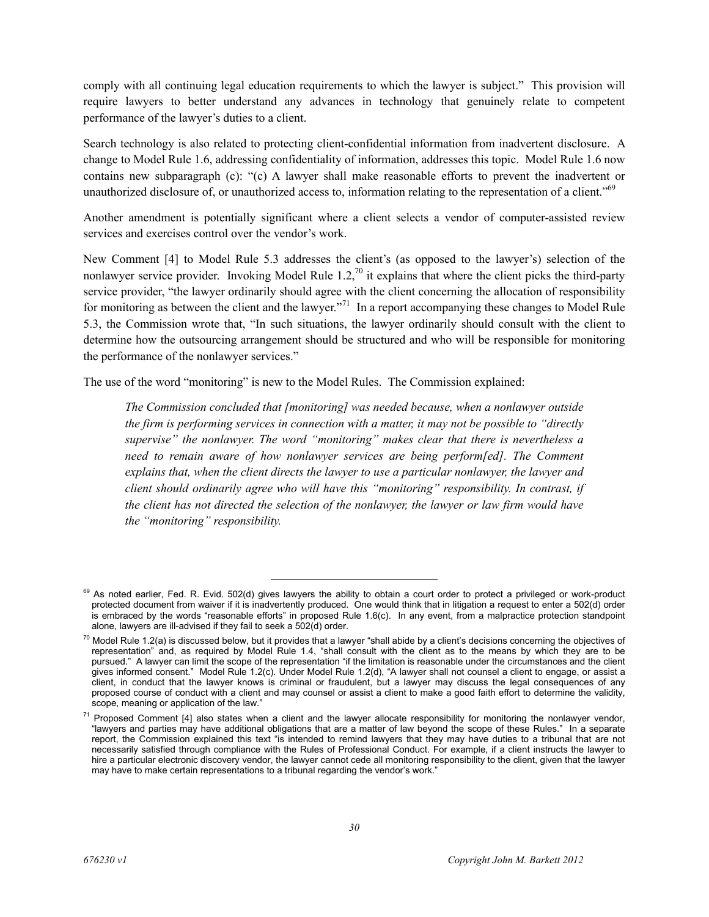<span id="page-29-0"></span>comply with all continuing legal education requirements to which the lawyer is subject." This provision will require lawyers to better understand any advances in technology that genuinely relate to competent performance of the lawyer's duties to a client.

Search technology is also related to protecting client-confidential information from inadvertent disclosure. A change to Model Rule 1.6, addressing confidentiality of information, addresses this topic. Model Rule 1.6 now contains new subparagraph (c): "(c) A lawyer shall make reasonable efforts to prevent the inadvertent or unauthorized disclosure of, or unauthorized access to, information relating to the representation of a client."<sup>69</sup>

Another amendment is potentially significant where a client selects a vendor of computer-assisted review services and exercises control over the vendor's work.

New Comment [4] to Model Rule 5.3 addresses the client's (as opposed to the lawyer's) selection of the nonlawyer service provider. Invoking Model Rule  $1.2<sup>70</sup>$  it explains that where the client picks the third-party service provider, "the lawyer ordinarily should agree with the client concerning the allocation of responsibility for monitoring as between the client and the lawyer.<sup>"71</sup> In a report accompanying these changes to Model Rule 5.3, the Commission wrote that, "In such situations, the lawyer ordinarily should consult with the client to determine how the outsourcing arrangement should be structured and who will be responsible for monitoring the performance of the nonlawyer services."

The use of the word "monitoring" is new to the Model Rules. The Commission explained:

 $\overline{a}$ 

*The Commission concluded that [monitoring] was needed because, when a nonlawyer outside the firm is performing services in connection with a matter, it may not be possible to "directly supervise" the nonlawyer. The word "monitoring" makes clear that there is nevertheless a need to remain aware of how nonlawyer services are being perform[ed]. The Comment explains that, when the client directs the lawyer to use a particular nonlawyer, the lawyer and client should ordinarily agree who will have this "monitoring" responsibility. In contrast, if the client has not directed the selection of the nonlawyer, the lawyer or law firm would have the "monitoring" responsibility.*

<sup>69</sup> As noted earlier, Fed. R. Evid. 502(d) gives lawyers the ability to obtain a court order to protect a privileged or work-product protected document from waiver if it is inadvertently produced. One would think that in litigation a request to enter a 502(d) order is embraced by the words "reasonable efforts" in proposed Rule 1.6(c). In any event, from a malpractice protection standpoint alone, lawyers are ill-advised if they fail to seek a  $502(d)$  order.

 $^{70}$  Model Rule 1.2(a) is discussed below, but it provides that a lawyer "shall abide by a client's decisions concerning the objectives of representation" and, as required by Model Rule 1.4, "shall consult with the client as to the means by which they are to be pursued." A lawyer can limit the scope of the representation "if the limitation is reasonable under the circumstances and the client gives informed consent." Model Rule 1.2(c). Under Model Rule 1.2(d), "A lawyer shall not counsel a client to engage, or assist a client, in conduct that the lawyer knows is criminal or fraudulent, but a lawyer may discuss the legal consequences of any proposed course of conduct with a client and may counsel or assist a client to make a good faith effort to determine the validity, scope, meaning or application of the law."

 $71$  Proposed Comment [4] also states when a client and the lawyer allocate responsibility for monitoring the nonlawyer vendor, "lawyers and parties may have additional obligations that are a matter of law beyond the scope of these Rules." In a separate report, the Commission explained this text "is intended to remind lawyers that they may have duties to a tribunal that are not necessarily satisfied through compliance with the Rules of Professional Conduct. For example, if a client instructs the lawyer to hire a particular electronic discovery vendor, the lawyer cannot cede all monitoring responsibility to the client, given that the lawyer may have to make certain representations to a tribunal regarding the vendor's work."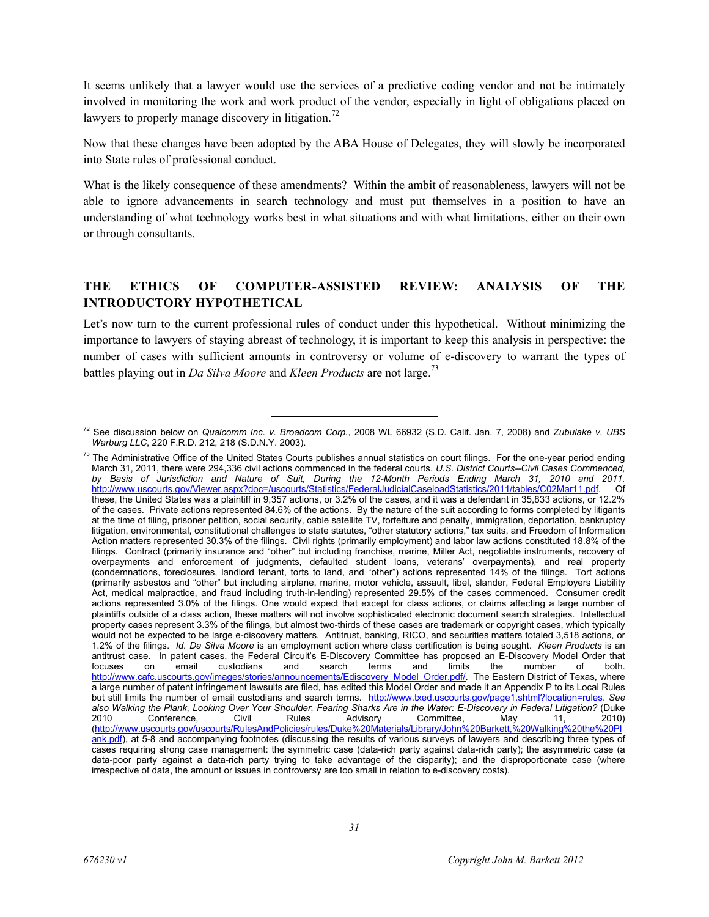It seems unlikely that a lawyer would use the services of a predictive coding vendor and not be intimately involved in monitoring the work and work product of the vendor, especially in light of obligations placed on lawyers to properly manage discovery in litigation.<sup>72</sup>

Now that these changes have been adopted by the ABA House of Delegates, they will slowly be incorporated into State rules of professional conduct.

What is the likely consequence of these amendments? Within the ambit of reasonableness, lawyers will not be able to ignore advancements in search technology and must put themselves in a position to have an understanding of what technology works best in what situations and with what limitations, either on their own or through consultants.

# **THE ETHICS OF COMPUTER-ASSISTED REVIEW: ANALYSIS OF THE INTRODUCTORY HYPOTHETICAL**

Let's now turn to the current professional rules of conduct under this hypothetical. Without minimizing the importance to lawyers of staying abreast of technology, it is important to keep this analysis in perspective: the number of cases with sufficient amounts in controversy or volume of e-discovery to warrant the types of battles playing out in *Da Silva Moore* and *Kleen Products* are not large. 73

<sup>72</sup> See discussion below on *Qualcomm Inc. v. Broadcom Corp.*, 2008 WL 66932 (S.D. Calif. Jan. 7, 2008) and *Zubulake v. UBS Warburg LLC*, 220 F.R.D. 212, 218 (S.D.N.Y. 2003).

 $73$  The Administrative Office of the United States Courts publishes annual statistics on court filings. For the one-year period ending March 31, 2011, there were 294,336 civil actions commenced in the federal courts. *U.S. District Courts--Civil Cases Commenced, by Basis of Jurisdiction and Nature of Suit, During the 12-Month Periods Ending March 31, 2010 and 2011.*  http://www.uscourts.gov/Viewer.aspx?doc=/uscourts/Statistics/FederalJudicialCaseloadStatistics/2011/tables/C02Mar11.pdf. these, the United States was a plaintiff in 9,357 actions, or 3.2% of the cases, and it was a defendant in 35,833 actions, or 12.2% of the cases. Private actions represented 84.6% of the actions. By the nature of the suit according to forms completed by litigants at the time of filing, prisoner petition, social security, cable satellite TV, forfeiture and penalty, immigration, deportation, bankruptcy litigation, environmental, constitutional challenges to state statutes, "other statutory actions," tax suits, and Freedom of Information Action matters represented 30.3% of the filings. Civil rights (primarily employment) and labor law actions constituted 18.8% of the filings. Contract (primarily insurance and "other" but including franchise, marine, Miller Act, negotiable instruments, recovery of overpayments and enforcement of judgments, defaulted student loans, veterans' overpayments), and real property (condemnations, foreclosures, landlord tenant, torts to land, and "other") actions represented 14% of the filings. Tort actions (primarily asbestos and "other" but including airplane, marine, motor vehicle, assault, libel, slander, Federal Employers Liability Act, medical malpractice, and fraud including truth-in-lending) represented 29.5% of the cases commenced. Consumer credit actions represented 3.0% of the filings. One would expect that except for class actions, or claims affecting a large number of plaintiffs outside of a class action, these matters will not involve sophisticated electronic document search strategies. Intellectual property cases represent 3.3% of the filings, but almost two-thirds of these cases are trademark or copyright cases, which typically would not be expected to be large e-discovery matters. Antitrust, banking, RICO, and securities matters totaled 3,518 actions, or 1.2% of the filings. *Id. Da Silva Moore* is an employment action where class certification is being sought. *Kleen Products* is an antitrust case. In patent cases, the Federal Circuit's E-Discovery Committee has proposed an E-Discovery Model Order that focuses on email custodians and search terms and limits the number of both. http://www.cafc.uscourts.gov/images/stories/announcements/Ediscovery\_Model\_Order.pdf/. The Eastern District of Texas, where a large number of patent infringement lawsuits are filed, has edited this Model Order and made it an Appendix P to its Local Rules but still limits the number of email custodians and search terms. http://www.txed.uscourts.gov/page1.shtml?location=rules. *See also Walking the Plank, Looking Over Your Shoulder, Fearing Sharks Are in the Water: E-Discovery in Federal Litigation?* (Duke 2010 Conference, Civil Rules Advisory Committee, May 11, 2010) (http://www.uscourts.gov/uscourts/RulesAndPolicies/rules/Duke%20Materials/Library/John%20Barkett,%20Walking%20the%20Pl ank.pdf), at 5-8 and accompanying footnotes (discussing the results of various surveys of lawyers and describing three types of cases requiring strong case management: the symmetric case (data-rich party against data-rich party); the asymmetric case (a data-poor party against a data-rich party trying to take advantage of the disparity); and the disproportionate case (where irrespective of data, the amount or issues in controversy are too small in relation to e-discovery costs).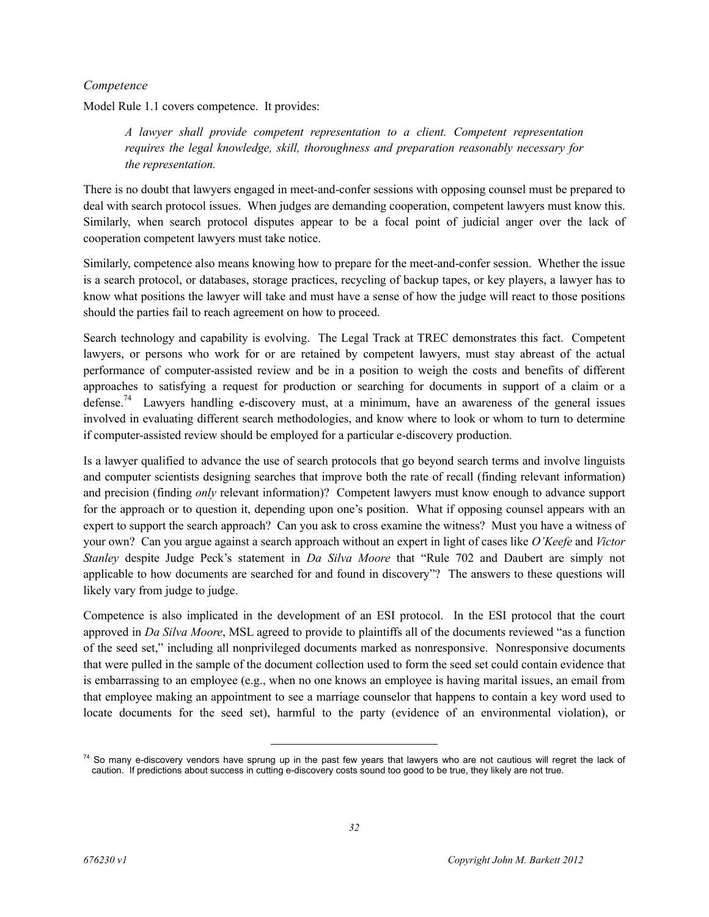#### <span id="page-31-1"></span>*Competence*

Model Rule 1.1 covers competence. It provides:

*A lawyer shall provide competent representation to a client. Competent representation requires the legal knowledge, skill, thoroughness and preparation reasonably necessary for the representation.*

<span id="page-31-0"></span>There is no doubt that lawyers engaged in meet-and-confer sessions with opposing counsel must be prepared to deal with search protocol issues. When judges are demanding cooperation, competent lawyers must know this. Similarly, when search protocol disputes appear to be a focal point of judicial anger over the lack of cooperation competent lawyers must take notice.

Similarly, competence also means knowing how to prepare for the meet-and-confer session. Whether the issue is a search protocol, or databases, storage practices, recycling of backup tapes, or key players, a lawyer has to know what positions the lawyer will take and must have a sense of how the judge will react to those positions should the parties fail to reach agreement on how to proceed.

Search technology and capability is evolving. The Legal Track at TREC demonstrates this fact. Competent lawyers, or persons who work for or are retained by competent lawyers, must stay abreast of the actual performance of computer-assisted review and be in a position to weigh the costs and benefits of different approaches to satisfying a request for production or searching for documents in support of a claim or a defense.<sup>74</sup> Lawyers handling e-discovery must, at a minimum, have an awareness of the general issues involved in evaluating different search methodologies, and know where to look or whom to turn to determine if computer-assisted review should be employed for a particular e-discovery production.

Is a lawyer qualified to advance the use of search protocols that go beyond search terms and involve linguists and computer scientists designing searches that improve both the rate of recall (finding relevant information) and precision (finding *only* relevant information)? Competent lawyers must know enough to advance support for the approach or to question it, depending upon one's position. What if opposing counsel appears with an expert to support the search approach? Can you ask to cross examine the witness? Must you have a witness of your own? Can you argue against a search approach without an expert in light of cases like *O'Keefe* and *Victor Stanley* despite Judge Peck's statement in *Da Silva Moore* that "Rule 702 and Daubert are simply not applicable to how documents are searched for and found in discovery"? The answers to these questions will likely vary from judge to judge.

Competence is also implicated in the development of an ESI protocol. In the ESI protocol that the court approved in *Da Silva Moore*, MSL agreed to provide to plaintiffs all of the documents reviewed "as a function of the seed set," including all nonprivileged documents marked as nonresponsive. Nonresponsive documents that were pulled in the sample of the document collection used to form the seed set could contain evidence that is embarrassing to an employee (e.g., when no one knows an employee is having marital issues, an email from that employee making an appointment to see a marriage counselor that happens to contain a key word used to locate documents for the seed set), harmful to the party (evidence of an environmental violation), or

 $74$  So many e-discovery vendors have sprung up in the past few years that lawyers who are not cautious will regret the lack of caution. If predictions about success in cutting e-discovery costs sound too good to be true, they likely are not true.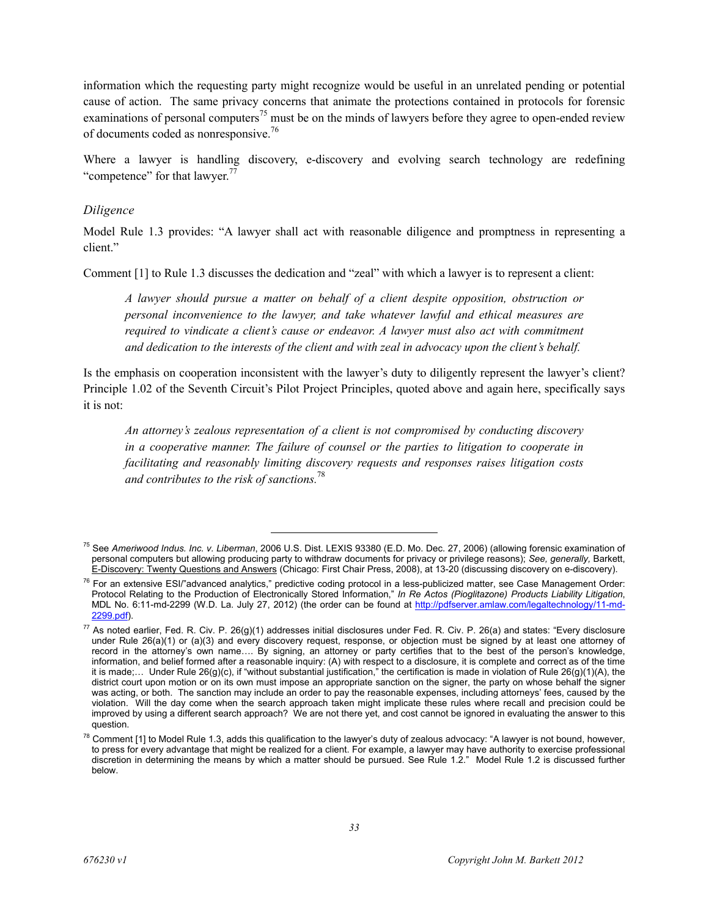information which the requesting party might recognize would be useful in an unrelated pending or potential cause of action. The same privacy concerns that animate the protections contained in protocols for forensic examinations of personal computers<sup>75</sup> must be on the minds of lawyers before they agree to open-ended review of documents coded as nonresponsive.<sup>76</sup>

Where a lawyer is handling discovery, e-discovery and evolving search technology are redefining "competence" for that lawyer.<sup>77</sup>

## *Diligence*

Model Rule 1.3 provides: "A lawyer shall act with reasonable diligence and promptness in representing a client."

Comment [1] to Rule 1.3 discusses the dedication and "zeal" with which a lawyer is to represent a client:

*A lawyer should pursue a matter on behalf of a client despite opposition, obstruction or personal inconvenience to the lawyer, and take whatever lawful and ethical measures are required to vindicate a client's cause or endeavor. A lawyer must also act with commitment and dedication to the interests of the client and with zeal in advocacy upon the client's behalf.*

Is the emphasis on cooperation inconsistent with the lawyer's duty to diligently represent the lawyer's client? Principle 1.02 of the Seventh Circuit's Pilot Project Principles, quoted above and again here, specifically says it is not:

*An attorney's zealous representation of a client is not compromised by conducting discovery in a cooperative manner. The failure of counsel or the parties to litigation to cooperate in facilitating and reasonably limiting discovery requests and responses raises litigation costs and contributes to the risk of sanctions.*<sup>78</sup>

<sup>75</sup> See *Ameriwood Indus. Inc. v. Liberman*, 2006 U.S. Dist. LEXIS 93380 (E.D. Mo. Dec. 27, 2006) (allowing forensic examination of personal computers but allowing producing party to withdraw documents for privacy or privilege reasons); *See, generally,* Barkett, E-Discovery: Twenty Questions and Answers (Chicago: First Chair Press, 2008), at 13-20 (discussing discovery on e-discovery).

 $76$  For an extensive ESI/"advanced analytics," predictive coding protocol in a less-publicized matter, see Case Management Order: Protocol Relating to the Production of Electronically Stored Information," *In Re Actos (Pioglitazone) Products Liability Litigation*, MDL No. 6:11-md-2299 (W.D. La. July 27, 2012) (the order can be found at http://pdfserver.amlaw.com/legaltechnology/11-md-2299.pdf).

<sup>77</sup> As noted earlier, Fed. R. Civ. P. 26(g)(1) addresses initial disclosures under Fed. R. Civ. P. 26(a) and states: "Every disclosure under Rule 26(a)(1) or (a)(3) and every discovery request, response, or objection must be signed by at least one attorney of record in the attorney's own name…. By signing, an attorney or party certifies that to the best of the person's knowledge, information, and belief formed after a reasonable inquiry: (A) with respect to a disclosure, it is complete and correct as of the time it is made;… Under Rule 26(g)(c), if "without substantial justification," the certification is made in violation of Rule 26(g)(1)(A), the district court upon motion or on its own must impose an appropriate sanction on the signer, the party on whose behalf the signer was acting, or both. The sanction may include an order to pay the reasonable expenses, including attorneys' fees, caused by the violation. Will the day come when the search approach taken might implicate these rules where recall and precision could be improved by using a different search approach? We are not there yet, and cost cannot be ignored in evaluating the answer to this question.

<sup>&</sup>lt;sup>78</sup> Comment [1] to Model Rule 1.3, adds this qualification to the lawyer's duty of zealous advocacy: "A lawyer is not bound, however, to press for every advantage that might be realized for a client. For example, a lawyer may have authority to exercise professional discretion in determining the means by which a matter should be pursued. See Rule 1.2." Model Rule 1.2 is discussed further below.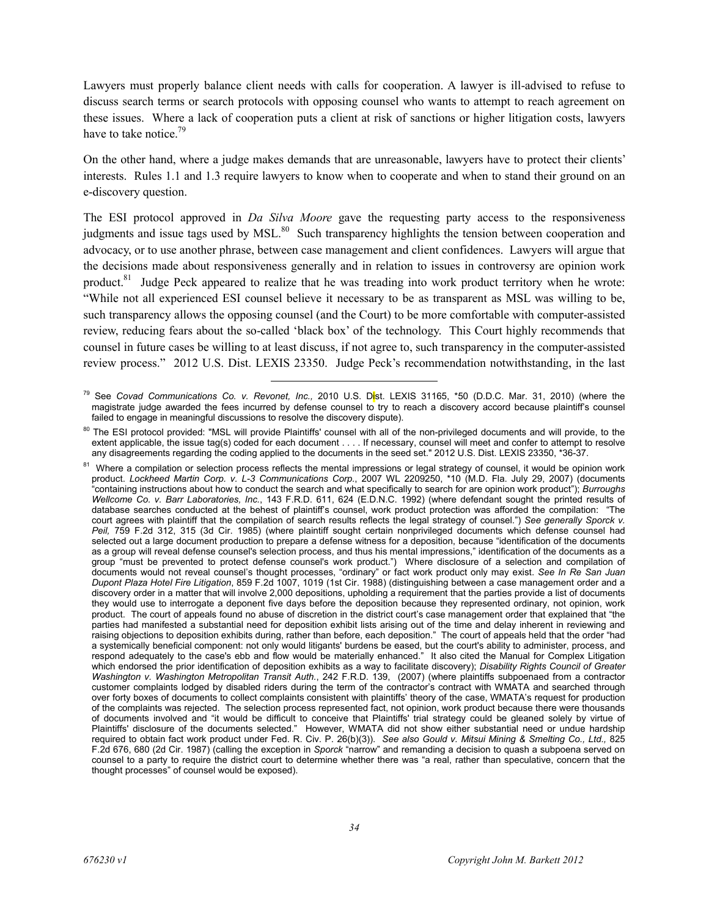<span id="page-33-0"></span>Lawyers must properly balance client needs with calls for cooperation. A lawyer is ill-advised to refuse to discuss search terms or search protocols with opposing counsel who wants to attempt to reach agreement on these issues. Where a lack of cooperation puts a client at risk of sanctions or higher litigation costs, lawyers have to take notice.<sup>79</sup>

On the other hand, where a judge makes demands that are unreasonable, lawyers have to protect their clients' interests. Rules 1.1 and 1.3 require lawyers to know when to cooperate and when to stand their ground on an e-discovery question.

The ESI protocol approved in *Da Silva Moore* gave the requesting party access to the responsiveness judgments and issue tags used by MSL.<sup>80</sup> Such transparency highlights the tension between cooperation and advocacy, or to use another phrase, between case management and client confidences. Lawyers will argue that the decisions made about responsiveness generally and in relation to issues in controversy are opinion work product.<sup>81</sup> Judge Peck appeared to realize that he was treading into work product territory when he wrote: "While not all experienced ESI counsel believe it necessary to be as transparent as MSL was willing to be, such transparency allows the opposing counsel (and the Court) to be more comfortable with computer-assisted review, reducing fears about the so-called 'black box' of the technology. This Court highly recommends that counsel in future cases be willing to at least discuss, if not agree to, such transparency in the computer-assisted review process." 2012 U.S. Dist. LEXIS 23350. Judge Peck's recommendation notwithstanding, in the last

 $\overline{a}$ 

<sup>80</sup> The ESI protocol provided: "MSL will provide Plaintiffs' counsel with all of the non-privileged documents and will provide, to the extent applicable, the issue tag(s) coded for each document . . . . If necessary, counsel will meet and confer to attempt to resolve any disagreements regarding the coding applied to the documents in the seed set." 2012 U.S. Dist. LEXIS 23350, \*36-37.

<sup>79</sup> See *Covad Communications Co. v. Revonet, Inc.,* 2010 U.S. Dist. LEXIS 31165, \*50 (D.D.C. Mar. 31, 2010) (where the magistrate judge awarded the fees incurred by defense counsel to try to reach a discovery accord because plaintiff's counsel failed to engage in meaningful discussions to resolve the discovery dispute).

<sup>&</sup>lt;sup>81</sup> Where a compilation or selection process reflects the mental impressions or legal strategy of counsel, it would be opinion work product. *Lockheed Martin Corp. v. L-3 Communications Corp.*, 2007 WL 2209250, \*10 (M.D. Fla. July 29, 2007) (documents "containing instructions about how to conduct the search and what specifically to search for are opinion work product"); *Burroughs Wellcome Co. v. Barr Laboratories, Inc.*, 143 F.R.D. 611, 624 (E.D.N.C. 1992) (where defendant sought the printed results of database searches conducted at the behest of plaintiff's counsel, work product protection was afforded the compilation: "The court agrees with plaintiff that the compilation of search results reflects the legal strategy of counsel.") *See generally Sporck v. Peil,* 759 F.2d 312, 315 (3d Cir. 1985) (where plaintiff sought certain nonprivileged documents which defense counsel had selected out a large document production to prepare a defense witness for a deposition, because "identification of the documents as a group will reveal defense counsel's selection process, and thus his mental impressions," identification of the documents as a group "must be prevented to protect defense counsel's work product.") Where disclosure of a selection and compilation of documents would not reveal counsel's thought processes, "ordinary" or fact work product only may exist. *See In Re San Juan Dupont Plaza Hotel Fire Litigation*, 859 F.2d 1007, 1019 (1st Cir. 1988) (distinguishing between a case management order and a discovery order in a matter that will involve 2,000 depositions, upholding a requirement that the parties provide a list of documents they would use to interrogate a deponent five days before the deposition because they represented ordinary, not opinion, work product. The court of appeals found no abuse of discretion in the district court's case management order that explained that "the parties had manifested a substantial need for deposition exhibit lists arising out of the time and delay inherent in reviewing and raising objections to deposition exhibits during, rather than before, each deposition." The court of appeals held that the order "had a systemically beneficial component: not only would litigants' burdens be eased, but the court's ability to administer, process, and respond adequately to the case's ebb and flow would be materially enhanced." It also cited the Manual for Complex Litigation which endorsed the prior identification of deposition exhibits as a way to facilitate discovery); *Disability Rights Council of Greater Washington v. Washington Metropolitan Transit Auth.*, 242 F.R.D. 139, (2007) (where plaintiffs subpoenaed from a contractor customer complaints lodged by disabled riders during the term of the contractor's contract with WMATA and searched through over forty boxes of documents to collect complaints consistent with plaintiffs' theory of the case, WMATA's request for production of the complaints was rejected. The selection process represented fact, not opinion, work product because there were thousands of documents involved and "it would be difficult to conceive that Plaintiffs' trial strategy could be gleaned solely by virtue of Plaintiffs' disclosure of the documents selected." However, WMATA did not show either substantial need or undue hardship required to obtain fact work product under Fed. R. Civ. P. 26(b)(3)). *See also Gould v. Mitsui Mining & Smelting Co., Ltd.,* 825 F.2d 676, 680 (2d Cir. 1987) (calling the exception in *Sporck* "narrow" and remanding a decision to quash a subpoena served on counsel to a party to require the district court to determine whether there was "a real, rather than speculative, concern that the thought processes" of counsel would be exposed).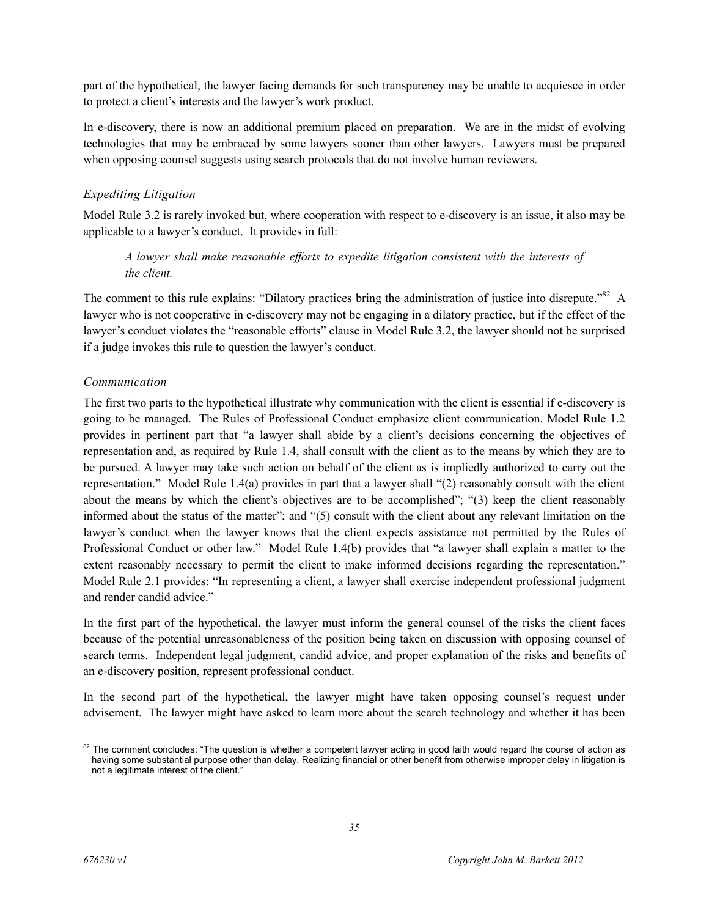part of the hypothetical, the lawyer facing demands for such transparency may be unable to acquiesce in order to protect a client's interests and the lawyer's work product.

In e-discovery, there is now an additional premium placed on preparation. We are in the midst of evolving technologies that may be embraced by some lawyers sooner than other lawyers. Lawyers must be prepared when opposing counsel suggests using search protocols that do not involve human reviewers.

# *Expediting Litigation*

<span id="page-34-0"></span>Model Rule 3.2 is rarely invoked but, where cooperation with respect to e-discovery is an issue, it also may be applicable to a lawyer's conduct. It provides in full:

# *A lawyer shall make reasonable efforts to expedite litigation consistent with the interests of the client.*

The comment to this rule explains: "Dilatory practices bring the administration of justice into disrepute."  $^{82}$  A lawyer who is not cooperative in e-discovery may not be engaging in a dilatory practice, but if the effect of the lawyer's conduct violates the "reasonable efforts" clause in Model Rule 3.2, the lawyer should not be surprised if a judge invokes this rule to question the lawyer's conduct.

## *Communication*

The first two parts to the hypothetical illustrate why communication with the client is essential if e-discovery is going to be managed. The Rules of Professional Conduct emphasize client communication. Model Rule 1.2 provides in pertinent part that "a lawyer shall abide by a client's decisions concerning the objectives of representation and, as required by Rule 1.4, shall consult with the client as to the means by which they are to be pursued. A lawyer may take such action on behalf of the client as is impliedly authorized to carry out the representation." Model Rule 1.4(a) provides in part that a lawyer shall "(2) reasonably consult with the client about the means by which the client's objectives are to be accomplished"; "(3) keep the client reasonably informed about the status of the matter"; and "(5) consult with the client about any relevant limitation on the lawyer's conduct when the lawyer knows that the client expects assistance not permitted by the Rules of Professional Conduct or other law." Model Rule 1.4(b) provides that "a lawyer shall explain a matter to the extent reasonably necessary to permit the client to make informed decisions regarding the representation." Model Rule 2.1 provides: "In representing a client, a lawyer shall exercise independent professional judgment and render candid advice."

In the first part of the hypothetical, the lawyer must inform the general counsel of the risks the client faces because of the potential unreasonableness of the position being taken on discussion with opposing counsel of search terms. Independent legal judgment, candid advice, and proper explanation of the risks and benefits of an e-discovery position, represent professional conduct.

In the second part of the hypothetical, the lawyer might have taken opposing counsel's request under advisement. The lawyer might have asked to learn more about the search technology and whether it has been

 $82$  The comment concludes: "The question is whether a competent lawyer acting in good faith would regard the course of action as having some substantial purpose other than delay. Realizing financial or other benefit from otherwise improper delay in litigation is not a legitimate interest of the client."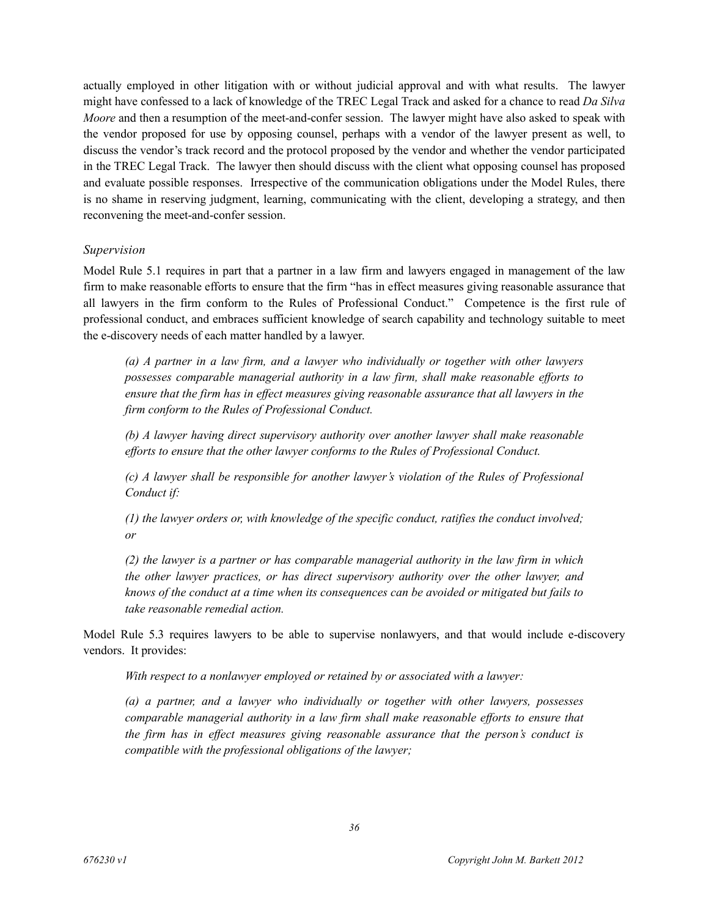actually employed in other litigation with or without judicial approval and with what results. The lawyer might have confessed to a lack of knowledge of the TREC Legal Track and asked for a chance to read *Da Silva Moore* and then a resumption of the meet-and-confer session. The lawyer might have also asked to speak with the vendor proposed for use by opposing counsel, perhaps with a vendor of the lawyer present as well, to discuss the vendor's track record and the protocol proposed by the vendor and whether the vendor participated in the TREC Legal Track. The lawyer then should discuss with the client what opposing counsel has proposed and evaluate possible responses. Irrespective of the communication obligations under the Model Rules, there is no shame in reserving judgment, learning, communicating with the client, developing a strategy, and then reconvening the meet-and-confer session.

## *Supervision*

Model Rule 5.1 requires in part that a partner in a law firm and lawyers engaged in management of the law firm to make reasonable efforts to ensure that the firm "has in effect measures giving reasonable assurance that all lawyers in the firm conform to the Rules of Professional Conduct." Competence is the first rule of professional conduct, and embraces sufficient knowledge of search capability and technology suitable to meet the e-discovery needs of each matter handled by a lawyer.

*(a) A partner in a law firm, and a lawyer who individually or together with other lawyers possesses comparable managerial authority in a law firm, shall make reasonable efforts to ensure that the firm has in effect measures giving reasonable assurance that all lawyers in the firm conform to the Rules of Professional Conduct.*

*(b) A lawyer having direct supervisory authority over another lawyer shall make reasonable efforts to ensure that the other lawyer conforms to the Rules of Professional Conduct.*

*(c) A lawyer shall be responsible for another lawyer's violation of the Rules of Professional Conduct if:*

*(1) the lawyer orders or, with knowledge of the specific conduct, ratifies the conduct involved; or*

<span id="page-35-0"></span>*(2) the lawyer is a partner or has comparable managerial authority in the law firm in which the other lawyer practices, or has direct supervisory authority over the other lawyer, and knows of the conduct at a time when its consequences can be avoided or mitigated but fails to take reasonable remedial action.*

Model Rule 5.3 requires lawyers to be able to supervise nonlawyers, and that would include e-discovery vendors. It provides:

*With respect to a nonlawyer employed or retained by or associated with a lawyer:* 

*(a) a partner, and a lawyer who individually or together with other lawyers, possesses comparable managerial authority in a law firm shall make reasonable efforts to ensure that the firm has in effect measures giving reasonable assurance that the person's conduct is compatible with the professional obligations of the lawyer;*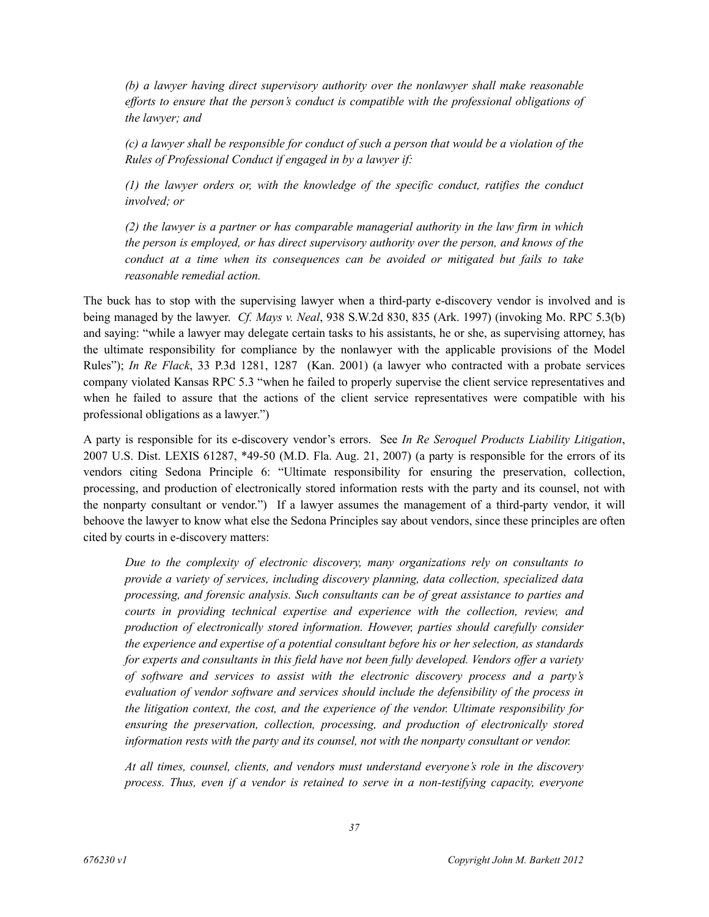*(b) a lawyer having direct supervisory authority over the nonlawyer shall make reasonable efforts to ensure that the person's conduct is compatible with the professional obligations of the lawyer; and* 

*(c) a lawyer shall be responsible for conduct of such a person that would be a violation of the Rules of Professional Conduct if engaged in by a lawyer if:* 

*(1) the lawyer orders or, with the knowledge of the specific conduct, ratifies the conduct involved; or* 

*(2) the lawyer is a partner or has comparable managerial authority in the law firm in which the person is employed, or has direct supervisory authority over the person, and knows of the conduct at a time when its consequences can be avoided or mitigated but fails to take reasonable remedial action.*

The buck has to stop with the supervising lawyer when a third-party e-discovery vendor is involved and is being managed by the lawyer. *Cf. Mays v. Neal*, 938 S.W.2d 830, 835 (Ark. 1997) (invoking Mo. RPC 5.3(b) and saying: "while a lawyer may delegate certain tasks to his assistants, he or she, as supervising attorney, has the ultimate responsibility for compliance by the nonlawyer with the applicable provisions of the Model Rules"); *In Re Flack*, 33 P.3d 1281, 1287 (Kan. 2001) (a lawyer who contracted with a probate services company violated Kansas RPC 5.3 "when he failed to properly supervise the client service representatives and when he failed to assure that the actions of the client service representatives were compatible with his professional obligations as a lawyer.")

A party is responsible for its e-discovery vendor's errors. See *In Re Seroquel Products Liability Litigation*, 2007 U.S. Dist. LEXIS 61287, \*49-50 (M.D. Fla. Aug. 21, 2007) (a party is responsible for the errors of its vendors citing Sedona Principle 6: "Ultimate responsibility for ensuring the preservation, collection, processing, and production of electronically stored information rests with the party and its counsel, not with the nonparty consultant or vendor.") If a lawyer assumes the management of a third-party vendor, it will behoove the lawyer to know what else the Sedona Principles say about vendors, since these principles are often cited by courts in e-discovery matters:

*Due to the complexity of electronic discovery, many organizations rely on consultants to provide a variety of services, including discovery planning, data collection, specialized data processing, and forensic analysis. Such consultants can be of great assistance to parties and courts in providing technical expertise and experience with the collection, review, and production of electronically stored information. However, parties should carefully consider the experience and expertise of a potential consultant before his or her selection, as standards for experts and consultants in this field have not been fully developed. Vendors offer a variety of software and services to assist with the electronic discovery process and a party's evaluation of vendor software and services should include the defensibility of the process in the litigation context, the cost, and the experience of the vendor. Ultimate responsibility for*  ensuring the preservation, collection, processing, and production of electronically stored *information rests with the party and its counsel, not with the nonparty consultant or vendor.*

*At all times, counsel, clients, and vendors must understand everyone's role in the discovery process. Thus, even if a vendor is retained to serve in a non-testifying capacity, everyone*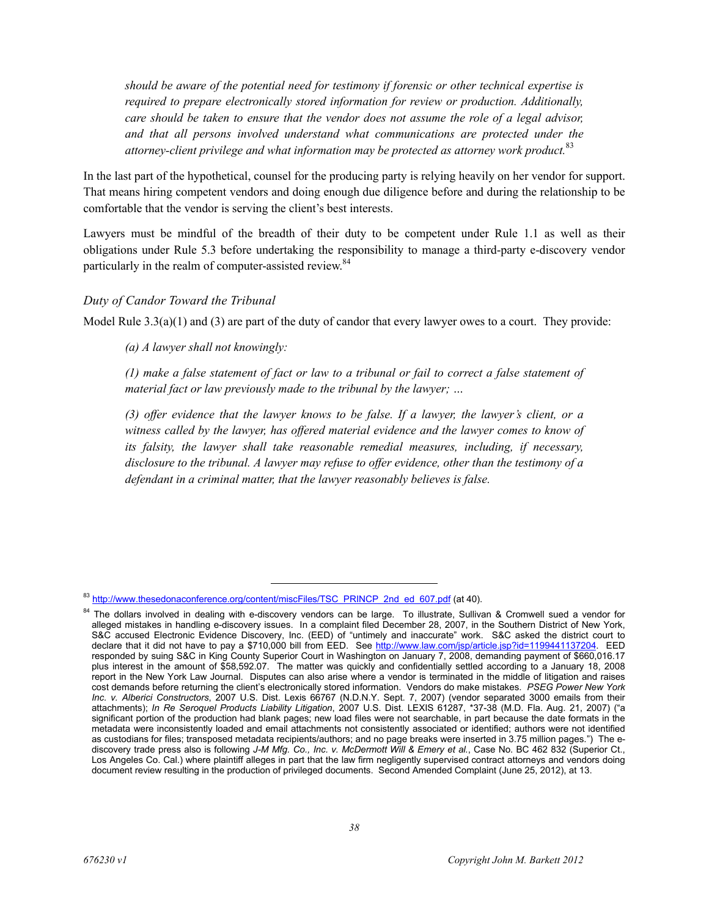*should be aware of the potential need for testimony if forensic or other technical expertise is required to prepare electronically stored information for review or production. Additionally, care should be taken to ensure that the vendor does not assume the role of a legal advisor, and that all persons involved understand what communications are protected under the attorney-client privilege and what information may be protected as attorney work product.* 83

In the last part of the hypothetical, counsel for the producing party is relying heavily on her vendor for support. That means hiring competent vendors and doing enough due diligence before and during the relationship to be comfortable that the vendor is serving the client's best interests.

Lawyers must be mindful of the breadth of their duty to be competent under Rule 1.1 as well as their obligations under Rule 5.3 before undertaking the responsibility to manage a third-party e-discovery vendor particularly in the realm of computer-assisted review.<sup>84</sup>

# *Duty of Candor Toward the Tribunal*

Model Rule 3.3(a)(1) and (3) are part of the duty of candor that every lawyer owes to a court. They provide:

*(a) A lawyer shall not knowingly:* 

*(1) make a false statement of fact or law to a tribunal or fail to correct a false statement of material fact or law previously made to the tribunal by the lawyer; …*

*(3) offer evidence that the lawyer knows to be false. If a lawyer, the lawyer's client, or a witness called by the lawyer, has offered material evidence and the lawyer comes to know of its falsity, the lawyer shall take reasonable remedial measures, including, if necessary, disclosure to the tribunal. A lawyer may refuse to offer evidence, other than the testimony of a defendant in a criminal matter, that the lawyer reasonably believes is false.*

<span id="page-37-0"></span><sup>&</sup>lt;sup>83</sup> http://www.thesedonaconference.org/content/miscFiles/TSC\_PRINCP\_2nd\_ed\_607.pdf (at 40).

<sup>84</sup> The dollars involved in dealing with e-discovery vendors can be large. To illustrate, Sullivan & Cromwell sued a vendor for alleged mistakes in handling e-discovery issues. In a complaint filed December 28, 2007, in the Southern District of New York, S&C accused Electronic Evidence Discovery, Inc. (EED) of "untimely and inaccurate" work. S&C asked the district court to declare that it did not have to pay a \$710,000 bill from EED. See http://www.law.com/jsp/article.jsp?id=1199441137204. EED responded by suing S&C in King County Superior Court in Washington on January 7, 2008, demanding payment of \$660,016.17 plus interest in the amount of \$58,592.07. The matter was quickly and confidentially settled according to a January 18, 2008 report in the New York Law Journal. Disputes can also arise where a vendor is terminated in the middle of litigation and raises cost demands before returning the client's electronically stored information. Vendors do make mistakes. *PSEG Power New York Inc. v. Alberici Constructors*, 2007 U.S. Dist. Lexis 66767 (N.D.N.Y. Sept. 7, 2007) (vendor separated 3000 emails from their attachments); *In Re Seroquel Products Liability Litigation*, 2007 U.S. Dist. LEXIS 61287, \*37-38 (M.D. Fla. Aug. 21, 2007) ("a significant portion of the production had blank pages; new load files were not searchable, in part because the date formats in the metadata were inconsistently loaded and email attachments not consistently associated or identified; authors were not identified as custodians for files; transposed metadata recipients/authors; and no page breaks were inserted in 3.75 million pages.") The ediscovery trade press also is following *J-M Mfg. Co., Inc. v. McDermott Will & Emery et al.*, Case No. BC 462 832 (Superior Ct., Los Angeles Co. Cal.) where plaintiff alleges in part that the law firm negligently supervised contract attorneys and vendors doing document review resulting in the production of privileged documents. Second Amended Complaint (June 25, 2012), at 13.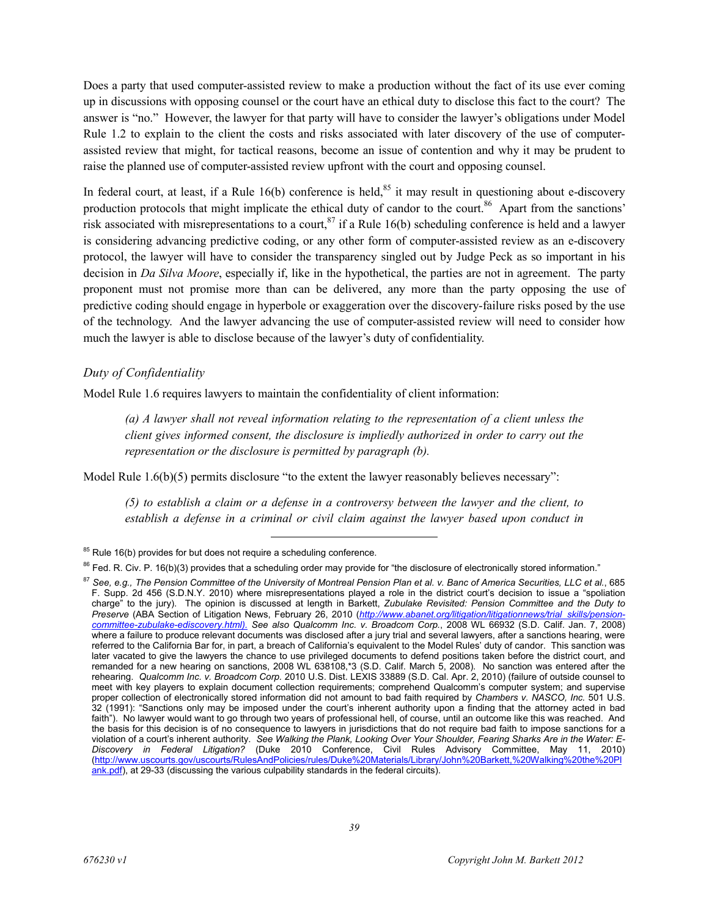Does a party that used computer-assisted review to make a production without the fact of its use ever coming up in discussions with opposing counsel or the court have an ethical duty to disclose this fact to the court? The answer is "no." However, the lawyer for that party will have to consider the lawyer's obligations under Model Rule 1.2 to explain to the client the costs and risks associated with later discovery of the use of computerassisted review that might, for tactical reasons, become an issue of contention and why it may be prudent to raise the planned use of computer-assisted review upfront with the court and opposing counsel.

In federal court, at least, if a Rule  $16(b)$  conference is held,<sup>85</sup> it may result in questioning about e-discovery production protocols that might implicate the ethical duty of candor to the court.<sup>86</sup> Apart from the sanctions' risk associated with misrepresentations to a court,  $87$  if a Rule 16(b) scheduling conference is held and a lawyer is considering advancing predictive coding, or any other form of computer-assisted review as an e-discovery protocol, the lawyer will have to consider the transparency singled out by Judge Peck as so important in his decision in *Da Silva Moore*, especially if, like in the hypothetical, the parties are not in agreement. The party proponent must not promise more than can be delivered, any more than the party opposing the use of predictive coding should engage in hyperbole or exaggeration over the discovery-failure risks posed by the use of the technology. And the lawyer advancing the use of computer-assisted review will need to consider how much the lawyer is able to disclose because of the lawyer's duty of confidentiality.

## *Duty of Confidentiality*

Model Rule 1.6 requires lawyers to maintain the confidentiality of client information:

*(a) A lawyer shall not reveal information relating to the representation of a client unless the client gives informed consent, the disclosure is impliedly authorized in order to carry out the representation or the disclosure is permitted by paragraph (b).*

<span id="page-38-0"></span>Model Rule 1.6(b)(5) permits disclosure "to the extent the lawyer reasonably believes necessary":

*(5) to establish a claim or a defense in a controversy between the lawyer and the client, to establish a defense in a criminal or civil claim against the lawyer based upon conduct in* 

 $85$  Rule 16(b) provides for but does not require a scheduling conference.

<sup>&</sup>lt;sup>86</sup> Fed. R. Civ. P. 16(b)(3) provides that a scheduling order may provide for "the disclosure of electronically stored information."

<sup>87</sup> *See, e.g., The Pension Committee of the University of Montreal Pension Plan et al. v. Banc of America Securities, LLC et al.*, 685 F. Supp. 2d 456 (S.D.N.Y. 2010) where misrepresentations played a role in the district court's decision to issue a "spoliation charge" to the jury). The opinion is discussed at length in Barkett, *Zubulake Revisited: Pension Committee and the Duty to*  Preserve (ABA Section of Litigation News, February 26, 2010 (*http://www.abanet.org/litigation/litigationnews/trial\_skills/pensioncommittee-zubulake-ediscovery.html). See also Qualcomm Inc. v. Broadcom Corp.*, 2008 WL 66932 (S.D. Calif. Jan. 7, 2008) where a failure to produce relevant documents was disclosed after a jury trial and several lawyers, after a sanctions hearing, were referred to the California Bar for, in part, a breach of California's equivalent to the Model Rules' duty of candor. This sanction was later vacated to give the lawyers the chance to use privileged documents to defend positions taken before the district court, and remanded for a new hearing on sanctions, 2008 WL 638108,\*3 (S.D. Calif. March 5, 2008). No sanction was entered after the rehearing. *Qualcomm Inc. v. Broadcom Corp.* 2010 U.S. Dist. LEXIS 33889 (S.D. Cal. Apr. 2, 2010) (failure of outside counsel to meet with key players to explain document collection requirements; comprehend Qualcomm's computer system; and supervise proper collection of electronically stored information did not amount to bad faith required by *Chambers v. NASCO, Inc.* 501 U.S. 32 (1991): "Sanctions only may be imposed under the court's inherent authority upon a finding that the attorney acted in bad faith"). No lawyer would want to go through two years of professional hell, of course, until an outcome like this was reached. And the basis for this decision is of no consequence to lawyers in jurisdictions that do not require bad faith to impose sanctions for a violation of a court's inherent authority. *See Walking the Plank, Looking Over Your Shoulder, Fearing Sharks Are in the Water: E-Discovery in Federal Litigation?* (Duke 2010 Conference, Civil Rules Advisory Committee, May 11, 2010) (http://www.uscourts.gov/uscourts/RulesAndPolicies/rules/Duke%20Materials/Library/John%20Barkett,%20Walking%20the%20Pl ank.pdf), at 29-33 (discussing the various culpability standards in the federal circuits).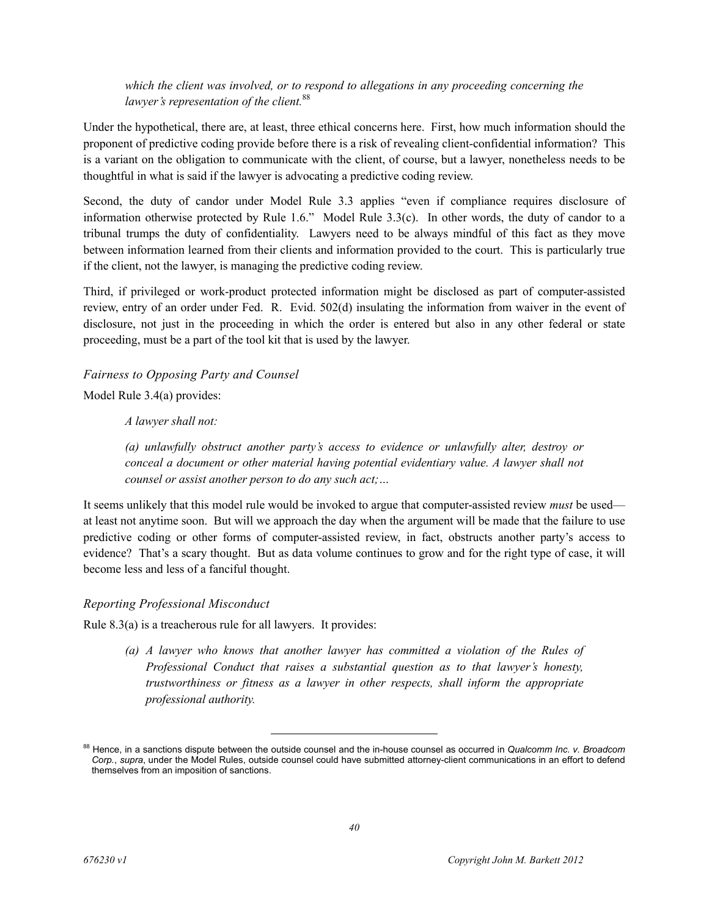## *which the client was involved, or to respond to allegations in any proceeding concerning the lawyer's representation of the client.*<sup>88</sup>

Under the hypothetical, there are, at least, three ethical concerns here. First, how much information should the proponent of predictive coding provide before there is a risk of revealing client-confidential information? This is a variant on the obligation to communicate with the client, of course, but a lawyer, nonetheless needs to be thoughtful in what is said if the lawyer is advocating a predictive coding review.

Second, the duty of candor under Model Rule 3.3 applies "even if compliance requires disclosure of information otherwise protected by Rule 1.6." Model Rule 3.3(c). In other words, the duty of candor to a tribunal trumps the duty of confidentiality. Lawyers need to be always mindful of this fact as they move between information learned from their clients and information provided to the court. This is particularly true if the client, not the lawyer, is managing the predictive coding review.

Third, if privileged or work-product protected information might be disclosed as part of computer-assisted review, entry of an order under Fed. R. Evid. 502(d) insulating the information from waiver in the event of disclosure, not just in the proceeding in which the order is entered but also in any other federal or state proceeding, must be a part of the tool kit that is used by the lawyer.

## *Fairness to Opposing Party and Counsel*

Model Rule 3.4(a) provides:

## *A lawyer shall not:*

*(a) unlawfully obstruct another party's access to evidence or unlawfully alter, destroy or conceal a document or other material having potential evidentiary value. A lawyer shall not counsel or assist another person to do any such act;…*

<span id="page-39-0"></span>It seems unlikely that this model rule would be invoked to argue that computer-assisted review *must* be used at least not anytime soon. But will we approach the day when the argument will be made that the failure to use predictive coding or other forms of computer-assisted review, in fact, obstructs another party's access to evidence? That's a scary thought. But as data volume continues to grow and for the right type of case, it will become less and less of a fanciful thought.

## *Reporting Professional Misconduct*

Rule 8.3(a) is a treacherous rule for all lawyers. It provides:

 $\overline{a}$ 

*(a) A lawyer who knows that another lawyer has committed a violation of the Rules of Professional Conduct that raises a substantial question as to that lawyer's honesty, trustworthiness or fitness as a lawyer in other respects, shall inform the appropriate professional authority.*

<sup>88</sup> Hence, in a sanctions dispute between the outside counsel and the in-house counsel as occurred in *Qualcomm Inc. v. Broadcom Corp.*, *supra*, under the Model Rules, outside counsel could have submitted attorney-client communications in an effort to defend themselves from an imposition of sanctions.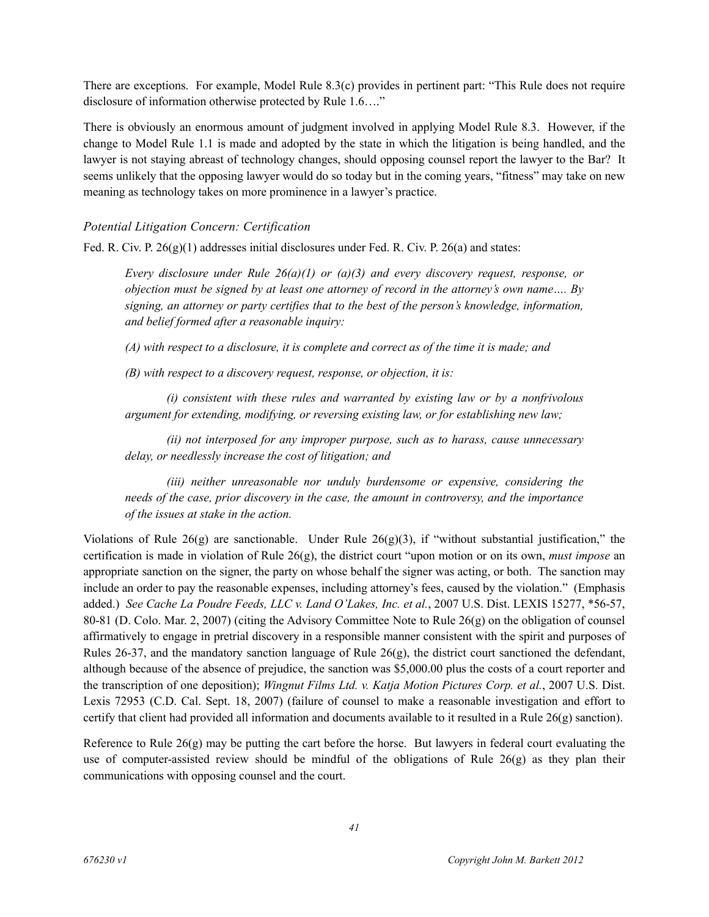There are exceptions. For example, Model Rule 8.3(c) provides in pertinent part: "This Rule does not require disclosure of information otherwise protected by Rule 1.6…."

There is obviously an enormous amount of judgment involved in applying Model Rule 8.3. However, if the change to Model Rule 1.1 is made and adopted by the state in which the litigation is being handled, and the lawyer is not staying abreast of technology changes, should opposing counsel report the lawyer to the Bar? It seems unlikely that the opposing lawyer would do so today but in the coming years, "fitness" may take on new meaning as technology takes on more prominence in a lawyer's practice.

# *Potential Litigation Concern: Certification*

<span id="page-40-0"></span>Fed. R. Civ. P. 26(g)(1) addresses initial disclosures under Fed. R. Civ. P. 26(a) and states:

*Every disclosure under Rule 26(a)(1) or (a)(3) and every discovery request, response, or objection must be signed by at least one attorney of record in the attorney's own name…. By signing, an attorney or party certifies that to the best of the person's knowledge, information, and belief formed after a reasonable inquiry:* 

*(A) with respect to a disclosure, it is complete and correct as of the time it is made; and* 

*(B) with respect to a discovery request, response, or objection, it is:* 

*(i) consistent with these rules and warranted by existing law or by a nonfrivolous argument for extending, modifying, or reversing existing law, or for establishing new law;* 

*(ii) not interposed for any improper purpose, such as to harass, cause unnecessary delay, or needlessly increase the cost of litigation; and* 

*(iii) neither unreasonable nor unduly burdensome or expensive, considering the needs of the case, prior discovery in the case, the amount in controversy, and the importance of the issues at stake in the action.*

Violations of Rule 26(g) are sanctionable. Under Rule 26(g)(3), if "without substantial justification," the certification is made in violation of Rule 26(g), the district court "upon motion or on its own, *must impose* an appropriate sanction on the signer, the party on whose behalf the signer was acting, or both. The sanction may include an order to pay the reasonable expenses, including attorney's fees, caused by the violation." (Emphasis added.) *See Cache La Poudre Feeds, LLC v. Land O'Lakes, Inc. et al.*, 2007 U.S. Dist. LEXIS 15277, \*56-57, 80-81 (D. Colo. Mar. 2, 2007) (citing the Advisory Committee Note to Rule 26(g) on the obligation of counsel affirmatively to engage in pretrial discovery in a responsible manner consistent with the spirit and purposes of Rules 26-37, and the mandatory sanction language of Rule 26(g), the district court sanctioned the defendant, although because of the absence of prejudice, the sanction was \$5,000.00 plus the costs of a court reporter and the transcription of one deposition); *Wingnut Films Ltd. v. Katja Motion Pictures Corp. et al.*, 2007 U.S. Dist. Lexis 72953 (C.D. Cal. Sept. 18, 2007) (failure of counsel to make a reasonable investigation and effort to certify that client had provided all information and documents available to it resulted in a Rule  $26(g)$  sanction).

Reference to Rule 26(g) may be putting the cart before the horse. But lawyers in federal court evaluating the use of computer-assisted review should be mindful of the obligations of Rule  $26(g)$  as they plan their communications with opposing counsel and the court.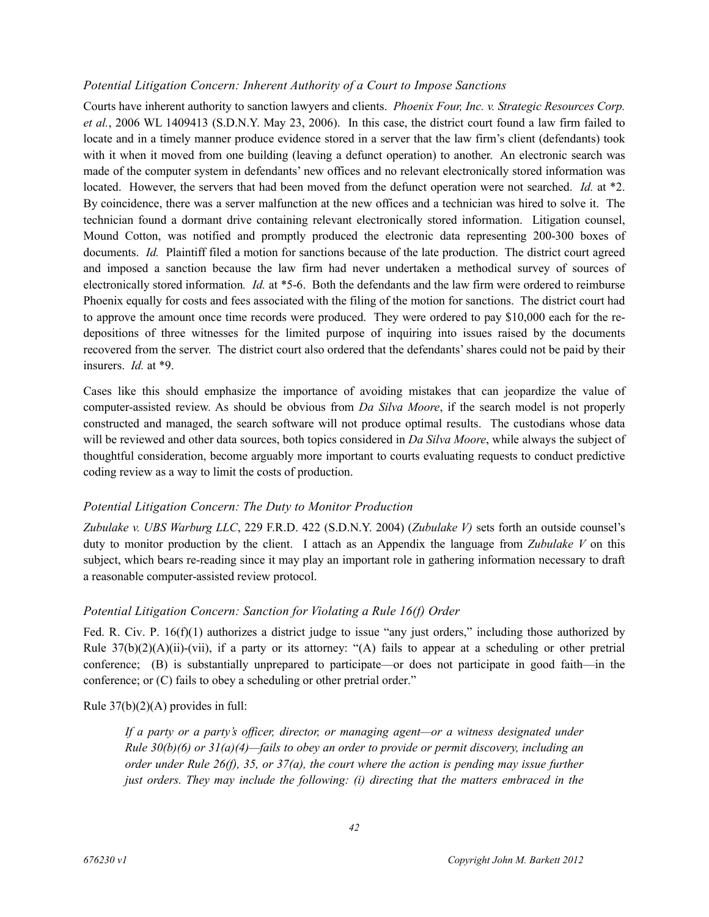#### *Potential Litigation Concern: Inherent Authority of a Court to Impose Sanctions*

<span id="page-41-0"></span>Courts have inherent authority to sanction lawyers and clients. *Phoenix Four, Inc. v. Strategic Resources Corp. et al.*, 2006 WL 1409413 (S.D.N.Y. May 23, 2006). In this case, the district court found a law firm failed to locate and in a timely manner produce evidence stored in a server that the law firm's client (defendants) took with it when it moved from one building (leaving a defunct operation) to another. An electronic search was made of the computer system in defendants' new offices and no relevant electronically stored information was located. However, the servers that had been moved from the defunct operation were not searched. *Id.* at \*2. By coincidence, there was a server malfunction at the new offices and a technician was hired to solve it. The technician found a dormant drive containing relevant electronically stored information. Litigation counsel, Mound Cotton, was notified and promptly produced the electronic data representing 200-300 boxes of documents. *Id.* Plaintiff filed a motion for sanctions because of the late production. The district court agreed and imposed a sanction because the law firm had never undertaken a methodical survey of sources of electronically stored information*. Id.* at \*5-6. Both the defendants and the law firm were ordered to reimburse Phoenix equally for costs and fees associated with the filing of the motion for sanctions. The district court had to approve the amount once time records were produced. They were ordered to pay \$10,000 each for the redepositions of three witnesses for the limited purpose of inquiring into issues raised by the documents recovered from the server. The district court also ordered that the defendants'shares could not be paid by their insurers. *Id.* at \*9.

Cases like this should emphasize the importance of avoiding mistakes that can jeopardize the value of computer-assisted review. As should be obvious from *Da Silva Moore*, if the search model is not properly constructed and managed, the search software will not produce optimal results. The custodians whose data will be reviewed and other data sources, both topics considered in *Da Silva Moore*, while always the subject of thoughtful consideration, become arguably more important to courts evaluating requests to conduct predictive coding review as a way to limit the costs of production.

## *Potential Litigation Concern: The Duty to Monitor Production*

<span id="page-41-1"></span>*Zubulake v. UBS Warburg LLC*, 229 F.R.D. 422 (S.D.N.Y. 2004) (*Zubulake V)* sets forth an outside counsel's duty to monitor production by the client. I attach as an Appendix the language from *Zubulake V* on this subject, which bears re-reading since it may play an important role in gathering information necessary to draft a reasonable computer-assisted review protocol.

## *Potential Litigation Concern: Sanction for Violating a Rule 16(f) Order*

<span id="page-41-2"></span>Fed. R. Civ. P. 16(f)(1) authorizes a district judge to issue "any just orders," including those authorized by Rule  $37(b)(2)(A)(ii)-(vii)$ , if a party or its attorney: "(A) fails to appear at a scheduling or other pretrial conference; (B) is substantially unprepared to participate—or does not participate in good faith—in the conference; or (C) fails to obey a scheduling or other pretrial order."

Rule 37(b)(2)(A) provides in full:

*If a party or a party's officer, director, or managing agent—or a witness designated under Rule 30(b)(6) or 31(a)(4)—fails to obey an order to provide or permit discovery, including an order under Rule 26(f), 35, or 37(a), the court where the action is pending may issue further just orders. They may include the following: (i) directing that the matters embraced in the*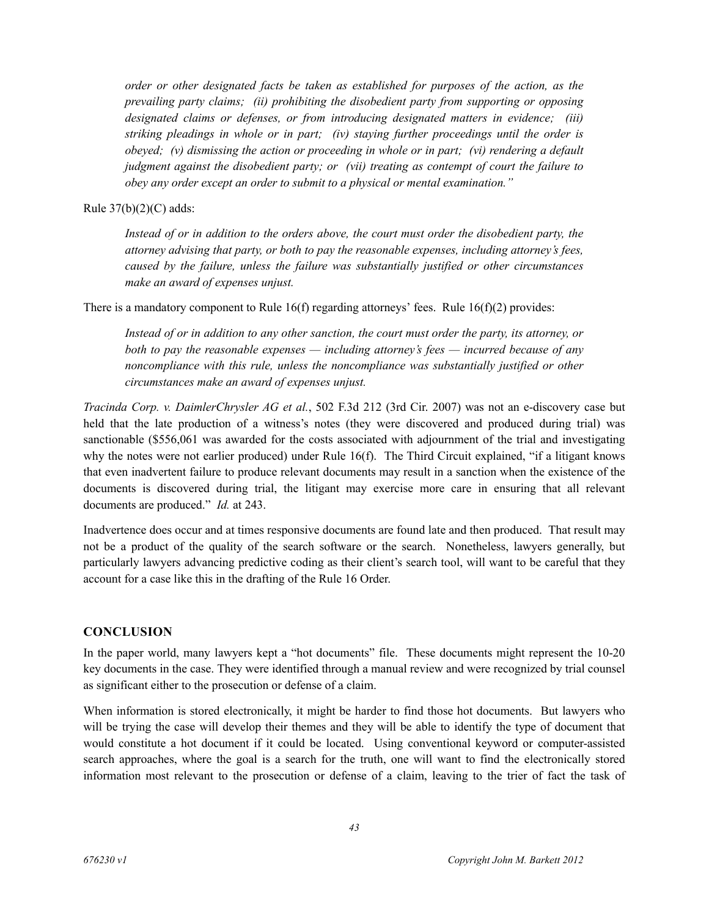*order or other designated facts be taken as established for purposes of the action, as the prevailing party claims; (ii) prohibiting the disobedient party from supporting or opposing designated claims or defenses, or from introducing designated matters in evidence; (iii) striking pleadings in whole or in part; (iv) staying further proceedings until the order is obeyed; (v) dismissing the action or proceeding in whole or in part; (vi) rendering a default judgment against the disobedient party; or (vii) treating as contempt of court the failure to obey any order except an order to submit to a physical or mental examination."*

Rule 37(b)(2)(C) adds:

*Instead of or in addition to the orders above, the court must order the disobedient party, the attorney advising that party, or both to pay the reasonable expenses, including attorney's fees, caused by the failure, unless the failure was substantially justified or other circumstances make an award of expenses unjust.*

There is a mandatory component to Rule  $16(f)$  regarding attorneys' fees. Rule  $16(f)(2)$  provides:

*Instead of or in addition to any other sanction, the court must order the party, its attorney, or both to pay the reasonable expenses — including attorney's fees — incurred because of any noncompliance with this rule, unless the noncompliance was substantially justified or other circumstances make an award of expenses unjust.*

*Tracinda Corp. v. DaimlerChrysler AG et al.*, 502 F.3d 212 (3rd Cir. 2007) was not an e-discovery case but held that the late production of a witness's notes (they were discovered and produced during trial) was sanctionable (\$556,061 was awarded for the costs associated with adjournment of the trial and investigating why the notes were not earlier produced) under Rule 16(f). The Third Circuit explained, "if a litigant knows that even inadvertent failure to produce relevant documents may result in a sanction when the existence of the documents is discovered during trial, the litigant may exercise more care in ensuring that all relevant documents are produced." *Id.* at 243.

Inadvertence does occur and at times responsive documents are found late and then produced. That result may not be a product of the quality of the search software or the search. Nonetheless, lawyers generally, but particularly lawyers advancing predictive coding as their client's search tool, will want to be careful that they account for a case like this in the drafting of the Rule 16 Order.

## <span id="page-42-0"></span>**CONCLUSION**

In the paper world, many lawyers kept a "hot documents" file. These documents might represent the 10-20 key documents in the case. They were identified through a manual review and were recognized by trial counsel as significant either to the prosecution or defense of a claim.

When information is stored electronically, it might be harder to find those hot documents. But lawyers who will be trying the case will develop their themes and they will be able to identify the type of document that would constitute a hot document if it could be located. Using conventional keyword or computer-assisted search approaches, where the goal is a search for the truth, one will want to find the electronically stored information most relevant to the prosecution or defense of a claim, leaving to the trier of fact the task of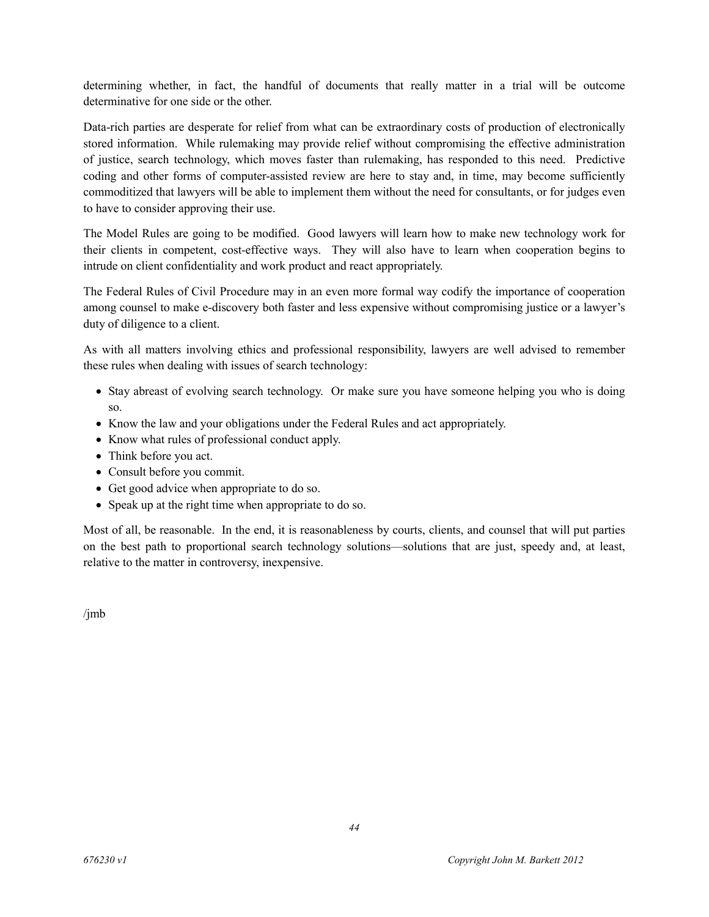determining whether, in fact, the handful of documents that really matter in a trial will be outcome determinative for one side or the other.

Data-rich parties are desperate for relief from what can be extraordinary costs of production of electronically stored information. While rulemaking may provide relief without compromising the effective administration of justice, search technology, which moves faster than rulemaking, has responded to this need. Predictive coding and other forms of computer-assisted review are here to stay and, in time, may become sufficiently commoditized that lawyers will be able to implement them without the need for consultants, or for judges even to have to consider approving their use.

The Model Rules are going to be modified. Good lawyers will learn how to make new technology work for their clients in competent, cost-effective ways. They will also have to learn when cooperation begins to intrude on client confidentiality and work product and react appropriately.

The Federal Rules of Civil Procedure may in an even more formal way codify the importance of cooperation among counsel to make e-discovery both faster and less expensive without compromising justice or a lawyer's duty of diligence to a client.

As with all matters involving ethics and professional responsibility, lawyers are well advised to remember these rules when dealing with issues of search technology:

- Stay abreast of evolving search technology. Or make sure you have someone helping you who is doing so.
- Know the law and your obligations under the Federal Rules and act appropriately.
- Know what rules of professional conduct apply.
- Think before you act.
- Consult before you commit.
- Get good advice when appropriate to do so.
- Speak up at the right time when appropriate to do so.

Most of all, be reasonable. In the end, it is reasonableness by courts, clients, and counsel that will put parties on the best path to proportional search technology solutions—solutions that are just, speedy and, at least, relative to the matter in controversy, inexpensive.

/jmb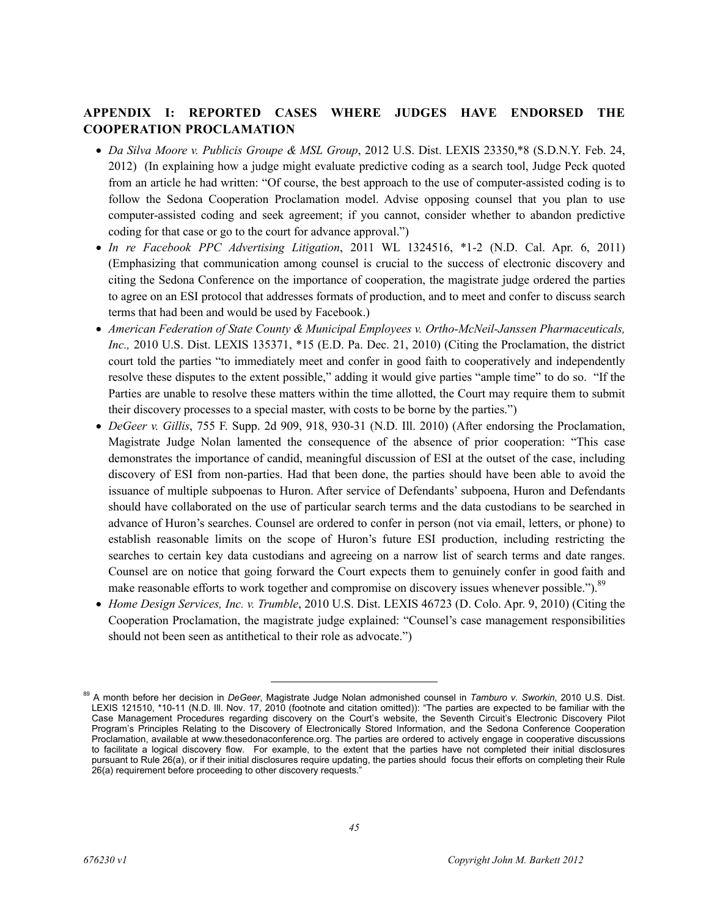# <span id="page-44-0"></span>**APPENDIX I: REPORTED CASES WHERE JUDGES HAVE ENDORSED THE COOPERATION PROCLAMATION**

- *Da Silva Moore v. Publicis Groupe & MSL Group*, 2012 U.S. Dist. LEXIS 23350,\*8 (S.D.N.Y. Feb. 24, 2012) (In explaining how a judge might evaluate predictive coding as a search tool, Judge Peck quoted from an article he had written: "Of course, the best approach to the use of computer-assisted coding is to follow the Sedona Cooperation Proclamation model. Advise opposing counsel that you plan to use computer-assisted coding and seek agreement; if you cannot, consider whether to abandon predictive coding for that case or go to the court for advance approval.")
- *In re Facebook PPC Advertising Litigation*, 2011 WL 1324516, \*1-2 (N.D. Cal. Apr. 6, 2011) (Emphasizing that communication among counsel is crucial to the success of electronic discovery and citing the Sedona Conference on the importance of cooperation, the magistrate judge ordered the parties to agree on an ESI protocol that addresses formats of production, and to meet and confer to discuss search terms that had been and would be used by Facebook.)
- *American Federation of State County & Municipal Employees v. Ortho-McNeil-Janssen Pharmaceuticals, Inc.,* 2010 U.S. Dist. LEXIS 135371, \*15 (E.D. Pa. Dec. 21, 2010) (Citing the Proclamation, the district court told the parties "to immediately meet and confer in good faith to cooperatively and independently resolve these disputes to the extent possible," adding it would give parties "ample time" to do so. "If the Parties are unable to resolve these matters within the time allotted, the Court may require them to submit their discovery processes to a special master, with costs to be borne by the parties.")
- *DeGeer v. Gillis*, 755 F. Supp. 2d 909, 918, 930-31 (N.D. Ill. 2010) (After endorsing the Proclamation, Magistrate Judge Nolan lamented the consequence of the absence of prior cooperation: "This case demonstrates the importance of candid, meaningful discussion of ESI at the outset of the case, including discovery of ESI from non-parties. Had that been done, the parties should have been able to avoid the issuance of multiple subpoenas to Huron. After service of Defendants' subpoena, Huron and Defendants should have collaborated on the use of particular search terms and the data custodians to be searched in advance of Huron's searches. Counsel are ordered to confer in person (not via email, letters, or phone) to establish reasonable limits on the scope of Huron's future ESI production, including restricting the searches to certain key data custodians and agreeing on a narrow list of search terms and date ranges. Counsel are on notice that going forward the Court expects them to genuinely confer in good faith and make reasonable efforts to work together and compromise on discovery issues whenever possible.").<sup>89</sup>
- *Home Design Services, Inc. v. Trumble*, 2010 U.S. Dist. LEXIS 46723 (D. Colo. Apr. 9, 2010) (Citing the Cooperation Proclamation, the magistrate judge explained: "Counsel's case management responsibilities should not been seen as antithetical to their role as advocate.")

<sup>89</sup> A month before her decision in *DeGeer*, Magistrate Judge Nolan admonished counsel in *Tamburo v. Sworkin*, 2010 U.S. Dist. LEXIS 121510, \*10-11 (N.D. Ill. Nov. 17, 2010 (footnote and citation omitted)): "The parties are expected to be familiar with the Case Management Procedures regarding discovery on the Court's website, the Seventh Circuit's Electronic Discovery Pilot Program's Principles Relating to the Discovery of Electronically Stored Information, and the Sedona Conference Cooperation Proclamation, available at www.thesedonaconference.org. The parties are ordered to actively engage in cooperative discussions to facilitate a logical discovery flow. For example, to the extent that the parties have not completed their initial disclosures pursuant to Rule 26(a), or if their initial disclosures require updating, the parties should focus their efforts on completing their Rule 26(a) requirement before proceeding to other discovery requests."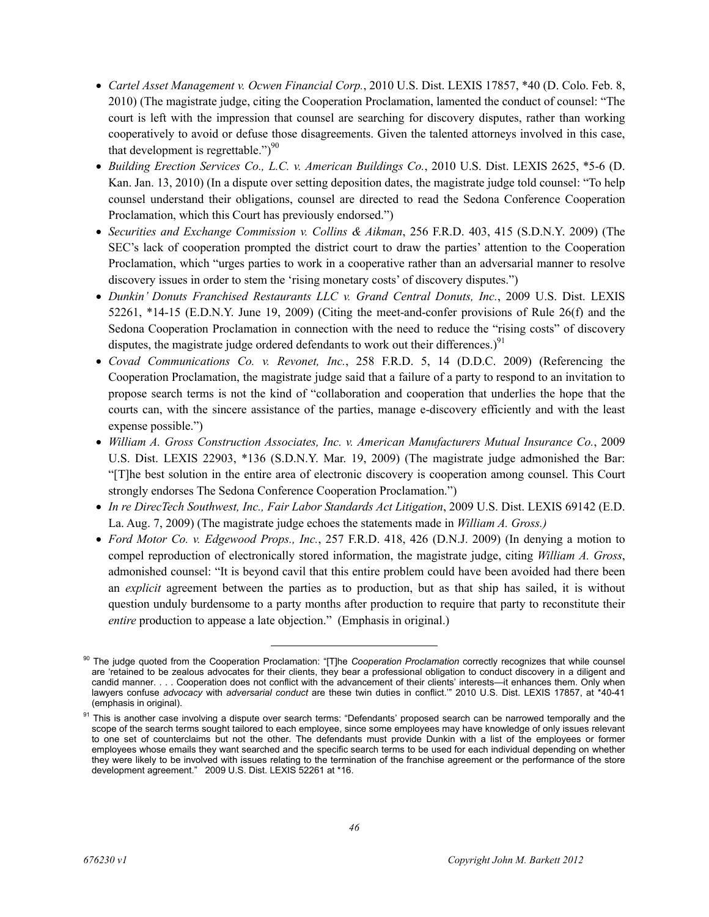- *Cartel Asset Management v. Ocwen Financial Corp.*, 2010 U.S. Dist. LEXIS 17857, \*40 (D. Colo. Feb. 8, 2010) (The magistrate judge, citing the Cooperation Proclamation, lamented the conduct of counsel: "The court is left with the impression that counsel are searching for discovery disputes, rather than working cooperatively to avoid or defuse those disagreements. Given the talented attorneys involved in this case, that development is regrettable." $)^{90}$
- *Building Erection Services Co., L.C. v. American Buildings Co.*, 2010 U.S. Dist. LEXIS 2625, \*5-6 (D. Kan. Jan. 13, 2010) (In a dispute over setting deposition dates, the magistrate judge told counsel: "To help counsel understand their obligations, counsel are directed to read the Sedona Conference Cooperation Proclamation, which this Court has previously endorsed.")
- *Securities and Exchange Commission v. Collins & Aikman*, 256 F.R.D. 403, 415 (S.D.N.Y. 2009) (The SEC's lack of cooperation prompted the district court to draw the parties' attention to the Cooperation Proclamation, which "urges parties to work in a cooperative rather than an adversarial manner to resolve discovery issues in order to stem the 'rising monetary costs' of discovery disputes.")
- *Dunkin' Donuts Franchised Restaurants LLC v. Grand Central Donuts, Inc.*, 2009 U.S. Dist. LEXIS 52261, \*14-15 (E.D.N.Y. June 19, 2009) (Citing the meet-and-confer provisions of Rule 26(f) and the Sedona Cooperation Proclamation in connection with the need to reduce the "rising costs" of discovery disputes, the magistrate judge ordered defendants to work out their differences.)<sup>91</sup>
- *Covad Communications Co. v. Revonet, Inc.*, 258 F.R.D. 5, 14 (D.D.C. 2009) (Referencing the Cooperation Proclamation, the magistrate judge said that a failure of a party to respond to an invitation to propose search terms is not the kind of "collaboration and cooperation that underlies the hope that the courts can, with the sincere assistance of the parties, manage e-discovery efficiently and with the least expense possible.")
- *William A. Gross Construction Associates, Inc. v. American Manufacturers Mutual Insurance Co.*, 2009 U.S. Dist. LEXIS 22903, \*136 (S.D.N.Y. Mar. 19, 2009) (The magistrate judge admonished the Bar: "[T]he best solution in the entire area of electronic discovery is cooperation among counsel. This Court strongly endorses The Sedona Conference Cooperation Proclamation.")
- *In re DirecTech Southwest, Inc., Fair Labor Standards Act Litigation*, 2009 U.S. Dist. LEXIS 69142 (E.D. La. Aug. 7, 2009) (The magistrate judge echoes the statements made in *William A. Gross.)*
- *Ford Motor Co. v. Edgewood Props., Inc.*, 257 F.R.D. 418, 426 (D.N.J. 2009) (In denying a motion to compel reproduction of electronically stored information, the magistrate judge, citing *William A. Gross*, admonished counsel: "It is beyond cavil that this entire problem could have been avoided had there been an *explicit* agreement between the parties as to production, but as that ship has sailed, it is without question unduly burdensome to a party months after production to require that party to reconstitute their *entire* production to appease a late objection." (Emphasis in original.)

<sup>90</sup> The judge quoted from the Cooperation Proclamation: "[T]he Cooperation Proclamation correctly recognizes that while counsel are 'retained to be zealous advocates for their clients, they bear a professional obligation to conduct discovery in a diligent and candid manner. . . . Cooperation does not conflict with the advancement of their clients' interests—it enhances them. Only when lawyers confuse *advocacy* with *adversarial conduct* are these twin duties in conflict.'" 2010 U.S. Dist. LEXIS 17857, at \*40-41 (emphasis in original).

<sup>&</sup>lt;sup>91</sup> This is another case involving a dispute over search terms: "Defendants' proposed search can be narrowed temporally and the scope of the search terms sought tailored to each employee, since some employees may have knowledge of only issues relevant to one set of counterclaims but not the other. The defendants must provide Dunkin with a list of the employees or former employees whose emails they want searched and the specific search terms to be used for each individual depending on whether they were likely to be involved with issues relating to the termination of the franchise agreement or the performance of the store development agreement." 2009 U.S. Dist. LEXIS 52261 at \*16.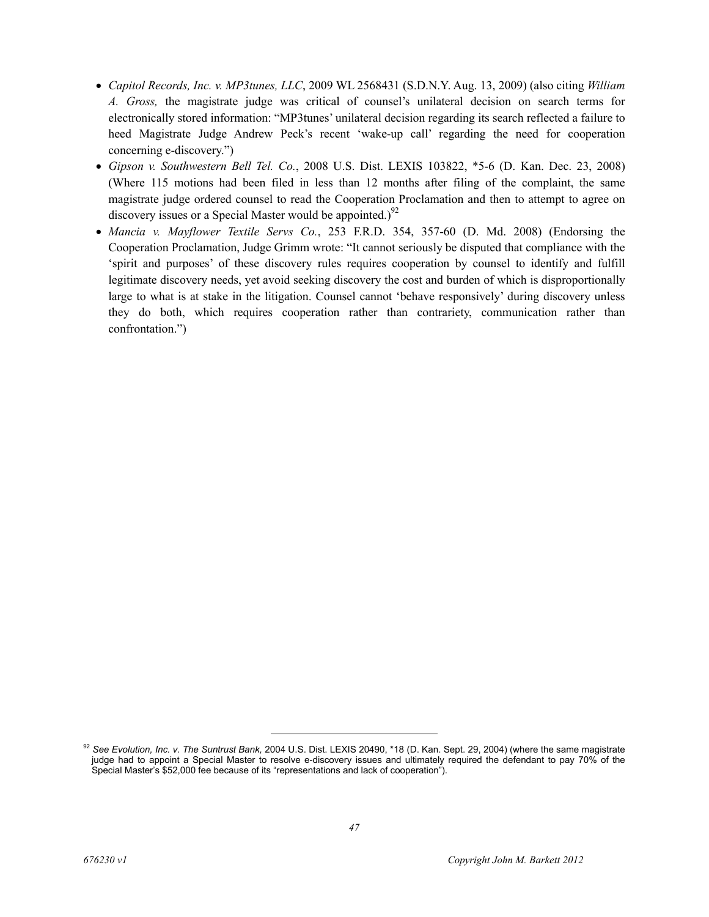- *Capitol Records, Inc. v. MP3tunes, LLC*, 2009 WL 2568431 (S.D.N.Y. Aug. 13, 2009) (also citing *William A. Gross,* the magistrate judge was critical of counsel's unilateral decision on search terms for electronically stored information: "MP3tunes' unilateral decision regarding its search reflected a failure to heed Magistrate Judge Andrew Peck's recent 'wake-up call' regarding the need for cooperation concerning e-discovery.")
- *Gipson v. Southwestern Bell Tel. Co.*, 2008 U.S. Dist. LEXIS 103822, \*5-6 (D. Kan. Dec. 23, 2008) (Where 115 motions had been filed in less than 12 months after filing of the complaint, the same magistrate judge ordered counsel to read the Cooperation Proclamation and then to attempt to agree on discovery issues or a Special Master would be appointed.)<sup>92</sup>
- *Mancia v. Mayflower Textile Servs Co.*, 253 F.R.D. 354, 357-60 (D. Md. 2008) (Endorsing the Cooperation Proclamation, Judge Grimm wrote: "It cannot seriously be disputed that compliance with the 'spirit and purposes' of these discovery rules requires cooperation by counsel to identify and fulfill legitimate discovery needs, yet avoid seeking discovery the cost and burden of which is disproportionally large to what is at stake in the litigation. Counsel cannot 'behave responsively' during discovery unless they do both, which requires cooperation rather than contrariety, communication rather than confrontation.")

<sup>92</sup> *See Evolution, Inc. v. The Suntrust Bank,* 2004 U.S. Dist. LEXIS 20490, \*18 (D. Kan. Sept. 29, 2004) (where the same magistrate judge had to appoint a Special Master to resolve e-discovery issues and ultimately required the defendant to pay 70% of the Special Master's \$52,000 fee because of its "representations and lack of cooperation").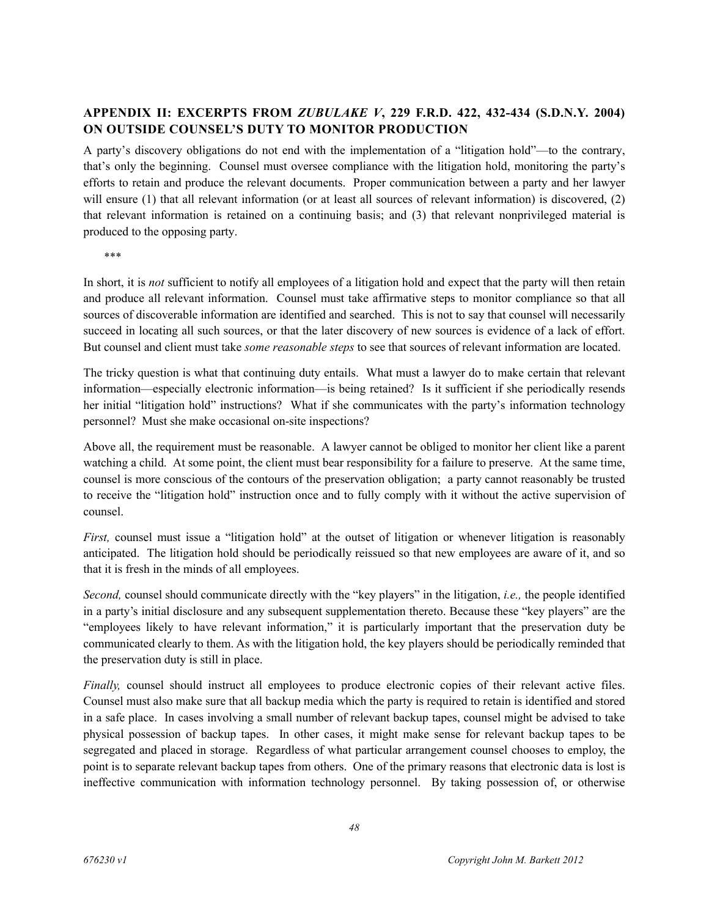# **APPENDIX II: EXCERPTS FROM** *ZUBULAKE V***, 229 F.R.D. 422, 432-434 (S.D.N.Y. 2004) ON OUTSIDE COUNSEL'S DUTY TO MONITOR PRODUCTION**

A party's discovery obligations do not end with the implementation of a "litigation hold"—to the contrary, that's only the beginning. Counsel must oversee compliance with the litigation hold, monitoring the party's efforts to retain and produce the relevant documents. Proper communication between a party and her lawyer will ensure (1) that all relevant information (or at least all sources of relevant information) is discovered, (2) that relevant information is retained on a continuing basis; and (3) that relevant nonprivileged material is produced to the opposing party.

<span id="page-47-0"></span>\*\*\*

In short, it is *not* sufficient to notify all employees of a litigation hold and expect that the party will then retain and produce all relevant information. Counsel must take affirmative steps to monitor compliance so that all sources of discoverable information are identified and searched. This is not to say that counsel will necessarily succeed in locating all such sources, or that the later discovery of new sources is evidence of a lack of effort. But counsel and client must take *some reasonable steps* [to see that sources of relevant information are located.](http://www.uscourts.gov/uscourts/RulesAndPolicies/rules/Duke Materials/Library/John Barkett, Walking the Plank.pdf)

The tricky question is what that continuing duty entails. What must a lawyer do to make certain that relevant inf[ormation—especially electronic information—is being retained? Is it sufficient if she periodically resend](http://www.abanet.org/litigation/litigationnews/trial_skills/pension-committee-zubulake-ediscovery.html)s her initial "litigation hold" instructions? What if she communicates with the party's information technology personnel? Must she make occasional on-site inspections?

Above all, the requirement must be reasonable. A lawyer cannot be obliged to monitor her client like a parent watching a child. At some point, the client must bear responsibility for a failure to preserve. At the same time, counsel is more conscious of the contours of the preservation obligation; a party cannot reasonably be trusted to receive the "litigation hold" instruction once and to fully comply with it without the active supervision of counsel.

*First,* counsel must issue a "litigation hold" at the outset of litigation or whenever litigation is reasonably anticipated. The litigation hold should be periodically reissued so that new employees are aware of it, and so that it is fresh in the minds of all employees.

*Second,* counsel should communicate directly with the "key players" in the litigation, *i.e.,* the people identified in a party's initial disclosure and any subsequent supplementation thereto. Because these "key players" are the "employees likely to have relevant information," it is particularly important that the preservation duty be communicated clearly to them. As with the litigation hold, the key players should be periodically reminded that the preservation duty is still in place.

*Finally*, counsel should instruct all employees to produce electronic copies of their relevant active files. Counsel must also make sure that all backup media which the party is required to retain is identified and stored in a safe place. In cases involving a small number of relevant backup tapes, counsel might be advised to take physical possession of backup tapes. In other cases, it might make sense for relevant backup tapes to be segregated and placed in storage. Regardless of what particular arrangement counsel chooses to employ, the point is to separate relevant backup tapes from others. One of the primary reasons that electronic data is lost is ineffective communication with information technology personnel. By taking possession of, or otherwise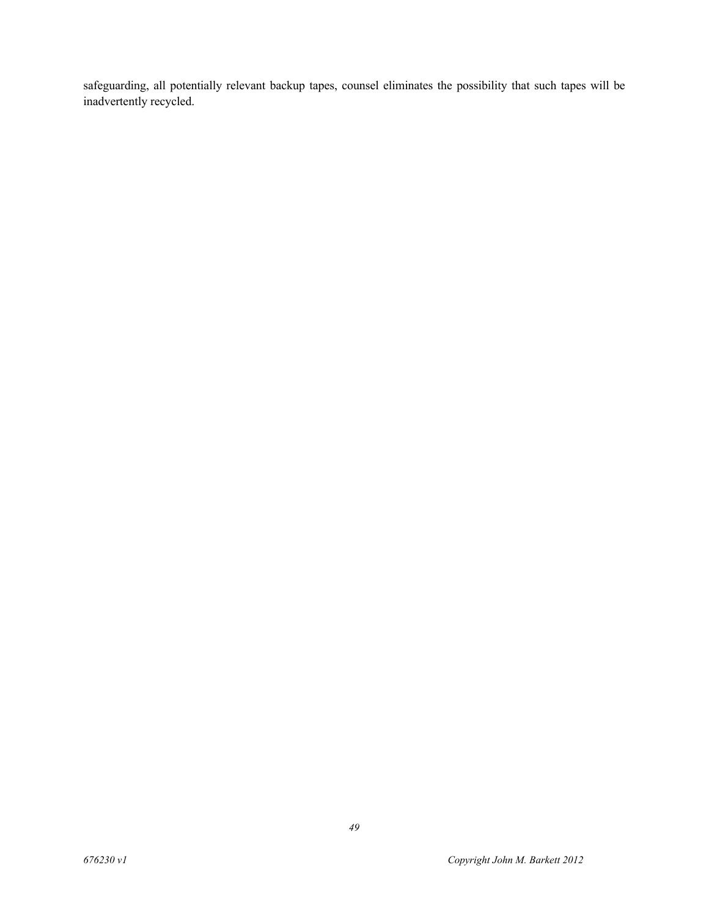safeguarding, all potentially relevant backup tapes, counsel eliminates the possibility that such tapes will be inadvertently recycled.

*49*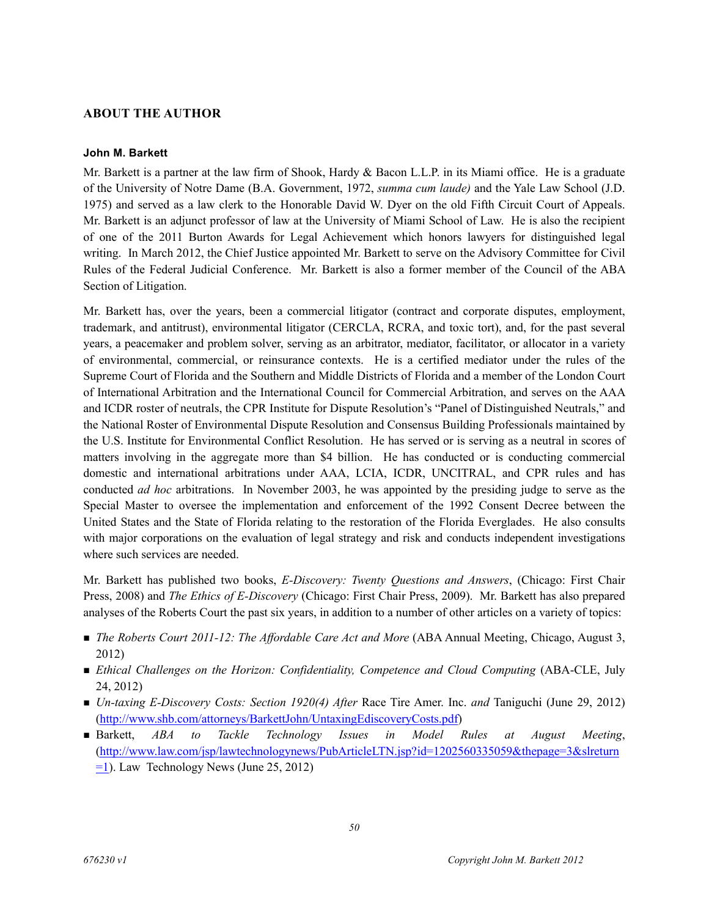#### <span id="page-49-1"></span><span id="page-49-0"></span>**ABOUT THE AUTHOR**

#### **John M. Barkett**

Mr. Barkett is a partner at the law firm of Shook, Hardy & Bacon L.L.P. in its Miami office. He is a graduate of the University of Notre Dame (B.A. Government, 1972, *summa cum laude)* and the Yale Law School (J.D. 1975) and served as a law clerk to the Honorable David W. Dyer on the old Fifth Circuit Court of Appeals. Mr. Barkett is an adjunct professor of law at the University of Miami School of Law. He is also the recipient of one of the 2011 Burton Awards for Legal Achievement which honors lawyers for distinguished legal writing. In March 2012, the Chief Justice appointed Mr. Barkett to serve on the Advisory Committee for Civil Rules of the Federal Judicial Conference. Mr. Barkett is also a former member of the Council of the ABA Section of Litigation.

Mr. Barkett has, over the years, been a commercial litigator (contract and corporate disputes, employment, trademark, and antitrust), environmental litigator (CERCLA, RCRA, and toxic tort), and, for the past several years, a peacemaker and problem solver, serving as an arbitrator, mediator, facilitator, or allocator in a variety of environmental, commercial, or reinsurance contexts. He is a certified mediator under the rules of the Supreme Court of Florida and the Southern and Middle Districts of Florida and a member of the London Court of International Arbitration and the International Council for Commercial Arbitration, and serves on the AAA and ICDR roster of neutrals, the CPR Institute for Dispute Resolution's "Panel of Distinguished Neutrals," and the National Roster of Environmental Dispute Resolution and Consensus Building Professionals maintained by the U.S. Institute for Environmental Conflict Resolution. He has served or is serving as a neutral in scores of matters involving in the aggregate more than \$4 billion. He has conducted or is conducting commercial domestic and international arbitrations under AAA, LCIA, ICDR, UNCITRAL, and CPR rules and has conducted *ad hoc* arbitrations. In November 2003, he was appointed by the presiding judge to serve as the Special Master to oversee the implementation and enforcement of the 1992 Consent Decree between the United States and the State of Florida relating to the restoration of the Florida Everglades. He also consults with major corporations on the evaluation of legal strategy and risk and conducts independent investigations where such services are needed.

Mr. Barkett has published two books, *E-Discovery: Twenty Questions and Answers*, (Chicago: First Chair Press, 2008) and *The Ethics of E-Discovery* (Chicago: First Chair Press, 2009). Mr. Barkett has also prepared analyses of the Roberts Court the past six years, in addition to a number of other articles on a variety of topics:

- *The Roberts Court 2011-12: The Affordable Care Act and More* (ABA Annual Meeting, Chicago, August 3, 2012)
- *Ethical Challenges on the Horizon: Confidentiality, Competence and Cloud Computing* (ABA-CLE, July [24, 2012\)](http://www.shb.com/attorneys/BarkettJohn/UntaxingEdiscoveryCosts.pdf)
- *Un-taxing E-Discovery Costs: Section 1920(4) After* Race Tire Amer. Inc. *and* Taniguchi (June 29, 2012) (http://www.shb.com/attorneys/BarkettJohn/UntaxingEdiscoveryCosts.pdf)
- Barkett, *[ABA to Tackle Technology Issues in Model Rules at August Meeting](http://www.law.com/jsp/lawtechnologynews/PubArticleLTN.jsp?id=1202560335059&thepage=3&slreturn=1)*, (http://www.law.com/jsp/lawtechnologynews/PubArticleLTN.jsp?id=1202560335059&thepage=3&slreturn =1). Law Technology News (June 25, 2012)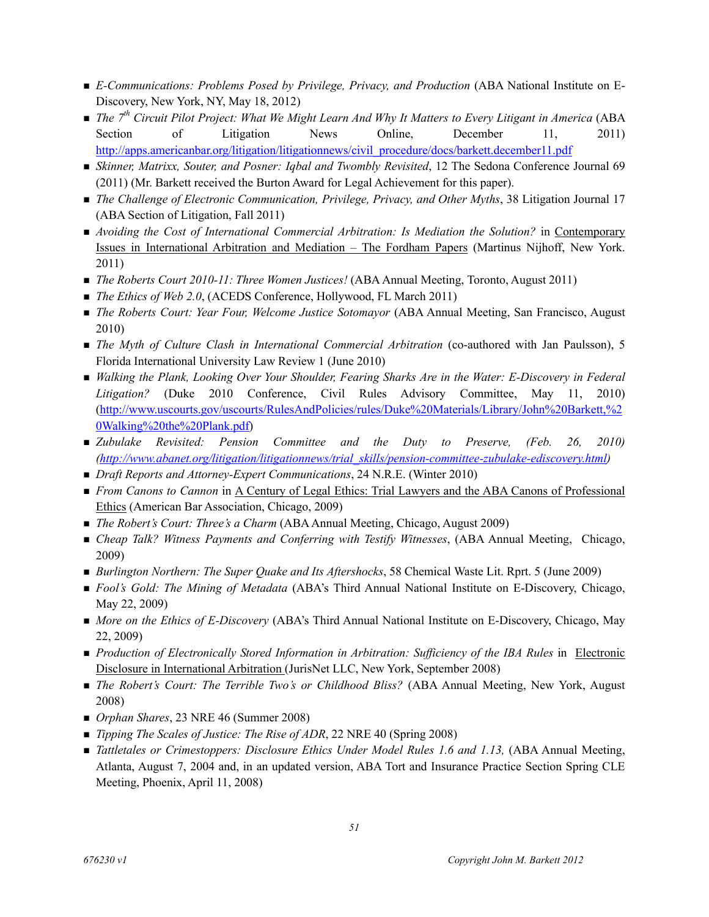- *E-Communications: Problems Posed by Privilege, Privacy, and Production* (ABA National Institute on E-Discovery, New York, NY, May 18, 2012)
- *The 7 th Circuit Pilot Project: What We Might Learn And Why It Matters to Every Litigant in America* (ABA Section of Litigation News Online, December 11, 2011) http://apps.americanbar.org/litigation/litigationnews/civil\_procedure/docs/barkett.december11.pdf
- *Skinner, Matrixx, Souter, and Posner: Iqbal and Twombly Revisited*, 12 The Sedona Conference Journal 69 (2011) (Mr. Barkett received the Burton Award for Legal Achievement for this paper).
- **The Challenge of Electronic Communication, Privilege, Privacy, and Other Myths, 38 Litigation Journal 17** (ABA Section of Litigation, Fall 2011)
- *Avoiding the Cost of International Commercial Arbitration: Is Mediation the Solution?* in Contemporary Issues in International Arbitration and Mediation – The Fordham Papers (Martinus Nijhoff, New York. 2011)
- *The Roberts Court 2010-11: Three Women Justices!* (ABA Annual Meeting, Toronto, August 2011)
- *The Ethics of Web 2.0*, (ACEDS Conference, Hollywood, FL March 2011)
- **The Roberts Court: Year Four, Welcome Justice Sotomayor (ABA Annual Meeting, San Francisco, August** 2010)
- *The Myth of Culture Clash in International Commercial Arbitration* (co-authored with Jan Paulsson), 5 Florida International University Law Review 1 (June 2010)
- *Walking the Plank, Looking Over Your Shoulder, Fearing Sharks Are in the Water: E-Discovery in Federal Litigation?* (Duke 2010 Conference, Civil Rules Advisory Committee, May 11, 2010) (http://www.uscourts.gov/uscourts/RulesAndPolicies/rules/Duke%20Materials/Library/John%20Barkett,%2 0Walking%20the%20Plank.pdf)
- $\blacksquare$  Zubulake Revisited: Pension Committee and the Duty to Preserve, (Feb. 26, 2010) *(http://www.abanet.org/litigation/litigationnews/trial\_skills/pension-committee-zubulake-ediscovery.html)*
- *Draft Reports and Attorney-Expert Communications*, 24 N.R.E. (Winter 2010)
- **From Canons to Cannon in A Century of Legal Ethics: Trial Lawyers and the ABA Canons of Professional** Ethics (American Bar Association, Chicago, 2009)
- *The Robert's Court: Three's a Charm* (ABA Annual Meeting, Chicago, August 2009)
- *Cheap Talk? Witness Payments and Conferring with Testify Witnesses*, (ABA Annual Meeting, Chicago, 2009)
- *Burlington Northern: The Super Quake and Its Aftershocks*, 58 Chemical Waste Lit. Rprt. 5 (June 2009)
- *Fool's Gold: The Mining of Metadata* (ABA's Third Annual National Institute on E-Discovery, Chicago, May 22, 2009)
- *More on the Ethics of E-Discovery* (ABA's Third Annual National Institute on E-Discovery, Chicago, May 22, 2009)
- **Production of Electronically Stored Information in Arbitration: Sufficiency of the IBA Rules in Electronic** Disclosure in International Arbitration (JurisNet LLC, New York, September 2008)
- *The Robert's Court: The Terrible Two's or Childhood Bliss?* (ABA Annual Meeting, New York, August 2008)
- *Orphan Shares*, 23 NRE 46 (Summer 2008)
- *Tipping The Scales of Justice: The Rise of ADR*, 22 NRE 40 (Spring 2008)
- *Tattletales or Crimestoppers: Disclosure Ethics Under Model Rules 1.6 and 1.13,* (ABA Annual Meeting, Atlanta, August 7, 2004 and, in an updated version, ABA Tort and Insurance Practice Section Spring CLE Meeting, Phoenix, April 11, 2008)